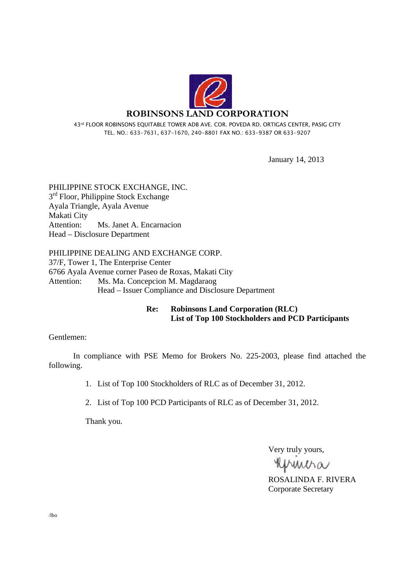

43rd FLOOR ROBINSONS EQUITABLE TOWER ADB AVE. COR. POVEDA RD. ORTIGAS CENTER, PASIG CITY TEL. NO.: 633-7631, 637-1670, 240-8801 FAX NO.: 633-9387 OR 633-9207

January 14, 2013

PHILIPPINE STOCK EXCHANGE, INC. 3<sup>rd</sup> Floor, Philippine Stock Exchange Ayala Triangle, Ayala Avenue Makati City Attention: Ms. Janet A. Encarnacion Head – Disclosure Department

PHILIPPINE DEALING AND EXCHANGE CORP. 37/F, Tower 1, The Enterprise Center 6766 Ayala Avenue corner Paseo de Roxas, Makati City Attention: Ms. Ma. Concepcion M. Magdaraog Head – Issuer Compliance and Disclosure Department

#### **Re: Robinsons Land Corporation (RLC) List of Top 100 Stockholders and PCD Participants**

#### Gentlemen:

 In compliance with PSE Memo for Brokers No. 225-2003, please find attached the following.

1. List of Top 100 Stockholders of RLC as of December 31, 2012.

2. List of Top 100 PCD Participants of RLC as of December 31, 2012.

Thank you.

Very truly yours,

printra

ROSALINDA F. RIVERA Corporate Secretary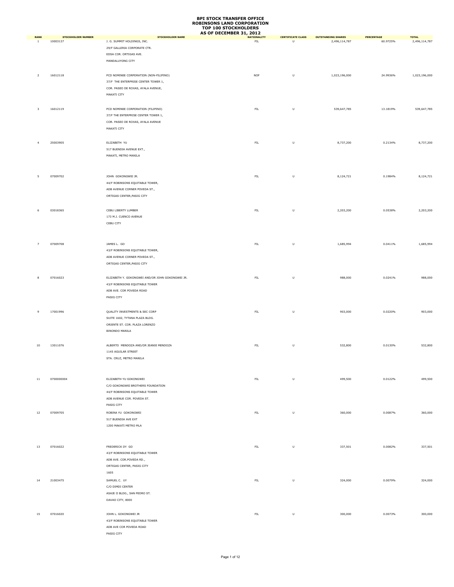|                             |                                       |                                                        | AS OF DECEMBER 31, 2012           |                                                                                                            |                                            |                        |                               |
|-----------------------------|---------------------------------------|--------------------------------------------------------|-----------------------------------|------------------------------------------------------------------------------------------------------------|--------------------------------------------|------------------------|-------------------------------|
| <b>RANK</b><br><sup>1</sup> | <b>STOCKHOLDER NUMBER</b><br>10003137 | <b>STOCKHOLDER NAME</b><br>J. G. SUMMIT HOLDINGS, INC. | <b>NATIONALITY</b><br>${\sf FIL}$ | <b>CERTIFICATE CLASS</b><br>U                                                                              | <b>OUTSTANDING SHARES</b><br>2,496,114,787 | PERCENTAGE<br>60.9725% | <b>TOTAL</b><br>2,496,114,787 |
|                             |                                       |                                                        |                                   |                                                                                                            |                                            |                        |                               |
|                             |                                       | 29/F GALLERIA CORPORATE CTR.                           |                                   |                                                                                                            |                                            |                        |                               |
|                             |                                       | EDSA COR. ORTIGAS AVE.                                 |                                   |                                                                                                            |                                            |                        |                               |
|                             |                                       | MANDALUYONG CITY                                       |                                   |                                                                                                            |                                            |                        |                               |
|                             |                                       |                                                        |                                   |                                                                                                            |                                            |                        |                               |
| $\overline{2}$              | 16012118                              | PCD NOMINEE CORPORATION (NON-FILIPINO)                 | <b>NOF</b>                        | U                                                                                                          | 1,023,196,000                              | 24.9936%               | 1,023,196,000                 |
|                             |                                       | 37/F THE ENTERPRISE CENTER TOWER 1,                    |                                   |                                                                                                            |                                            |                        |                               |
|                             |                                       | COR. PASEO DE ROXAS, AYALA AVENUE,                     |                                   |                                                                                                            |                                            |                        |                               |
|                             |                                       | MAKATI CITY                                            |                                   |                                                                                                            |                                            |                        |                               |
|                             |                                       |                                                        |                                   |                                                                                                            |                                            |                        |                               |
| $\overline{\mathbf{3}}$     | 16012119                              | PCD NOMINEE CORPORATION (FILIPINO)                     | ${\sf FIL}$                       | $\sf U$                                                                                                    | 539,647,785                                | 13.1819%               | 539,647,785                   |
|                             |                                       | 37/F THE ENTERPRISE CENTER TOWER 1,                    |                                   |                                                                                                            |                                            |                        |                               |
|                             |                                       |                                                        |                                   |                                                                                                            |                                            |                        |                               |
|                             |                                       | COR. PASEO DE ROXAS, AYALA AVENUE                      |                                   |                                                                                                            |                                            |                        |                               |
|                             |                                       | MAKATI CITY                                            |                                   |                                                                                                            |                                            |                        |                               |
|                             |                                       |                                                        |                                   |                                                                                                            |                                            |                        |                               |
| $\overline{4}$              | 25003905                              | ELIZABETH YU                                           | ${\sf FIL}$                       | U                                                                                                          | 8,737,200                                  | 0.2134%                | 8,737,200                     |
|                             |                                       | 517 BUENDIA AVENUE EXT.,                               |                                   |                                                                                                            |                                            |                        |                               |
|                             |                                       | MAKATI, METRO MANILA                                   |                                   |                                                                                                            |                                            |                        |                               |
|                             |                                       |                                                        |                                   |                                                                                                            |                                            |                        |                               |
|                             |                                       |                                                        |                                   |                                                                                                            |                                            |                        |                               |
|                             |                                       | JOHN GOKONGWEI JR.                                     |                                   |                                                                                                            |                                            |                        | 8,124,721                     |
| 5                           | 07009702                              |                                                        | ${\sf FIL}$                       | $\sf U$                                                                                                    | 8,124,721                                  | 0.1984%                |                               |
|                             |                                       | 44/F ROBINSONS EQUITABLE TOWER,                        |                                   |                                                                                                            |                                            |                        |                               |
|                             |                                       | ADB AVENUE CORNER POVEDA ST.,                          |                                   |                                                                                                            |                                            |                        |                               |
|                             |                                       | ORTIGAS CENTER, PASIG CITY                             |                                   |                                                                                                            |                                            |                        |                               |
|                             |                                       |                                                        |                                   |                                                                                                            |                                            |                        |                               |
| 6                           | 03018365                              | CEBU LIBERTY LUMBER                                    | ${\sf FIL}$                       | U                                                                                                          | 2,203,200                                  | 0.0538%                | 2,203,200                     |
|                             |                                       | 173 M.J. CUENCO AVENUE                                 |                                   |                                                                                                            |                                            |                        |                               |
|                             |                                       | CEBU CITY                                              |                                   |                                                                                                            |                                            |                        |                               |
|                             |                                       |                                                        |                                   |                                                                                                            |                                            |                        |                               |
|                             |                                       |                                                        |                                   |                                                                                                            |                                            |                        |                               |
|                             |                                       |                                                        |                                   |                                                                                                            |                                            |                        |                               |
| $\overline{7}$              | 07009708                              | JAMES L. GO                                            | FIL                               | U                                                                                                          | 1,685,994                                  | 0.0411%                | 1,685,994                     |
|                             |                                       | 43/F ROBINSONS EQUITABLE TOWER,                        |                                   |                                                                                                            |                                            |                        |                               |
|                             |                                       | ADB AVENUE CORNER POVEDA ST.,                          |                                   |                                                                                                            |                                            |                        |                               |
|                             |                                       | ORTIGAS CENTER, PASIG CITY                             |                                   |                                                                                                            |                                            |                        |                               |
|                             |                                       |                                                        |                                   |                                                                                                            |                                            |                        |                               |
| 8                           | 07016023                              | ELIZABETH Y. GOKONGWEI AND/OR JOHN GOKONGWEI JR.       | ${\sf FIL}$                       | U                                                                                                          | 988,000                                    | 0.0241%                | 988,000                       |
|                             |                                       |                                                        |                                   |                                                                                                            |                                            |                        |                               |
|                             |                                       | 43/F ROBINSONS EQUITABLE TOWER                         |                                   |                                                                                                            |                                            |                        |                               |
|                             |                                       | ADB AVE. COR POVEDA ROAD                               |                                   |                                                                                                            |                                            |                        |                               |
|                             |                                       | PASIG CITY                                             |                                   |                                                                                                            |                                            |                        |                               |
|                             |                                       |                                                        |                                   |                                                                                                            |                                            |                        |                               |
| 9                           | 17001996                              | QUALITY INVESTMENTS & SEC CORP                         | ${\sf FIL}$                       | U                                                                                                          | 903,000                                    | 0.0220%                | 903,000                       |
|                             |                                       | SUITE 1602, TYTANA PLAZA BLDG.                         |                                   |                                                                                                            |                                            |                        |                               |
|                             |                                       | ORIENTE ST. COR. PLAZA LORENZO                         |                                   |                                                                                                            |                                            |                        |                               |
|                             |                                       | <b>BINONDO MANILA</b>                                  |                                   |                                                                                                            |                                            |                        |                               |
|                             |                                       |                                                        |                                   |                                                                                                            |                                            |                        |                               |
|                             |                                       |                                                        |                                   |                                                                                                            |                                            |                        |                               |
| $10\,$                      | 13011076                              | ALBERTO MENDOZA AND/OR JEANIE MENDOZA                  | ${\sf FIL}$                       | $\sf U$                                                                                                    | 532,800                                    | 0.0130%                | 532,800                       |
|                             |                                       | 1145 AGUILAR STREET                                    |                                   |                                                                                                            |                                            |                        |                               |
|                             |                                       | STA. CRUZ, METRO MANILA                                |                                   |                                                                                                            |                                            |                        |                               |
|                             |                                       |                                                        |                                   |                                                                                                            |                                            |                        |                               |
|                             |                                       |                                                        |                                   |                                                                                                            |                                            |                        |                               |
| $11\,$                      | 0700000004                            | ELIZABETH YU GOKONGWEI                                 | ${\sf FIL}$                       | $\mathsf{U}% _{T}=\mathsf{U}_{T}\!\left( a,b\right) ,\ \mathsf{U}_{T}=\mathsf{U}_{T}\!\left( a,b\right) ,$ | 499,500                                    | 0.0122%                | 499,500                       |
|                             |                                       | C/O GOKONGWEI BROTHERS FOUNDATION                      |                                   |                                                                                                            |                                            |                        |                               |
|                             |                                       | 44/F ROBINSONS EQUITABLE TOWER                         |                                   |                                                                                                            |                                            |                        |                               |
|                             |                                       | ADB AVENUE COR. POVEDA ST.                             |                                   |                                                                                                            |                                            |                        |                               |
|                             |                                       |                                                        |                                   |                                                                                                            |                                            |                        |                               |
|                             |                                       | PASIG CITY                                             |                                   |                                                                                                            |                                            |                        |                               |
| 12                          | 07009705                              | ROBINA YU GOKONGWEI                                    | ${\sf FIL}$                       | $\sf U$                                                                                                    | 360,000                                    | 0.0087%                | 360,000                       |
|                             |                                       | 517 BUENDIA AVE EXT                                    |                                   |                                                                                                            |                                            |                        |                               |
|                             |                                       | 1200 MAKATI METRO MLA                                  |                                   |                                                                                                            |                                            |                        |                               |
|                             |                                       |                                                        |                                   |                                                                                                            |                                            |                        |                               |
|                             |                                       |                                                        |                                   |                                                                                                            |                                            |                        |                               |
| 13                          | 07016022                              | FREDERICK DY GO                                        | ${\sf FIL}$                       | U                                                                                                          | 337,501                                    | 0.0082%                | 337,501                       |
|                             |                                       | 43/F ROBINSONS EQUITABLE TOWER                         |                                   |                                                                                                            |                                            |                        |                               |
|                             |                                       |                                                        |                                   |                                                                                                            |                                            |                        |                               |
|                             |                                       | ADB AVE. COR.POVEDA RD.,                               |                                   |                                                                                                            |                                            |                        |                               |
|                             |                                       | ORTIGAS CENTER, PASIG CITY                             |                                   |                                                                                                            |                                            |                        |                               |
|                             |                                       | 1605                                                   |                                   |                                                                                                            |                                            |                        |                               |
| 14                          | 21003475                              | SAMUEL C. UY                                           | ${\sf FIL}$                       | U                                                                                                          | 324,000                                    | 0.0079%                | 324,000                       |
|                             |                                       | C/O DIMDI CENTER                                       |                                   |                                                                                                            |                                            |                        |                               |
|                             |                                       | ASAJE II BLDG., SAN PEDRO ST.                          |                                   |                                                                                                            |                                            |                        |                               |
|                             |                                       | DAVAO CITY, 8000                                       |                                   |                                                                                                            |                                            |                        |                               |
|                             |                                       |                                                        |                                   |                                                                                                            |                                            |                        |                               |
|                             |                                       |                                                        |                                   |                                                                                                            |                                            |                        |                               |
| 15                          | 07016020                              | JOHN L. GOKONGWEI JR                                   | ${\sf FIL}$                       | U                                                                                                          | 300,000                                    | 0.0073%                | 300,000                       |
|                             |                                       | 43/F ROBINSONS EQUITABLE TOWER                         |                                   |                                                                                                            |                                            |                        |                               |
|                             |                                       | ADB AVE COR POVEDA ROAD                                |                                   |                                                                                                            |                                            |                        |                               |
|                             |                                       | PASIG CITY                                             |                                   |                                                                                                            |                                            |                        |                               |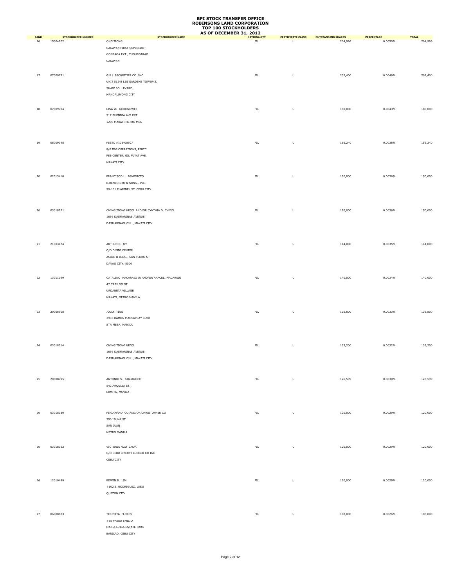|                   |                                       |                                                                                                           | AS OF DECEMBER 31, 2012           |                                                                                                            |                                      |                              |                         |
|-------------------|---------------------------------------|-----------------------------------------------------------------------------------------------------------|-----------------------------------|------------------------------------------------------------------------------------------------------------|--------------------------------------|------------------------------|-------------------------|
| <b>RANK</b><br>16 | <b>STOCKHOLDER NUMBER</b><br>15004202 | <b>STOCKHOLDER NAME</b><br>ONG TIONG<br>CAGAYAN FIRST SUPERMART<br>GONZAGA EXT., TUGUEGARAO               | <b>NATIONALITY</b><br>${\sf FIL}$ | <b>CERTIFICATE CLASS</b><br>U                                                                              | <b>OUTSTANDING SHARES</b><br>204,996 | <b>PERCENTAGE</b><br>0.0050% | <b>TOTAL</b><br>204,996 |
| 17                | 07009721                              | CAGAYAN<br>G & L SECURITIES CO. INC.<br>UNIT 512-B LEE GARDENS TOWER-2,                                   | ${\sf FIL}$                       | U                                                                                                          | 202,400                              | 0.0049%                      | 202,400                 |
| 18                | 07009704                              | SHAW BOULEVARD,<br>MANDALUYONG CITY<br>LISA YU GOKONGWEI                                                  | ${\sf FIL}$                       | $\sf U$                                                                                                    | 180,000                              | 0.0043%                      | 180,000                 |
|                   |                                       | 517 BUENDIA AVE EXT<br>1200 MAKATI METRO MLA                                                              |                                   |                                                                                                            |                                      |                              |                         |
| 19                | 06009348                              | FEBTC #103-00507<br>8/F TBG OPERATIONS, FEBTC<br>FEB CENTER, GIL PUYAT AVE.<br>MAKATI CITY                | ${\sf FIL}$                       | U                                                                                                          | 156,240                              | 0.0038%                      | 156,240                 |
| 20                | 02013410                              | FRANCISCO L. BENEDICTO<br>B.BENEDICTO & SONS., INC.<br>99-101 PLARIDEL ST. CEBU CITY                      | ${\sf FIL}$                       | $\mathsf{U}% _{T}=\mathsf{U}_{T}\!\left( a,b\right) ,\ \mathsf{U}_{T}=\mathsf{U}_{T}\!\left( a,b\right) ,$ | 150,000                              | 0.0036%                      | 150,000                 |
| 20                | 03018571                              | CHING TIONG KENG AND/OR CYNTHIA D. CHING<br>1656 DASMARINAS AVENUE<br>DASMARINAS VILL., MAKATI CITY       | ${\sf FIL}$                       | U                                                                                                          | 150,000                              | 0.0036%                      | 150,000                 |
| 21                | 21003474                              | ARTHUR C. UY<br>C/O DIMDI CENTER<br>ASAJE II BLDG., SAN PEDRO ST.<br>DAVAO CITY, 8000                     | ${\sf FIL}$                       | U                                                                                                          | 144,000                              | 0.0035%                      | 144,000                 |
| 22                | 13011099                              | CATALINO MACARAIG JR AND/OR ARACELI MACARAIG<br>47 CABILDO ST<br>URDANETA VILLAGE<br>MAKATI, METRO MANILA | ${\sf FIL}$                       | U                                                                                                          | 140,000                              | 0.0034%                      | 140,000                 |
| 23                | 20008908                              | JOLLY TING<br>3933 RAMON MAGSAYSAY BLVD<br>STA MESA, MANILA                                               | ${\sf FIL}$                       | U                                                                                                          | 136,800                              | 0.0033%                      | 136,800                 |
| 24                | 03018314                              | CHING TIONG KENG<br>1656 DASMARINAS AVENUE<br>DASMARINAS VILL., MAKATI CITY                               | FL                                | $\sf U$                                                                                                    | 133,200                              | 0.0032%                      | 133,200                 |
| 25                | 20008795                              | ANTONIO S. TANJANGCO<br>542 ARQUIZA ST.,<br>ERMITA, MANILA                                                | ${\sf FIL}$                       | $\sf U$                                                                                                    | 126,599                              | 0.0030%                      | 126,599                 |
| 26                | 03018330                              | FERDINAND CO AND/OR CHRISTOPHER CO<br>250 IBUNA ST<br>SAN JUAN<br>METRO MANILA                            | FL                                | $\sf U$                                                                                                    | 120,000                              | 0.0029%                      | 120,000                 |
| 26                | 03018352                              | VICTORIA NGO CHUA<br>C/O CEBU LIBERTY LUMBER CO INC<br>CEBU CITY                                          | FL                                | $\mathsf{U}% _{T}=\mathsf{U}_{T}\!\left( a,b\right) ,\ \mathsf{U}_{T}=\mathsf{U}_{T}\!\left( a,b\right) ,$ | 120,000                              | 0.0029%                      | 120,000                 |
| 26                | 12010489                              | EDWIN B. LIM<br>#102 E. RODRIGUEZ, LIBIS<br>QUEZON CITY                                                   | ${\sf FIL}$                       | U                                                                                                          | 120,000                              | 0.0029%                      | 120,000                 |
| 27                | 06008883                              | TERESITA FLORES<br>#35 PASEO EMILIO<br>MARIA LUISA ESTATE PARK<br>BANILAD, CEBU CITY                      | FL                                | $\sf U$                                                                                                    | 108,000                              | 0.0026%                      | 108,000                 |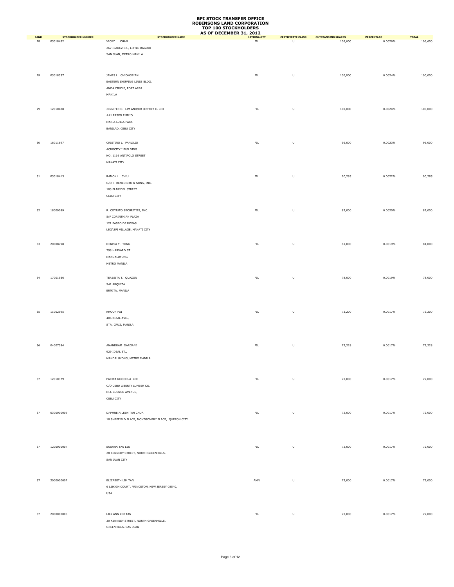|                   |                                       |                                                   | AS OF DECEMBER 31, 2012 |                               |                                      |                       |                         |
|-------------------|---------------------------------------|---------------------------------------------------|-------------------------|-------------------------------|--------------------------------------|-----------------------|-------------------------|
| <b>RANK</b><br>28 | <b>STOCKHOLDER NUMBER</b><br>03018452 | <b>STOCKHOLDER NAME</b><br>VICKY L. CHAN          | FL                      | <b>CERTIFICATE CLASS</b><br>U | <b>OUTSTANDING SHARES</b><br>106,600 | PERCENTAGE<br>0.0026% | <b>TOTAL</b><br>106,600 |
|                   |                                       |                                                   |                         |                               |                                      |                       |                         |
|                   |                                       | 267 IBANEZ ST., LITTLE BAGUIO                     |                         |                               |                                      |                       |                         |
|                   |                                       | SAN JUAN, METRO MANILA                            |                         |                               |                                      |                       |                         |
|                   |                                       |                                                   |                         |                               |                                      |                       |                         |
|                   |                                       |                                                   |                         |                               |                                      |                       |                         |
| 29                | 03018337                              | JAMES L. CHIONGBIAN                               | ${\sf FIL}$             | $\sf U$                       | 100,000                              | 0.0024%               | 100,000                 |
|                   |                                       | EASTERN SHIPPING LINES BLDG.                      |                         |                               |                                      |                       |                         |
|                   |                                       |                                                   |                         |                               |                                      |                       |                         |
|                   |                                       | ANDA CIRCLE, PORT AREA                            |                         |                               |                                      |                       |                         |
|                   |                                       | MANILA                                            |                         |                               |                                      |                       |                         |
|                   |                                       |                                                   |                         |                               |                                      |                       |                         |
| 29                | 12010488                              | JENNIFER C. LIM AND/OR JEFFREY C. LIM             | ${\sf FIL}$             | $\sf U$                       | 100,000                              | 0.0024%               | 100,000                 |
|                   |                                       | #41 PASEO EMILIO                                  |                         |                               |                                      |                       |                         |
|                   |                                       | MARIA LUISA PARK                                  |                         |                               |                                      |                       |                         |
|                   |                                       |                                                   |                         |                               |                                      |                       |                         |
|                   |                                       | BANILAD, CEBU CITY                                |                         |                               |                                      |                       |                         |
|                   |                                       |                                                   |                         |                               |                                      |                       |                         |
| 30                | 16011697                              | CRISTINO L. PANLILIO                              | FIL                     | $\sf U$                       | 96,000                               | 0.0023%               | 96,000                  |
|                   |                                       | ACROCITY I BUILDING                               |                         |                               |                                      |                       |                         |
|                   |                                       | NO. 1116 ANTIPOLO STREET                          |                         |                               |                                      |                       |                         |
|                   |                                       | MAKATI CITY                                       |                         |                               |                                      |                       |                         |
|                   |                                       |                                                   |                         |                               |                                      |                       |                         |
|                   |                                       |                                                   |                         |                               |                                      |                       |                         |
| 31                | 03018413                              | RAMON L. CHIU                                     | ${\sf FIL}$             | $\sf U$                       | 90,285                               | 0.0022%               | 90,285                  |
|                   |                                       | C/O B. BENEDICTO & SONS, INC.                     |                         |                               |                                      |                       |                         |
|                   |                                       | 103 PLARIDEL STREET                               |                         |                               |                                      |                       |                         |
|                   |                                       | CEBU CITY                                         |                         |                               |                                      |                       |                         |
|                   |                                       |                                                   |                         |                               |                                      |                       |                         |
|                   |                                       |                                                   |                         |                               |                                      |                       |                         |
| 32                | 18009089                              | R. COYIUTO SECURITIES, INC.                       | ${\sf FIL}$             | $\sf U$                       | 82,000                               | 0.0020%               | 82,000                  |
|                   |                                       | 5/F CORINTHIAN PLAZA                              |                         |                               |                                      |                       |                         |
|                   |                                       | 121 PASEO DE ROXAS                                |                         |                               |                                      |                       |                         |
|                   |                                       | LEGASPI VILLAGE, MAKATI CITY                      |                         |                               |                                      |                       |                         |
|                   |                                       |                                                   |                         |                               |                                      |                       |                         |
|                   |                                       |                                                   |                         |                               |                                      |                       |                         |
| 33                | 20008798                              | DENISA Y. TONG                                    | ${\sf FIL}$             | $\sf U$                       | 81,000                               | 0.0019%               | 81,000                  |
|                   |                                       | 798 HARVARD ST                                    |                         |                               |                                      |                       |                         |
|                   |                                       | MANDALUYONG                                       |                         |                               |                                      |                       |                         |
|                   |                                       | METRO MANILA                                      |                         |                               |                                      |                       |                         |
|                   |                                       |                                                   |                         |                               |                                      |                       |                         |
|                   |                                       |                                                   |                         |                               |                                      |                       |                         |
| 34                | 17001936                              | TERESITA T. QUAZON                                | ${\sf FIL}$             | $\sf U$                       | 78,000                               | 0.0019%               | 78,000                  |
|                   |                                       | 542 ARQUIZA                                       |                         |                               |                                      |                       |                         |
|                   |                                       | ERMITA, MANILA                                    |                         |                               |                                      |                       |                         |
|                   |                                       |                                                   |                         |                               |                                      |                       |                         |
|                   |                                       |                                                   |                         |                               |                                      |                       |                         |
|                   |                                       |                                                   |                         |                               |                                      |                       |                         |
| 35                | 11002995                              | KHOON POI                                         | ${\sf FIL}$             | $\sf U$                       | 73,200                               | 0.0017%               | 73,200                  |
|                   |                                       | 406 RIZAL AVE.,                                   |                         |                               |                                      |                       |                         |
|                   |                                       | STA. CRUZ, MANILA                                 |                         |                               |                                      |                       |                         |
|                   |                                       |                                                   |                         |                               |                                      |                       |                         |
|                   |                                       |                                                   |                         |                               |                                      |                       |                         |
|                   |                                       |                                                   |                         |                               |                                      |                       |                         |
| 36                | 04007384                              | ANANDRAM DARGANI                                  | ${\sf FIL}$             | $\sf U$                       | 72,228                               | 0.0017%               | 72,228                  |
|                   |                                       | 929 IDEAL ST.,                                    |                         |                               |                                      |                       |                         |
|                   |                                       | MANDALUYONG, METRO MANILA                         |                         |                               |                                      |                       |                         |
|                   |                                       |                                                   |                         |                               |                                      |                       |                         |
|                   |                                       |                                                   |                         |                               |                                      |                       |                         |
|                   |                                       |                                                   |                         |                               |                                      |                       |                         |
| 37                | 12010379                              | PACITA NGOCHUA LEE                                | ${\sf FIL}$             | $\sf U$                       | 72,000                               | 0.0017%               | 72,000                  |
|                   |                                       | C/O CEBU LIBERTY LUMBER CO.                       |                         |                               |                                      |                       |                         |
|                   |                                       | M.J. CUENCO AVENUE,                               |                         |                               |                                      |                       |                         |
|                   |                                       | CEBU CITY                                         |                         |                               |                                      |                       |                         |
|                   |                                       |                                                   |                         |                               |                                      |                       |                         |
|                   |                                       |                                                   |                         |                               |                                      |                       |                         |
| 37                | 0300000009                            | DAPHNE AILEEN TAN CHUA                            | ${\sf FIL}$             | $\sf U$                       | 72,000                               | 0.0017%               | 72,000                  |
|                   |                                       | 18 SHEFFIELD PLACE, MONTGOMERY PLACE, QUEZON CITY |                         |                               |                                      |                       |                         |
|                   |                                       |                                                   |                         |                               |                                      |                       |                         |
|                   |                                       |                                                   |                         |                               |                                      |                       |                         |
|                   |                                       |                                                   |                         |                               |                                      |                       |                         |
| 37                | 1200000007                            |                                                   | FL                      | $\sf U$                       |                                      | 0.0017%               | 72,000                  |
|                   |                                       | SUSANA TAN LEE                                    |                         |                               | 72,000                               |                       |                         |
|                   |                                       | 28 KENNEDY STREET, NORTH GREENHILLS,              |                         |                               |                                      |                       |                         |
|                   |                                       | SAN JUAN CITY                                     |                         |                               |                                      |                       |                         |
|                   |                                       |                                                   |                         |                               |                                      |                       |                         |
|                   |                                       |                                                   |                         |                               |                                      |                       |                         |
|                   |                                       |                                                   |                         |                               |                                      |                       |                         |
| 37                | 2000000007                            | ELIZABETH LIM TAN                                 | AMN                     | $\sf U$                       | 72,000                               | 0.0017%               | 72,000                  |
|                   |                                       | 6 LEHIGH COURT, PRINCETON, NEW JERSEY 08540,      |                         |                               |                                      |                       |                         |
|                   |                                       | <b>USA</b>                                        |                         |                               |                                      |                       |                         |
|                   |                                       |                                                   |                         |                               |                                      |                       |                         |
|                   |                                       |                                                   |                         |                               |                                      |                       |                         |
| 37                | 2000000006                            | LILY ANN LIM TAN                                  | ${\sf FIL}$             | $\sf U$                       | 72,000                               | 0.0017%               | 72,000                  |
|                   |                                       |                                                   |                         |                               |                                      |                       |                         |
|                   |                                       | 30 KENNEDY STREET, NORTH GREENHILLS,              |                         |                               |                                      |                       |                         |
|                   |                                       | GREENHILLS, SAN JUAN                              |                         |                               |                                      |                       |                         |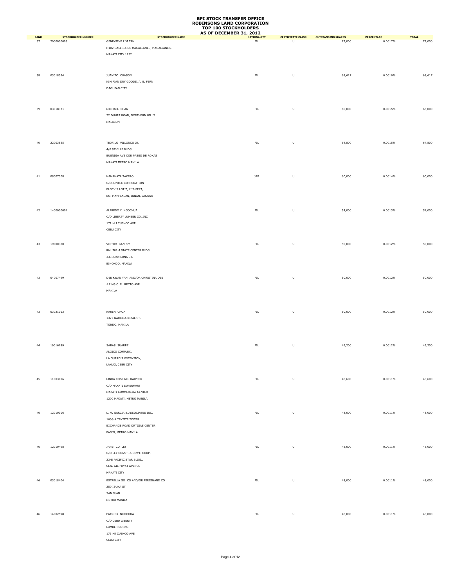|                   |                                         |                                                     | AS OF DECEMBER 31, 2012  |                                    |                                     |                       |                        |
|-------------------|-----------------------------------------|-----------------------------------------------------|--------------------------|------------------------------------|-------------------------------------|-----------------------|------------------------|
| <b>RANK</b><br>37 | <b>STOCKHOLDER NUMBER</b><br>2000000005 | <b>STOCKHOLDER NAME</b><br><b>GENEVIEVE LIM TAN</b> | <b>NATIONALITY</b><br>FL | <b>CERTIFICATE CLASS</b><br>$\cup$ | <b>OUTSTANDING SHARES</b><br>72,000 | PERCENTAGE<br>0.0017% | <b>TOTAL</b><br>72,000 |
|                   |                                         |                                                     |                          |                                    |                                     |                       |                        |
|                   |                                         | H102 GALERIA DE MAGALLANES, MAGALLANES,             |                          |                                    |                                     |                       |                        |
|                   |                                         | MAKATI CITY 1232                                    |                          |                                    |                                     |                       |                        |
|                   |                                         |                                                     |                          |                                    |                                     |                       |                        |
|                   |                                         |                                                     |                          |                                    |                                     |                       |                        |
| 38                | 03018364                                | JUANITO CUASON                                      | ${\sf FIL}$              | U                                  | 68,617                              | 0.0016%               | 68,617                 |
|                   |                                         | KIM PIAN DRY GOODS, A. B. FERN                      |                          |                                    |                                     |                       |                        |
|                   |                                         | DAGUPAN CITY                                        |                          |                                    |                                     |                       |                        |
|                   |                                         |                                                     |                          |                                    |                                     |                       |                        |
|                   |                                         |                                                     |                          |                                    |                                     |                       |                        |
|                   |                                         |                                                     |                          |                                    |                                     |                       |                        |
| 39                | 03018321                                | MICHAEL CHAN                                        | ${\sf FIL}$              | U                                  | 65,000                              | 0.0015%               | 65,000                 |
|                   |                                         | 22 DUHAT ROAD, NORTHERN HILLS                       |                          |                                    |                                     |                       |                        |
|                   |                                         | MALABON                                             |                          |                                    |                                     |                       |                        |
|                   |                                         |                                                     |                          |                                    |                                     |                       |                        |
|                   |                                         |                                                     |                          |                                    |                                     |                       |                        |
| 40                | 22003825                                | TEOFILO VILLONCO JR.                                | ${\sf FIL}$              | $\sf U$                            | 64,800                              | 0.0015%               | 64,800                 |
|                   |                                         | 4/F SAVILLE BLDG                                    |                          |                                    |                                     |                       |                        |
|                   |                                         |                                                     |                          |                                    |                                     |                       |                        |
|                   |                                         | BUENDIA AVE COR PASEO DE ROXAS                      |                          |                                    |                                     |                       |                        |
|                   |                                         | MAKATI METRO MANILA                                 |                          |                                    |                                     |                       |                        |
|                   |                                         |                                                     |                          |                                    |                                     |                       |                        |
| 41                | 08007308                                | HAMAHATA TAKERO                                     | JAP                      | $\sf U$                            | 60,000                              | 0.0014%               | 60,000                 |
|                   |                                         | C/O JUNTEC CORPORATION                              |                          |                                    |                                     |                       |                        |
|                   |                                         | BLOCK 5 LOT 7, LIIP-PEZA,                           |                          |                                    |                                     |                       |                        |
|                   |                                         | BO. MAMPLASAN, BINAN, LAGUNA                        |                          |                                    |                                     |                       |                        |
|                   |                                         |                                                     |                          |                                    |                                     |                       |                        |
|                   |                                         |                                                     |                          |                                    |                                     |                       |                        |
| 42                | 1400000001                              | ALFREDO Y. NGOCHUA                                  | ${\sf FIL}$              | U                                  | 54,000                              | 0.0013%               | 54,000                 |
|                   |                                         | C/O LIBERTY LUMBER CO., INC                         |                          |                                    |                                     |                       |                        |
|                   |                                         | 171 M.J.CUENCO AVE.                                 |                          |                                    |                                     |                       |                        |
|                   |                                         | CEBU CITY                                           |                          |                                    |                                     |                       |                        |
|                   |                                         |                                                     |                          |                                    |                                     |                       |                        |
|                   |                                         |                                                     |                          |                                    |                                     |                       |                        |
| 43                | 19000380                                | VICTOR GAN SY                                       | ${\sf FIL}$              | U                                  | 50,000                              | 0.0012%               | 50,000                 |
|                   |                                         | RM. 701-J STATE CENTER BLDG.                        |                          |                                    |                                     |                       |                        |
|                   |                                         | 333 JUAN LUNA ST.                                   |                          |                                    |                                     |                       |                        |
|                   |                                         | BINONDO, MANILA                                     |                          |                                    |                                     |                       |                        |
|                   |                                         |                                                     |                          |                                    |                                     |                       |                        |
| 43                | 04007499                                | DEE KWAN YAN AND/OR CHRISTINA DEE                   | ${\sf FIL}$              | U                                  | 50,000                              | 0.0012%               | 50,000                 |
|                   |                                         | #1146 C. M. RECTO AVE.,                             |                          |                                    |                                     |                       |                        |
|                   |                                         | MANILA                                              |                          |                                    |                                     |                       |                        |
|                   |                                         |                                                     |                          |                                    |                                     |                       |                        |
|                   |                                         |                                                     |                          |                                    |                                     |                       |                        |
|                   |                                         |                                                     |                          |                                    |                                     |                       |                        |
| 43                | 03021013                                | KAREN CHOA                                          | ${\sf FIL}$              | U                                  | 50,000                              | 0.0012%               | 50,000                 |
|                   |                                         | 1377 NARCISA RIZAL ST.                              |                          |                                    |                                     |                       |                        |
|                   |                                         | TONDO, MANILA                                       |                          |                                    |                                     |                       |                        |
|                   |                                         |                                                     |                          |                                    |                                     |                       |                        |
|                   |                                         |                                                     |                          |                                    |                                     |                       |                        |
|                   |                                         |                                                     |                          |                                    |                                     |                       |                        |
| 44                | 19016189                                | SABAS SUAREZ                                        | ${\sf FIL}$              | U                                  | 49,200                              | 0.0012%               | 49,200                 |
|                   |                                         | ALGICO COMPLEX,                                     |                          |                                    |                                     |                       |                        |
|                   |                                         | LA GUARDIA EXTENSION,                               |                          |                                    |                                     |                       |                        |
|                   |                                         | LAHUG, CEBU CITY                                    |                          |                                    |                                     |                       |                        |
|                   |                                         |                                                     |                          |                                    |                                     |                       |                        |
| 45                | 11003006                                | LINDA ROSE NG KAWSEK                                | ${\sf FIL}$              | U                                  | 48,600                              | 0.0011%               | 48,600                 |
|                   |                                         |                                                     |                          |                                    |                                     |                       |                        |
|                   |                                         | C/O MAKATI SUPERMART                                |                          |                                    |                                     |                       |                        |
|                   |                                         | MAKATI COMMERCIAL CENTER                            |                          |                                    |                                     |                       |                        |
|                   |                                         | 1200 MAKATI, METRO MANILA                           |                          |                                    |                                     |                       |                        |
|                   |                                         |                                                     |                          |                                    |                                     |                       |                        |
| 46                | 12010306                                | L. M. GARCIA & ASSOCIATES INC.                      | <b>FIL</b>               | $\sf U$                            | 48,000                              | 0.0011%               | 48,000                 |
|                   |                                         | 1606-A TEKTITE TOWER                                |                          |                                    |                                     |                       |                        |
|                   |                                         | EXCHANGE ROAD ORTIGAS CENTER                        |                          |                                    |                                     |                       |                        |
|                   |                                         | PASIG, METRO MANILA                                 |                          |                                    |                                     |                       |                        |
|                   |                                         |                                                     |                          |                                    |                                     |                       |                        |
|                   |                                         |                                                     |                          |                                    |                                     |                       |                        |
| 46                | 12010498                                | JANET CO LEY                                        | ${\sf FIL}$              | U                                  | 48,000                              | 0.0011%               | 48,000                 |
|                   |                                         | C/O LEY CONST. & DEV'T. CORP.                       |                          |                                    |                                     |                       |                        |
|                   |                                         | 23-E PACIFIC STAR BLDG.,                            |                          |                                    |                                     |                       |                        |
|                   |                                         | SEN. GIL PUYAT AVENUE                               |                          |                                    |                                     |                       |                        |
|                   |                                         | MAKATI CITY                                         |                          |                                    |                                     |                       |                        |
|                   |                                         |                                                     |                          |                                    |                                     |                       |                        |
| 46                | 03018404                                | ESTRELLA GO CO AND/OR FERDINAND CO                  | FL                       | $\sf U$                            | 48,000                              | 0.0011%               | 48,000                 |
|                   |                                         | 250 IBUNA ST                                        |                          |                                    |                                     |                       |                        |
|                   |                                         | SAN JUAN                                            |                          |                                    |                                     |                       |                        |
|                   |                                         | METRO MANILA                                        |                          |                                    |                                     |                       |                        |
|                   |                                         |                                                     |                          |                                    |                                     |                       |                        |
| 46                | 14002598                                | PATRICK NGOCHUA                                     | ${\sf FIL}$              | $\sf U$                            | 48,000                              | 0.0011%               | 48,000                 |
|                   |                                         | C/O CEBU LIBERTY                                    |                          |                                    |                                     |                       |                        |
|                   |                                         |                                                     |                          |                                    |                                     |                       |                        |
|                   |                                         | LUMBER CO INC                                       |                          |                                    |                                     |                       |                        |
|                   |                                         | 173 MJ CUENCO AVE                                   |                          |                                    |                                     |                       |                        |
|                   |                                         | CEBU CITY                                           |                          |                                    |                                     |                       |                        |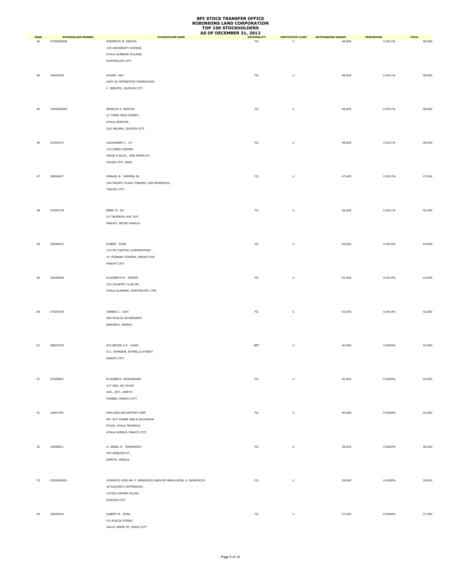|                   |                                         |                                                                | AS OF DECEMBER 31, 2012          |                                                                                                            |                                     |                       |                        |
|-------------------|-----------------------------------------|----------------------------------------------------------------|----------------------------------|------------------------------------------------------------------------------------------------------------|-------------------------------------|-----------------------|------------------------|
| <b>RANK</b><br>46 | <b>STOCKHOLDER NUMBER</b><br>0700000006 | <b>STOCKHOLDER NAME</b><br>RODERICK M. GRACIA                  | <b>NATIONALITY</b><br><b>FIL</b> | <b>CERTIFICATE CLASS</b><br>$\overline{U}$                                                                 | <b>OUTSTANDING SHARES</b><br>48,000 | PERCENTAGE<br>0.0011% | <b>TOTAL</b><br>48,000 |
|                   |                                         | 125 UNIVERSITY AVENUE,                                         |                                  |                                                                                                            |                                     |                       |                        |
|                   |                                         | AYALA ALABANG VILLAGE,                                         |                                  |                                                                                                            |                                     |                       |                        |
|                   |                                         | MUNTINLUPA CITY                                                |                                  |                                                                                                            |                                     |                       |                        |
|                   |                                         |                                                                |                                  |                                                                                                            |                                     |                       |                        |
|                   |                                         |                                                                |                                  |                                                                                                            |                                     |                       |                        |
| 46                | 25003924                                | SUSAN YAO                                                      | ${\sf FIL}$                      | U                                                                                                          | 48,000                              | 0.0011%               | 48,000                 |
|                   |                                         | UNIT 20 INTERSTATE TOWNHOUSE                                   |                                  |                                                                                                            |                                     |                       |                        |
|                   |                                         | C. BENITEZ, QUEZON CITY                                        |                                  |                                                                                                            |                                     |                       |                        |
|                   |                                         |                                                                |                                  |                                                                                                            |                                     |                       |                        |
|                   |                                         |                                                                |                                  |                                                                                                            |                                     |                       |                        |
| 46                | 1900000004                              | BENILDA S. SANTOS                                              | ${\sf FIL}$                      | U                                                                                                          | 48,000                              | 0.0011%               | 48,000                 |
|                   |                                         | 21 TIRAD PASS STREET,                                          |                                  |                                                                                                            |                                     |                       |                        |
|                   |                                         | AYALA HEIGHTS,                                                 |                                  |                                                                                                            |                                     |                       |                        |
|                   |                                         | OLD BALARA, QUEZON CITY                                        |                                  |                                                                                                            |                                     |                       |                        |
|                   |                                         |                                                                |                                  |                                                                                                            |                                     |                       |                        |
| 46                | 21003473                                | ALEXANDER C. UY                                                | ${\sf FIL}$                      | $\mathsf{U}% _{T}=\mathsf{U}_{T}\!\left( a,b\right) ,\ \mathsf{U}_{T}=\mathsf{U}_{T}\!\left( a,b\right) ,$ | 48,000                              | 0.0011%               | 48,000                 |
|                   |                                         | C/O DIMDI CENTER                                               |                                  |                                                                                                            |                                     |                       |                        |
|                   |                                         | ASAJE II BLDG., SAN PEDRO ST.                                  |                                  |                                                                                                            |                                     |                       |                        |
|                   |                                         | DAVAO CITY, 8000                                               |                                  |                                                                                                            |                                     |                       |                        |
|                   |                                         |                                                                |                                  |                                                                                                            |                                     |                       |                        |
|                   |                                         |                                                                |                                  |                                                                                                            |                                     |                       |                        |
| 47                | 26000617                                | MANUEL B. ZAMORA JR.                                           | ${\sf FIL}$                      | $\sf U$                                                                                                    | 47,400                              | 0.0011%               | 47,400                 |
|                   |                                         | 34A PACIFIC PLAZA TOWERS, FOR BONIFACIO,                       |                                  |                                                                                                            |                                     |                       |                        |
|                   |                                         | TAGUIG CITY                                                    |                                  |                                                                                                            |                                     |                       |                        |
|                   |                                         |                                                                |                                  |                                                                                                            |                                     |                       |                        |
|                   |                                         |                                                                |                                  |                                                                                                            |                                     |                       |                        |
| 48                | 07009735                                | BEBE YU GO                                                     | ${\sf FIL}$                      | U                                                                                                          | 46,400                              | 0.0011%               | 46,400                 |
|                   |                                         | 517 BUENDIA AVE. EXT.                                          |                                  |                                                                                                            |                                     |                       |                        |
|                   |                                         | MAKATI, METRO MANILA                                           |                                  |                                                                                                            |                                     |                       |                        |
|                   |                                         |                                                                |                                  |                                                                                                            |                                     |                       |                        |
|                   |                                         |                                                                |                                  |                                                                                                            |                                     |                       |                        |
| 49                | 26000613                                | ELBERT ZOSA                                                    | ${\sf FIL}$                      | U                                                                                                          | 45,000                              | 0.0010%               | 45,000                 |
|                   |                                         | C/O PCI CAPITAL CORPORATION                                    |                                  |                                                                                                            |                                     |                       |                        |
|                   |                                         | #1 PCIBANK TOWERS, MAKATI AVE                                  |                                  |                                                                                                            |                                     |                       |                        |
|                   |                                         |                                                                |                                  |                                                                                                            |                                     |                       |                        |
|                   |                                         | MAKATI CITY                                                    |                                  |                                                                                                            |                                     |                       |                        |
|                   |                                         |                                                                |                                  |                                                                                                            |                                     |                       |                        |
| 50                | 26000604                                | ELIZABETH M. ZARATE                                            | ${\sf FIL}$                      | U                                                                                                          | 42,000                              | 0.0010%               | 42,000                 |
|                   |                                         | 320 COUNTRY CLUB DR.,                                          |                                  |                                                                                                            |                                     |                       |                        |
|                   |                                         | AYALA ALABANG, MUNTINLUPA 1780                                 |                                  |                                                                                                            |                                     |                       |                        |
|                   |                                         |                                                                |                                  |                                                                                                            |                                     |                       |                        |
|                   |                                         |                                                                |                                  |                                                                                                            |                                     |                       |                        |
| 50                | 07009720                                | DEBBIE C. GOH                                                  | ${\sf FIL}$                      | U                                                                                                          | 42,000                              | 0.0010%               | 42,000                 |
|                   |                                         | 669 MUELLE DE BINONDO                                          |                                  |                                                                                                            |                                     |                       |                        |
|                   |                                         | BINONDO, MANILA                                                |                                  |                                                                                                            |                                     |                       |                        |
|                   |                                         |                                                                |                                  |                                                                                                            |                                     |                       |                        |
|                   |                                         |                                                                |                                  |                                                                                                            |                                     |                       |                        |
|                   |                                         | SYLVESTER S.K. HUNG                                            |                                  |                                                                                                            |                                     |                       |                        |
| 51                | 08007205                                |                                                                | BRT                              | $\sf U$                                                                                                    | 40,000                              | 0.0009%               | 40,000                 |
|                   |                                         | S.C. JOHNSON, ESTRELLA STREET                                  |                                  |                                                                                                            |                                     |                       |                        |
|                   |                                         | MAKATI CITY                                                    |                                  |                                                                                                            |                                     |                       |                        |
|                   |                                         |                                                                |                                  |                                                                                                            |                                     |                       |                        |
|                   |                                         |                                                                |                                  |                                                                                                            |                                     |                       |                        |
| 51                | 07009851                                | ELIZABETH GOKONGWEI                                            | ${\sf FIL}$                      | $\sf U$                                                                                                    | 40,000                              | 0.0009%               | 40,000                 |
|                   |                                         | 517 SEN. GIL PUYAT                                             |                                  |                                                                                                            |                                     |                       |                        |
|                   |                                         | AVE., EXT., NORTH                                              |                                  |                                                                                                            |                                     |                       |                        |
|                   |                                         | FORBES, MAKATI CITY                                            |                                  |                                                                                                            |                                     |                       |                        |
|                   |                                         |                                                                |                                  |                                                                                                            |                                     |                       |                        |
| 51                | 16007361                                | PAN-ASIA SECURITIES CORP.                                      | ${\sf FIL}$                      | $\sf U$                                                                                                    | 40,000                              | 0.0009%               | 40,000                 |
|                   |                                         | RM. 910 TOWER ONE & EXCHANGE                                   |                                  |                                                                                                            |                                     |                       |                        |
|                   |                                         | PLAZA, AYALA TRIANGLE                                          |                                  |                                                                                                            |                                     |                       |                        |
|                   |                                         | AYALA AVENUE, MAKATI CITY                                      |                                  |                                                                                                            |                                     |                       |                        |
|                   |                                         |                                                                |                                  |                                                                                                            |                                     |                       |                        |
|                   |                                         |                                                                |                                  |                                                                                                            |                                     |                       |                        |
| 52                | 20008811                                | A. ANGEL S. TANJANGCO                                          | ${\sf FIL}$                      | U                                                                                                          | 38,500                              | 0.0009%               | 38,500                 |
|                   |                                         | 542 ARQUIZA ST.,                                               |                                  |                                                                                                            |                                     |                       |                        |
|                   |                                         | ERMITA, MANILA                                                 |                                  |                                                                                                            |                                     |                       |                        |
|                   |                                         |                                                                |                                  |                                                                                                            |                                     |                       |                        |
|                   |                                         |                                                                |                                  |                                                                                                            |                                     |                       |                        |
| 53                | 0200000001                              | VIVENCIO JOSE MA. F. BONIFACIO AND/OR MARIA ADIEL S. BONIFACIO | ${\sf FIL}$                      | U                                                                                                          | 38,000                              | 0.0009%               | 38,000                 |
|                   |                                         | 39 SOLIVEN 3 EXTENSION,                                        |                                  |                                                                                                            |                                     |                       |                        |
|                   |                                         | LOYOLA GRAND VILLAS,                                           |                                  |                                                                                                            |                                     |                       |                        |
|                   |                                         | QUEZON CITY                                                    |                                  |                                                                                                            |                                     |                       |                        |
|                   |                                         |                                                                |                                  |                                                                                                            |                                     |                       |                        |
| 54                | 26000616                                | ELBERT M. ZOSA                                                 | ${\sf FIL}$                      | $\sf U$                                                                                                    | 37,500                              | 0.0009%               | 37,500                 |
|                   |                                         | #3 ACACIA STREET                                               |                                  |                                                                                                            |                                     |                       |                        |
|                   |                                         | VALLE VERDE III, PASIG CITY                                    |                                  |                                                                                                            |                                     |                       |                        |
|                   |                                         |                                                                |                                  |                                                                                                            |                                     |                       |                        |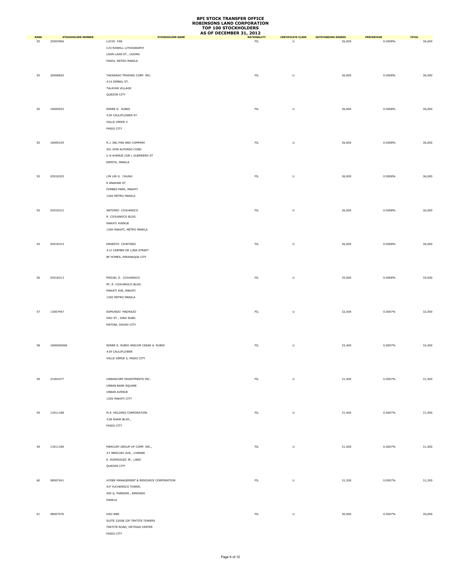|                   |                                       |                                         | AS OF DECEMBER 31, 2012  |                               |                                     |                       |                        |
|-------------------|---------------------------------------|-----------------------------------------|--------------------------|-------------------------------|-------------------------------------|-----------------------|------------------------|
| <b>RANK</b><br>55 | <b>STOCKHOLDER NUMBER</b><br>25003906 | STOCKHOLDER NAME<br>LUCIO YAN           | <b>NATIONALITY</b><br>FL | <b>CERTIFICATE CLASS</b><br>U | <b>OUTSTANDING SHARES</b><br>36,000 | PERCENTAGE<br>0.0008% | <b>TOTAL</b><br>36,000 |
|                   |                                       |                                         |                          |                               |                                     |                       |                        |
|                   |                                       | C/O ROWELL LITHOGRAPHY                  |                          |                               |                                     |                       |                        |
|                   |                                       | LAON-LAAN ST., UGONG                    |                          |                               |                                     |                       |                        |
|                   |                                       | PASIG, METRO MANILA                     |                          |                               |                                     |                       |                        |
|                   |                                       |                                         |                          |                               |                                     |                       |                        |
|                   |                                       |                                         |                          |                               |                                     |                       |                        |
| 55                | 20008820                              | TAKASAGO TRADING CORP. INC.             | ${\sf FIL}$              | U                             | 36,000                              | 0.0008%               | 36,000                 |
|                   |                                       | #14 SIMBAL ST.                          |                          |                               |                                     |                       |                        |
|                   |                                       | TALAYAN VILLAGE                         |                          |                               |                                     |                       |                        |
|                   |                                       | QUEZON CITY                             |                          |                               |                                     |                       |                        |
|                   |                                       |                                         |                          |                               |                                     |                       |                        |
|                   |                                       |                                         |                          |                               |                                     |                       |                        |
| 55                | 18009053                              | RENEE D. RUBIO                          | FIL                      | U                             | 36,000                              | 0.0008%               | 36,000                 |
|                   |                                       | #29 CAULIFLOWER ST.                     |                          |                               |                                     |                       |                        |
|                   |                                       | VALLE VERDE V                           |                          |                               |                                     |                       |                        |
|                   |                                       | PASIG CITY                              |                          |                               |                                     |                       |                        |
|                   |                                       |                                         |                          |                               |                                     |                       |                        |
|                   |                                       |                                         |                          |                               |                                     |                       |                        |
| 55                | 18009105                              | R.J. DEL PAN AND COMPANY                | ${\sf FIL}$              | U                             | 36,000                              | 0.0008%               | 36,000                 |
|                   |                                       | 501 DON ALFONSO COND                    |                          |                               |                                     |                       |                        |
|                   |                                       | U N AVENUE COR L GUERRERO ST            |                          |                               |                                     |                       |                        |
|                   |                                       | ERMITA, MANILA                          |                          |                               |                                     |                       |                        |
|                   |                                       |                                         |                          |                               |                                     |                       |                        |
|                   |                                       |                                         |                          |                               |                                     |                       |                        |
| 55                | 03018325                              | LIN LIN G. CHUNG                        | ${\sf FIL}$              | $\sf U$                       | 36,000                              | 0.0008%               | 36,000                 |
|                   |                                       | 8 ANAHAW ST                             |                          |                               |                                     |                       |                        |
|                   |                                       | FORBES PARK, MAKATI                     |                          |                               |                                     |                       |                        |
|                   |                                       | 1200 METRO MANILA                       |                          |                               |                                     |                       |                        |
|                   |                                       |                                         |                          |                               |                                     |                       |                        |
|                   |                                       |                                         |                          |                               |                                     |                       |                        |
| 55                | 03018312                              | ANTONIO COJUANGCO                       | ${\sf FIL}$              | U                             | 36,000                              | 0.0008%               | 36,000                 |
|                   |                                       | R. COJUANGCO BLDG.                      |                          |                               |                                     |                       |                        |
|                   |                                       | MAKATI AVENUE                           |                          |                               |                                     |                       |                        |
|                   |                                       | 1200 MAKATI, METRO MANILA               |                          |                               |                                     |                       |                        |
|                   |                                       |                                         |                          |                               |                                     |                       |                        |
|                   |                                       |                                         |                          |                               |                                     |                       |                        |
| 55                | 03018315                              | ERNESTO CAYETANO                        | ${\sf FIL}$              | U                             | 36,000                              | 0.0008%               | 36,000                 |
|                   |                                       | #12 CARMEN DE LUNA STREET               |                          |                               |                                     |                       |                        |
|                   |                                       |                                         |                          |                               |                                     |                       |                        |
|                   |                                       | BF HOMES, PARANAQUE CITY                |                          |                               |                                     |                       |                        |
|                   |                                       |                                         |                          |                               |                                     |                       |                        |
|                   |                                       |                                         |                          |                               |                                     |                       |                        |
| 56                | 03018313                              | MIGUEL O. COJUANGCO                     | <b>FIL</b>               | U                             | 35,000                              | 0.0008%               | 35,000                 |
|                   |                                       | 8F, R. COJUANGCO BLDG.                  |                          |                               |                                     |                       |                        |
|                   |                                       |                                         |                          |                               |                                     |                       |                        |
|                   |                                       | MAKATI AVE, MAKATI                      |                          |                               |                                     |                       |                        |
|                   |                                       | 1200 METRO MANILA                       |                          |                               |                                     |                       |                        |
|                   |                                       |                                         |                          |                               |                                     |                       |                        |
| 57                | 13007947                              | EDMUNDO MADRAZO                         | ${\sf FIL}$              | U                             | 32,500                              | 0.0007%               | 32,500                 |
|                   |                                       |                                         |                          |                               |                                     |                       |                        |
|                   |                                       | DAO ST., JUNA SUBD.                     |                          |                               |                                     |                       |                        |
|                   |                                       | MATINA, DAVAO CITY                      |                          |                               |                                     |                       |                        |
|                   |                                       |                                         |                          |                               |                                     |                       |                        |
|                   |                                       |                                         |                          |                               |                                     |                       |                        |
|                   |                                       |                                         |                          |                               |                                     |                       |                        |
| 58                | 1800000006                            | RENEE D. RUBIO AND/OR CESAR A. RUBIO    | ${\sf FIL}$              | $\sf U$                       | 32,400                              | 0.0007%               | 32,400                 |
|                   |                                       | #29 CAULIFLOWER                         |                          |                               |                                     |                       |                        |
|                   |                                       | VALLE VERDE 5, PASIG CITY               |                          |                               |                                     |                       |                        |
|                   |                                       |                                         |                          |                               |                                     |                       |                        |
|                   |                                       |                                         |                          |                               |                                     |                       |                        |
|                   |                                       |                                         |                          |                               |                                     |                       |                        |
| 59                | 21003477                              | URBANCORP INVESTMENTS INC.              | ${\sf FIL}$              | $\sf U$                       | 31,500                              | 0.0007%               | 31,500                 |
|                   |                                       | URBAN BANK SQUARE                       |                          |                               |                                     |                       |                        |
|                   |                                       | URBAN AVENUE                            |                          |                               |                                     |                       |                        |
|                   |                                       | 1200 MAKATI CITY                        |                          |                               |                                     |                       |                        |
|                   |                                       |                                         |                          |                               |                                     |                       |                        |
|                   |                                       |                                         |                          |                               |                                     |                       |                        |
| 59                | 13011188                              | M.E. HOLDING CORPORATION                | ${\sf FIL}$              | $\cup$                        | 31,500                              | 0.0007%               | 31,500                 |
|                   |                                       | #28 SHAW BLVD.,                         |                          |                               |                                     |                       |                        |
|                   |                                       | PASIG CITY                              |                          |                               |                                     |                       |                        |
|                   |                                       |                                         |                          |                               |                                     |                       |                        |
|                   |                                       |                                         |                          |                               |                                     |                       |                        |
|                   |                                       |                                         |                          |                               |                                     |                       |                        |
| 59                | 13011189                              | MERCURY GROUP OF COMP. INC.,            | ${\sf FIL}$              | $\cup$                        | 31,500                              | 0.0007%               | 31,500                 |
|                   |                                       | #7 MERCURY AVE., CORNER                 |                          |                               |                                     |                       |                        |
|                   |                                       |                                         |                          |                               |                                     |                       |                        |
|                   |                                       | E. RODRIGUEZ JR., LIBIS                 |                          |                               |                                     |                       |                        |
|                   |                                       | QUEZON CITY                             |                          |                               |                                     |                       |                        |
|                   |                                       |                                         |                          |                               |                                     |                       |                        |
| 60                | 08007041                              | HYDEE MANAGEMENT & RESOURCE CORPORATION | ${\sf FIL}$              | U                             | 31,200                              | 0.0007%               | 31,200                 |
|                   |                                       |                                         |                          |                               |                                     |                       |                        |
|                   |                                       | 4/F YUCHENGCO TOWER,                    |                          |                               |                                     |                       |                        |
|                   |                                       | 500 Q. PAREDES, BINONDO                 |                          |                               |                                     |                       |                        |
|                   |                                       | MANILA                                  |                          |                               |                                     |                       |                        |
|                   |                                       |                                         |                          |                               |                                     |                       |                        |
| 61                | 08007076                              | HAO WEE                                 | ${\sf FIL}$              | $\cup$                        | 30,000                              | 0.0007%               | 30,000                 |
|                   |                                       |                                         |                          |                               |                                     |                       |                        |
|                   |                                       | SUITE 2203B 22F TEKTITE TOWERS          |                          |                               |                                     |                       |                        |
|                   |                                       | TEKTITE ROAD, ORTIGAS CENTER            |                          |                               |                                     |                       |                        |
|                   |                                       | PASIG CITY                              |                          |                               |                                     |                       |                        |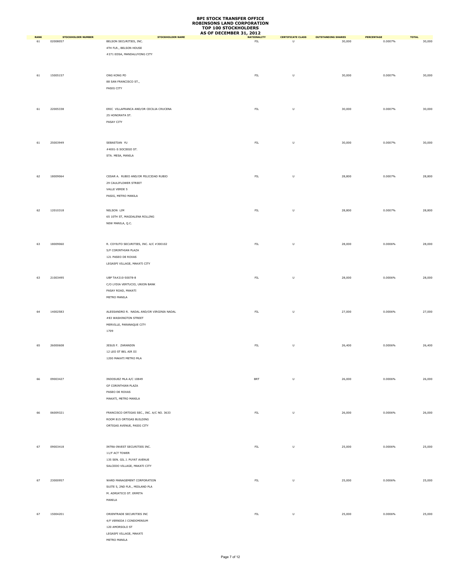|                   |                                       |                                                                                                                       | AS OF DECEMBER 31, 2012  |                                                                                                            |                                     |                       |                        |
|-------------------|---------------------------------------|-----------------------------------------------------------------------------------------------------------------------|--------------------------|------------------------------------------------------------------------------------------------------------|-------------------------------------|-----------------------|------------------------|
| <b>RANK</b><br>61 | <b>STOCKHOLDER NUMBER</b><br>02008057 | <b>STOCKHOLDER NAME</b><br>BELSON SECURITIES, INC.<br>4TH FLR., BELSON HOUSE<br>#271 EDSA, MANDALUYONG CITY           | <b>NATIONALITY</b><br>FL | <b>CERTIFICATE CLASS</b><br>U                                                                              | <b>OUTSTANDING SHARES</b><br>30,000 | PERCENTAGE<br>0.0007% | <b>TOTAL</b><br>30,000 |
| 61                | 15005157                              | ONG KONG PO<br>88 SAN FRANCISCO ST.,<br>PASIG CITY                                                                    | ${\sf FIL}$              | U                                                                                                          | 30,000                              | 0.0007%               | 30,000                 |
| 61                | 22005338                              | ERIC VILLAFRANCA AND/OR CECILIA CRUCENA<br>25 HONORATA ST.<br>PASAY CITY                                              | ${\sf FIL}$              | $\sf U$                                                                                                    | 30,000                              | 0.0007%               | 30,000                 |
| 61                | 25003949                              | SEBASTIAN YU<br>#4001-S SOCIEGO ST.<br>STA. MESA, MANILA                                                              | ${\sf FIL}$              | $\sf U$                                                                                                    | 30,000                              | 0.0007%               | 30,000                 |
| 62                | 18009064                              | CESAR A. RUBIO AND/OR FELICIDAD RUBIO<br>29 CAULIFLOWER STREET<br>VALLE VERDE 5<br>PASIG, METRO MANILA                | ${\sf FIL}$              | $\sf U$                                                                                                    | 28,800                              | 0.0007%               | 28,800                 |
| 62                | 12010318                              | NELSON LIM<br>65 10TH ST, MAGDALENA ROLLING<br>NEW MANILA, Q.C.                                                       | ${\sf FIL}$              | $\sf U$                                                                                                    | 28,800                              | 0.0007%               | 28,800                 |
| 63                | 18009060                              | R. COYIUTO SECURITIES, INC. A/C #300102<br>5/F CORINTHIAN PLAZA<br>121 PASEO DE ROXAS<br>LEGASPI VILLAGE, MAKATI CITY | ${\sf FIL}$              | U                                                                                                          | 28,000                              | 0.0006%               | 28,000                 |
| 63                | 21003495                              | UBP TA#210-50078-8<br>C/O LYDIA VERTUCIO, UNION BANK<br>PASAY ROAD, MAKATI<br>METRO MANILA                            | ${\sf FIL}$              | U                                                                                                          | 28,000                              | 0.0006%               | 28,000                 |
| 64                | 14002583                              | ALESSANDRO R. NADAL AND/OR VIRGINIA NADAL<br>#83 WASHINGTON STREET<br>MERVILLE, PARANAQUE CITY<br>1709                | ${\sf FIL}$              | $\mathsf{U}% _{T}=\mathsf{U}_{T}\!\left( a,b\right) ,\ \mathsf{U}_{T}=\mathsf{U}_{T}\!\left( a,b\right) ,$ | 27,000                              | 0.0006%               | 27,000                 |
| 65                | 26000608                              | JESUS F. ZARANDIN<br>12 LEO ST BEL AIR III<br>1200 MAKATI METRO MLA                                                   | ${\sf FIL}$              | U                                                                                                          | 26,400                              | 0.0006%               | 26,400                 |
| 66                | 09003427                              | INDOSUEZ MLA A/C 10849<br>GF CORINTHIAN PLAZA<br>PASEO DE ROXAS<br>MAKATI, METRO MANILA                               | <b>BRT</b>               | $\sf U$                                                                                                    | 26,000                              | 0.0006%               | 26,000                 |
| 66                | 06009321                              | FRANCISCO ORTIGAS SEC., INC. A/C NO. 3633<br>ROOM 815 ORTIGAS BUILDING<br>ORTIGAS AVENUE, PASIG CITY                  | ${\sf FIL}$              | $\sf U$                                                                                                    | 26,000                              | 0.0006%               | 26,000                 |
| 67                | 09003418                              | INTRA-INVEST SECURITIES INC.<br>11/F ACT TOWER<br>135 SEN. GIL J. PUYAT AVENUE<br>SALCEDO VILLAGE, MAKATI CITY        | ${\sf FIL}$              | U                                                                                                          | 25,000                              | 0.0006%               | 25,000                 |
| 67                | 23000957                              | WARD MANAGEMENT CORPORATION<br>SUITE 5, 2ND FLR., MIDLAND PLA<br>M. ADRIATICO ST. ERMITA<br>MANILA                    | ${\sf FIL}$              | $\sf U$                                                                                                    | 25,000                              | 0.0006%               | 25,000                 |
| 67                | 15004201                              | ORIENTRADE SECURITIES INC<br>4/F VERNIDA I CONDOMINIUM<br>120 AMORSOLO ST<br>LEGASPI VILLAGE, MAKATI<br>METRO MANILA  | ${\sf FIL}$              | $\sf U$                                                                                                    | 25,000                              | 0.0006%               | 25,000                 |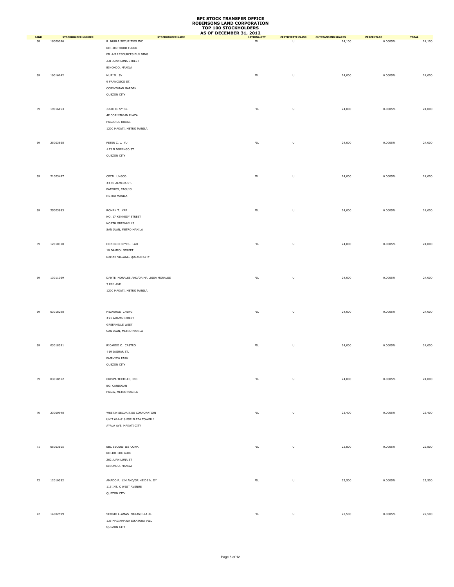|                   |                                       |                                                     | AS OF DECEMBER 31, 2012  |                                                                                                            |                                     |                       |                        |
|-------------------|---------------------------------------|-----------------------------------------------------|--------------------------|------------------------------------------------------------------------------------------------------------|-------------------------------------|-----------------------|------------------------|
| <b>RANK</b><br>68 | <b>STOCKHOLDER NUMBER</b><br>18009090 | <b>STOCKHOLDER NAME</b><br>R. NUBLA SECURITIES INC. | <b>NATIONALITY</b><br>FL | <b>CERTIFICATE CLASS</b><br>U                                                                              | <b>OUTSTANDING SHARES</b><br>24,100 | PERCENTAGE<br>0.0005% | <b>TOTAL</b><br>24,100 |
|                   |                                       | RM. 300 THIRD FLOOR                                 |                          |                                                                                                            |                                     |                       |                        |
|                   |                                       |                                                     |                          |                                                                                                            |                                     |                       |                        |
|                   |                                       | FIL-AM RESOURCES BUILDING                           |                          |                                                                                                            |                                     |                       |                        |
|                   |                                       | 231 JUAN LUNA STREET                                |                          |                                                                                                            |                                     |                       |                        |
|                   |                                       | BINONDO, MANILA                                     |                          |                                                                                                            |                                     |                       |                        |
| 69                | 19016142                              | MURIEL SY                                           | ${\sf FIL}$              | $\sf U$                                                                                                    | 24,000                              | 0.0005%               | 24,000                 |
|                   |                                       | 9 FRANCISCO ST.                                     |                          |                                                                                                            |                                     |                       |                        |
|                   |                                       | CORINTHIAN GARDEN                                   |                          |                                                                                                            |                                     |                       |                        |
|                   |                                       | QUEZON CITY                                         |                          |                                                                                                            |                                     |                       |                        |
|                   |                                       |                                                     |                          |                                                                                                            |                                     |                       |                        |
|                   |                                       |                                                     |                          |                                                                                                            |                                     |                       |                        |
| 69                | 19016153                              | JULIO O. SY SR.                                     | ${\sf FIL}$              | $\sf U$                                                                                                    | 24,000                              | 0.0005%               | 24,000                 |
|                   |                                       | 4F CORINTHIAN PLAZA                                 |                          |                                                                                                            |                                     |                       |                        |
|                   |                                       | PASEO DE ROXAS                                      |                          |                                                                                                            |                                     |                       |                        |
|                   |                                       | 1200 MAKATI, METRO MANILA                           |                          |                                                                                                            |                                     |                       |                        |
|                   |                                       |                                                     |                          |                                                                                                            |                                     |                       |                        |
|                   |                                       |                                                     |                          |                                                                                                            |                                     |                       |                        |
| 69                | 25003868                              | PETER C. L. YU                                      | ${\sf FIL}$              | $\sf U$                                                                                                    | 24,000                              | 0.0005%               | 24,000                 |
|                   |                                       | #23 N DOMINGO ST.                                   |                          |                                                                                                            |                                     |                       |                        |
|                   |                                       | QUEZON CITY                                         |                          |                                                                                                            |                                     |                       |                        |
|                   |                                       |                                                     |                          |                                                                                                            |                                     |                       |                        |
|                   |                                       |                                                     |                          |                                                                                                            |                                     |                       |                        |
| 69                | 21003497                              | CECIL UNGCO                                         | ${\sf FIL}$              | $\sf U$                                                                                                    | 24,000                              | 0.0005%               | 24,000                 |
|                   |                                       | #4 M. ALMEDA ST.                                    |                          |                                                                                                            |                                     |                       |                        |
|                   |                                       |                                                     |                          |                                                                                                            |                                     |                       |                        |
|                   |                                       | PATEROS, TAGUIG                                     |                          |                                                                                                            |                                     |                       |                        |
|                   |                                       | METRO MANILA                                        |                          |                                                                                                            |                                     |                       |                        |
|                   |                                       |                                                     |                          |                                                                                                            |                                     |                       |                        |
| 69                | 25003883                              | ROMAN T. YAP                                        | ${\sf FIL}$              | $\sf U$                                                                                                    | 24,000                              | 0.0005%               | 24,000                 |
|                   |                                       | NO. 17 KENNEDY STREET                               |                          |                                                                                                            |                                     |                       |                        |
|                   |                                       | NORTH GREENHILLS                                    |                          |                                                                                                            |                                     |                       |                        |
|                   |                                       |                                                     |                          |                                                                                                            |                                     |                       |                        |
|                   |                                       | SAN JUAN, METRO MANILA                              |                          |                                                                                                            |                                     |                       |                        |
|                   |                                       |                                                     |                          |                                                                                                            |                                     |                       |                        |
| 69                | 12010310                              | HONORIO REYES- LAO                                  | ${\sf FIL}$              | $\sf U$                                                                                                    | 24,000                              | 0.0005%               | 24,000                 |
|                   |                                       | 10 DAMPOL STREET                                    |                          |                                                                                                            |                                     |                       |                        |
|                   |                                       | DAMAR VILLAGE, QUEZON CITY                          |                          |                                                                                                            |                                     |                       |                        |
|                   |                                       |                                                     |                          |                                                                                                            |                                     |                       |                        |
|                   |                                       |                                                     |                          |                                                                                                            |                                     |                       |                        |
|                   |                                       |                                                     |                          |                                                                                                            |                                     |                       |                        |
| 69                | 13011069                              | DANTE MORALES AND/OR MA LUISA MORALES               | ${\sf FIL}$              | $\sf U$                                                                                                    | 24,000                              | 0.0005%               | 24,000                 |
|                   |                                       | 3 PILI AVE                                          |                          |                                                                                                            |                                     |                       |                        |
|                   |                                       | 1200 MAKATI, METRO MANILA                           |                          |                                                                                                            |                                     |                       |                        |
|                   |                                       |                                                     |                          |                                                                                                            |                                     |                       |                        |
|                   |                                       |                                                     |                          |                                                                                                            |                                     |                       |                        |
|                   |                                       |                                                     |                          |                                                                                                            |                                     |                       |                        |
| 69                | 03018298                              | MILAGROS CHENG                                      | ${\sf FIL}$              | $\mathsf{U}% _{T}=\mathsf{U}_{T}\!\left( a,b\right) ,\ \mathsf{U}_{T}=\mathsf{U}_{T}\!\left( a,b\right) ,$ | 24,000                              | 0.0005%               | 24,000                 |
|                   |                                       | #21 ADAMS STREET                                    |                          |                                                                                                            |                                     |                       |                        |
|                   |                                       | <b>GREENHILLS WEST</b>                              |                          |                                                                                                            |                                     |                       |                        |
|                   |                                       | SAN JUAN, METRO MANILA                              |                          |                                                                                                            |                                     |                       |                        |
|                   |                                       |                                                     |                          |                                                                                                            |                                     |                       |                        |
| 69                | 03018391                              | RICARDO C. CASTRO                                   | ${\sf FIL}$              | U                                                                                                          | 24,000                              | 0.0005%               | 24,000                 |
|                   |                                       |                                                     |                          |                                                                                                            |                                     |                       |                        |
|                   |                                       | $\#19$ JAGUAR ST.                                   |                          |                                                                                                            |                                     |                       |                        |
|                   |                                       | FAIRVIEW PARK                                       |                          |                                                                                                            |                                     |                       |                        |
|                   |                                       | QUEZON CITY                                         |                          |                                                                                                            |                                     |                       |                        |
|                   |                                       |                                                     |                          |                                                                                                            |                                     |                       |                        |
| 69                | 03018512                              | CRISPA TEXTILES, INC.                               | ${\sf FIL}$              | $\sf U$                                                                                                    | 24,000                              | 0.0005%               | 24,000                 |
|                   |                                       | BO. CANIOGAN                                        |                          |                                                                                                            |                                     |                       |                        |
|                   |                                       | PASIG, METRO MANILA                                 |                          |                                                                                                            |                                     |                       |                        |
|                   |                                       |                                                     |                          |                                                                                                            |                                     |                       |                        |
|                   |                                       |                                                     |                          |                                                                                                            |                                     |                       |                        |
|                   |                                       |                                                     |                          |                                                                                                            |                                     |                       |                        |
| 70                | 23000948                              | WESTIN SECURITIES CORPORATION                       | ${\sf FIL}$              | $\sf U$                                                                                                    | 23,400                              | 0.0005%               | 23,400                 |
|                   |                                       | UNIT 614-616 PSE PLAZA TOWER 1                      |                          |                                                                                                            |                                     |                       |                        |
|                   |                                       | AYALA AVE. MAKATI CITY                              |                          |                                                                                                            |                                     |                       |                        |
|                   |                                       |                                                     |                          |                                                                                                            |                                     |                       |                        |
|                   |                                       |                                                     |                          |                                                                                                            |                                     |                       |                        |
|                   |                                       |                                                     |                          |                                                                                                            |                                     |                       |                        |
| 71                | 05003105                              | EBC SECURITIES CORP.                                | ${\sf FIL}$              | $\sf U$                                                                                                    | 22,800                              | 0.0005%               | 22,800                 |
|                   |                                       | RM 401 EBC BLDG                                     |                          |                                                                                                            |                                     |                       |                        |
|                   |                                       | 262 JUAN LUNA ST                                    |                          |                                                                                                            |                                     |                       |                        |
|                   |                                       | BINONDO, MANILA                                     |                          |                                                                                                            |                                     |                       |                        |
|                   |                                       |                                                     |                          |                                                                                                            |                                     |                       |                        |
|                   |                                       |                                                     |                          |                                                                                                            |                                     |                       |                        |
| 72                | 12010352                              | AMADO P. LIM AND/OR HEIDE N. DY                     | ${\sf FIL}$              | $\sf U$                                                                                                    | 22,500                              | 0.0005%               | 22,500                 |
|                   |                                       | 115 INT. C WEST AVENUE                              |                          |                                                                                                            |                                     |                       |                        |
|                   |                                       | QUEZON CITY                                         |                          |                                                                                                            |                                     |                       |                        |
|                   |                                       |                                                     |                          |                                                                                                            |                                     |                       |                        |
|                   |                                       |                                                     |                          |                                                                                                            |                                     |                       |                        |
| 72                | 14002599                              | SERGIO LLAMAS NARANJILLA JR.                        | ${\sf FIL}$              | $\sf U$                                                                                                    | 22,500                              | 0.0005%               | 22,500                 |
|                   |                                       | 135 MAGINHAWA SIKATUNA VILL                         |                          |                                                                                                            |                                     |                       |                        |
|                   |                                       |                                                     |                          |                                                                                                            |                                     |                       |                        |
|                   |                                       | QUEZON CITY                                         |                          |                                                                                                            |                                     |                       |                        |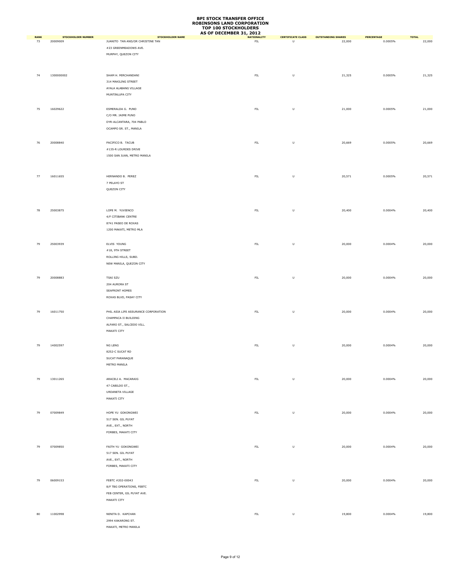|                   |                                       |                                                             | AS OF DECEMBER 31, 2012           |                               |                                     |                       |                        |
|-------------------|---------------------------------------|-------------------------------------------------------------|-----------------------------------|-------------------------------|-------------------------------------|-----------------------|------------------------|
| <b>RANK</b><br>73 | <b>STOCKHOLDER NUMBER</b><br>20009009 | <b>STOCKHOLDER NAME</b><br>JUANITO TAN AND/OR CHRISTINE TAN | <b>NATIONALITY</b><br>${\sf FIL}$ | <b>CERTIFICATE CLASS</b><br>U | <b>OUTSTANDING SHARES</b><br>22,000 | PERCENTAGE<br>0.0005% | <b>TOTAL</b><br>22,000 |
|                   |                                       |                                                             |                                   |                               |                                     |                       |                        |
|                   |                                       | #23 GREENMEADOWS AVE.                                       |                                   |                               |                                     |                       |                        |
|                   |                                       | MURPHY, QUEZON CITY                                         |                                   |                               |                                     |                       |                        |
|                   |                                       |                                                             |                                   |                               |                                     |                       |                        |
|                   |                                       |                                                             |                                   |                               |                                     |                       |                        |
| 74                | 1300000002                            | SHAM H. MIRCHANDANI                                         | ${\sf FIL}$                       | U                             | 21,325                              | 0.0005%               | 21,325                 |
|                   |                                       | 314 MAKILING STREET                                         |                                   |                               |                                     |                       |                        |
|                   |                                       | AYALA ALABANG VILLAGE                                       |                                   |                               |                                     |                       |                        |
|                   |                                       | MUNTINLUPA CITY                                             |                                   |                               |                                     |                       |                        |
|                   |                                       |                                                             |                                   |                               |                                     |                       |                        |
|                   |                                       |                                                             |                                   |                               |                                     |                       |                        |
| 75                | 16029622                              | ESMERALDA G. PUNO                                           | ${\sf FIL}$                       | $\sf U$                       | 21,000                              | 0.0005%               | 21,000                 |
|                   |                                       | C/O MR. JAIME PUNO                                          |                                   |                               |                                     |                       |                        |
|                   |                                       | DYR-ALCANTARA, 704 PABLO                                    |                                   |                               |                                     |                       |                        |
|                   |                                       | OCAMPO SR. ST., MANILA                                      |                                   |                               |                                     |                       |                        |
|                   |                                       |                                                             |                                   |                               |                                     |                       |                        |
|                   |                                       |                                                             |                                   |                               |                                     |                       |                        |
| 76                | 20008840                              | PACIFICO B. TACUB                                           | ${\sf FIL}$                       | $\sf U$                       | 20,669                              | 0.0005%               | 20,669                 |
|                   |                                       | #135-R LOURDES DRIVE                                        |                                   |                               |                                     |                       |                        |
|                   |                                       | 1500 SAN JUAN, METRO MANILA                                 |                                   |                               |                                     |                       |                        |
|                   |                                       |                                                             |                                   |                               |                                     |                       |                        |
|                   |                                       |                                                             |                                   |                               |                                     |                       |                        |
| 77                | 16011655                              | HERNANDO B. PEREZ                                           | ${\sf FIL}$                       | $\sf U$                       | 20,571                              | 0.0005%               | 20,571                 |
|                   |                                       | 7 PELAYO ST                                                 |                                   |                               |                                     |                       |                        |
|                   |                                       |                                                             |                                   |                               |                                     |                       |                        |
|                   |                                       | QUEZON CITY                                                 |                                   |                               |                                     |                       |                        |
|                   |                                       |                                                             |                                   |                               |                                     |                       |                        |
|                   |                                       |                                                             |                                   |                               |                                     |                       |                        |
| 78                | 25003875                              | LOPE M. YUVIENCO                                            | ${\sf FIL}$                       | U                             | 20,400                              | 0.0004%               | 20,400                 |
|                   |                                       | 4/F CITIBANK CENTRE                                         |                                   |                               |                                     |                       |                        |
|                   |                                       | 8741 PASEO DE ROXAS                                         |                                   |                               |                                     |                       |                        |
|                   |                                       | 1200 MAKATI, METRO MLA                                      |                                   |                               |                                     |                       |                        |
|                   |                                       |                                                             |                                   |                               |                                     |                       |                        |
|                   |                                       |                                                             |                                   |                               |                                     |                       |                        |
| 79                | 25003939                              | ELVIS YOUNG                                                 | ${\sf FIL}$                       | U                             | 20,000                              | 0.0004%               | 20,000                 |
|                   |                                       | $\#18,$ 9TH STREET                                          |                                   |                               |                                     |                       |                        |
|                   |                                       | ROLLING HILLS, SUBD.                                        |                                   |                               |                                     |                       |                        |
|                   |                                       | NEW MANILA, QUEZON CITY                                     |                                   |                               |                                     |                       |                        |
|                   |                                       |                                                             |                                   |                               |                                     |                       |                        |
|                   |                                       |                                                             |                                   |                               |                                     |                       |                        |
| 79                | 20008883                              | TSAI SZU                                                    | ${\sf FIL}$                       | $\sf U$                       | 20,000                              | 0.0004%               | 20,000                 |
|                   |                                       | 204 AURORA ST                                               |                                   |                               |                                     |                       |                        |
|                   |                                       | SEAFRONT HOMES                                              |                                   |                               |                                     |                       |                        |
|                   |                                       | ROXAS BLVD, PASAY CITY                                      |                                   |                               |                                     |                       |                        |
|                   |                                       |                                                             |                                   |                               |                                     |                       |                        |
| 79                | 16011750                              | PHIL ASIA LIFE ASSURANCE CORPORATION                        | ${\sf FIL}$                       | $\sf U$                       | 20,000                              | 0.0004%               | 20,000                 |
|                   |                                       | CHAMPACA II BUILDING                                        |                                   |                               |                                     |                       |                        |
|                   |                                       |                                                             |                                   |                               |                                     |                       |                        |
|                   |                                       | ALFARO ST., SALCEDO VILL.                                   |                                   |                               |                                     |                       |                        |
|                   |                                       | MAKATI CITY                                                 |                                   |                               |                                     |                       |                        |
|                   |                                       |                                                             |                                   |                               |                                     |                       |                        |
| 79                | 14002597                              | NG LENG                                                     | ${\sf FIL}$                       | $\sf U$                       | 20,000                              | 0.0004%               | 20,000                 |
|                   |                                       | 8252-C SUCAT RD                                             |                                   |                               |                                     |                       |                        |
|                   |                                       | SUCAT PARANAQUE                                             |                                   |                               |                                     |                       |                        |
|                   |                                       | METRO MANILA                                                |                                   |                               |                                     |                       |                        |
|                   |                                       |                                                             |                                   |                               |                                     |                       |                        |
|                   |                                       |                                                             |                                   |                               |                                     |                       |                        |
| 79                | 13011265                              | ARACELI A. MACARAIG                                         | ${\sf FIL}$                       | $\sf U$                       | 20,000                              | 0.0004%               | 20,000                 |
|                   |                                       | 47 CABILDO ST.,                                             |                                   |                               |                                     |                       |                        |
|                   |                                       | URDANETA VILLAGE                                            |                                   |                               |                                     |                       |                        |
|                   |                                       | MAKATI CITY                                                 |                                   |                               |                                     |                       |                        |
|                   |                                       |                                                             |                                   |                               |                                     |                       |                        |
|                   |                                       |                                                             |                                   |                               |                                     |                       |                        |
| 79                | 07009849                              | HOPE YU GOKONGWEI                                           | ${\sf FIL}$                       | $\sf U$                       | 20,000                              | 0.0004%               | 20,000                 |
|                   |                                       | 517 SEN. GIL PUYAT                                          |                                   |                               |                                     |                       |                        |
|                   |                                       | AVE., EXT., NORTH                                           |                                   |                               |                                     |                       |                        |
|                   |                                       | FORBES, MAKATI CITY                                         |                                   |                               |                                     |                       |                        |
|                   |                                       |                                                             |                                   |                               |                                     |                       |                        |
| 79                | 07009850                              | FAITH YU GOKONGWEI                                          | ${\sf FIL}$                       | $\sf U$                       | 20,000                              | 0.0004%               | 20,000                 |
|                   |                                       |                                                             |                                   |                               |                                     |                       |                        |
|                   |                                       | 517 SEN. GIL PUYAT                                          |                                   |                               |                                     |                       |                        |
|                   |                                       | AVE., EXT., NORTH                                           |                                   |                               |                                     |                       |                        |
|                   |                                       | FORBES, MAKATI CITY                                         |                                   |                               |                                     |                       |                        |
|                   |                                       |                                                             |                                   |                               |                                     |                       |                        |
| 79                | 06009153                              | FEBTC #202-00043                                            | ${\sf FIL}$                       | $\sf U$                       | 20,000                              | 0.0004%               | 20,000                 |
|                   |                                       | 8/F TBG OPERATIONS, FEBTC                                   |                                   |                               |                                     |                       |                        |
|                   |                                       | FEB CENTER, GIL PUYAT AVE.                                  |                                   |                               |                                     |                       |                        |
|                   |                                       |                                                             |                                   |                               |                                     |                       |                        |
|                   |                                       | MAKATI CITY                                                 |                                   |                               |                                     |                       |                        |
|                   |                                       |                                                             |                                   |                               |                                     |                       |                        |
| 80                | 11002998                              | NENITA D. KAPCHAN                                           | ${\sf FIL}$                       | $\sf U$                       | 19,800                              | 0.0004%               | 19,800                 |
|                   |                                       | 2994 KAKARONG ST.                                           |                                   |                               |                                     |                       |                        |
|                   |                                       | MAKATI, METRO MANILA                                        |                                   |                               |                                     |                       |                        |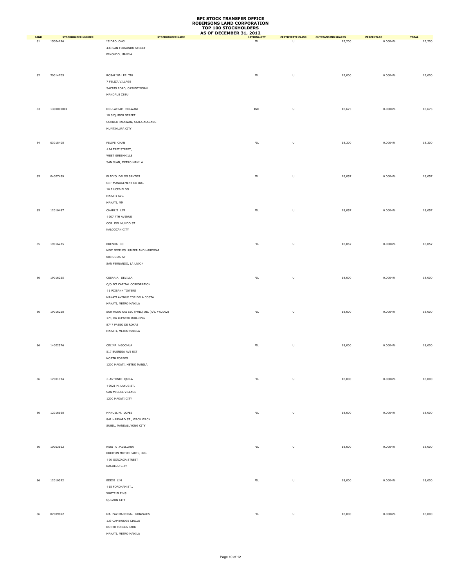|                   |                                       |                                          | AS OF DECEMBER 31, 2012           |                               |                                     |                       |                        |
|-------------------|---------------------------------------|------------------------------------------|-----------------------------------|-------------------------------|-------------------------------------|-----------------------|------------------------|
| <b>RANK</b><br>81 | <b>STOCKHOLDER NUMBER</b><br>15004196 | <b>STOCKHOLDER NAME</b><br>ISIDRO ONG    | <b>NATIONALITY</b><br>${\sf FIL}$ | <b>CERTIFICATE CLASS</b><br>U | <b>OUTSTANDING SHARES</b><br>19,200 | PERCENTAGE<br>0.0004% | <b>TOTAL</b><br>19,200 |
|                   |                                       |                                          |                                   |                               |                                     |                       |                        |
|                   |                                       | 433 SAN FERNANDO STREET                  |                                   |                               |                                     |                       |                        |
|                   |                                       | BINONDO, MANILA                          |                                   |                               |                                     |                       |                        |
|                   |                                       |                                          |                                   |                               |                                     |                       |                        |
|                   |                                       |                                          |                                   |                               |                                     |                       |                        |
| 82                | 20014705                              | ROSALINA LEE TIU                         | ${\sf FIL}$                       | $\sf U$                       | 19,000                              | 0.0004%               | 19,000                 |
|                   |                                       | 7 FELIZA VILLAGE                         |                                   |                               |                                     |                       |                        |
|                   |                                       | SACRIS ROAD, CASUNTINGAN                 |                                   |                               |                                     |                       |                        |
|                   |                                       |                                          |                                   |                               |                                     |                       |                        |
|                   |                                       | MANDAUE CEBU                             |                                   |                               |                                     |                       |                        |
|                   |                                       |                                          |                                   |                               |                                     |                       |                        |
| 83                | 1300000001                            | DOULATRAM MELWANI                        | IND                               | $\sf U$                       | 18,675                              | 0.0004%               | 18,675                 |
|                   |                                       | 10 SIQUIJOR STREET                       |                                   |                               |                                     |                       |                        |
|                   |                                       | CORNER PALAWAN, AYALA ALABANG            |                                   |                               |                                     |                       |                        |
|                   |                                       | MUNTINLUPA CITY                          |                                   |                               |                                     |                       |                        |
|                   |                                       |                                          |                                   |                               |                                     |                       |                        |
|                   |                                       |                                          |                                   |                               |                                     |                       |                        |
| 84                | 03018408                              | FELIPE CHAN                              | ${\sf FIL}$                       | $\sf U$                       | 18,300                              | 0.0004%               | 18,300                 |
|                   |                                       | #24 TAFT STREET,                         |                                   |                               |                                     |                       |                        |
|                   |                                       | WEST GREENHILLS                          |                                   |                               |                                     |                       |                        |
|                   |                                       | SAN JUAN, METRO MANILA                   |                                   |                               |                                     |                       |                        |
|                   |                                       |                                          |                                   |                               |                                     |                       |                        |
| 85                | 04007439                              | ELADIO DELOS SANTOS                      | ${\sf FIL}$                       | $\sf U$                       | 18,057                              | 0.0004%               | 18,057                 |
|                   |                                       | CIIF MANAGEMENT CO INC.                  |                                   |                               |                                     |                       |                        |
|                   |                                       |                                          |                                   |                               |                                     |                       |                        |
|                   |                                       | 16 F UCPB BLDG.                          |                                   |                               |                                     |                       |                        |
|                   |                                       | MAKATI AVE.                              |                                   |                               |                                     |                       |                        |
|                   |                                       | MAKATI, MM                               |                                   |                               |                                     |                       |                        |
| 85                | 12010487                              | CHARLIE LIM                              | ${\sf FIL}$                       | $\sf U$                       | 18,057                              | 0.0004%               | 18,057                 |
|                   |                                       | #207 7TH AVENUE                          |                                   |                               |                                     |                       |                        |
|                   |                                       | COR. DEL MUNDO ST.                       |                                   |                               |                                     |                       |                        |
|                   |                                       | KALOOCAN CITY                            |                                   |                               |                                     |                       |                        |
|                   |                                       |                                          |                                   |                               |                                     |                       |                        |
|                   |                                       |                                          |                                   |                               |                                     |                       |                        |
| 85                | 19016225                              | BRENDA SO                                | ${\sf FIL}$                       | U                             | 18,057                              | 0.0004%               | 18,057                 |
|                   |                                       | NEW PEOPLES LUMBER AND HARDWAR           |                                   |                               |                                     |                       |                        |
|                   |                                       | 008 OSIAS ST                             |                                   |                               |                                     |                       |                        |
|                   |                                       | SAN FERNANDO, LA UNION                   |                                   |                               |                                     |                       |                        |
|                   |                                       |                                          |                                   |                               |                                     |                       |                        |
|                   |                                       |                                          |                                   |                               |                                     |                       |                        |
| 86                | 19016255                              | CESAR A. SEVILLA                         | ${\sf FIL}$                       | $\sf U$                       | 18,000                              | 0.0004%               | 18,000                 |
|                   |                                       | C/O PCI CAPITAL CORPORATION              |                                   |                               |                                     |                       |                        |
|                   |                                       | $\#1$ PCIBANK TOWERS                     |                                   |                               |                                     |                       |                        |
|                   |                                       | MAKATI AVENUE COR DELA COSTA             |                                   |                               |                                     |                       |                        |
|                   |                                       | MAKATI, METRO MANILA                     |                                   |                               |                                     |                       |                        |
| 86                | 19016258                              | SUN HUNG KAI SEC (PHIL) INC (A/C #RU002) | ${\sf FIL}$                       | $\sf U$                       | 18,000                              | 0.0004%               | 18,000                 |
|                   |                                       | 17F, BA LEPANTO BUILDING                 |                                   |                               |                                     |                       |                        |
|                   |                                       | 8747 PASEO DE ROXAS                      |                                   |                               |                                     |                       |                        |
|                   |                                       | MAKATI, METRO MANILA                     |                                   |                               |                                     |                       |                        |
|                   |                                       |                                          |                                   |                               |                                     |                       |                        |
|                   |                                       |                                          |                                   |                               |                                     |                       |                        |
| 86                | 14002576                              | CELINA NGOCHUA                           | ${\sf FIL}$                       | $\sf U$                       | 18,000                              | 0.0004%               | 18,000                 |
|                   |                                       | 517 BUENDIA AVE EXT                      |                                   |                               |                                     |                       |                        |
|                   |                                       | NORTH FORBES                             |                                   |                               |                                     |                       |                        |
|                   |                                       | 1200 MAKATI, METRO MANILA                |                                   |                               |                                     |                       |                        |
|                   |                                       |                                          |                                   |                               |                                     |                       |                        |
|                   |                                       |                                          |                                   |                               |                                     |                       |                        |
| 86                | 17001934                              | J. ANTONIO QUILA                         | ${\sf FIL}$                       | $\sf U$                       | 18,000                              | 0.0004%               | 18,000                 |
|                   |                                       | #2021 M. LAYUG ST.                       |                                   |                               |                                     |                       |                        |
|                   |                                       | SAN MIGUEL VILLAGE                       |                                   |                               |                                     |                       |                        |
|                   |                                       | 1200 MAKATI CITY                         |                                   |                               |                                     |                       |                        |
|                   |                                       |                                          |                                   |                               |                                     |                       |                        |
| 86                | 12016168                              | MANUEL M. LOPEZ                          | ${\sf FIL}$                       | U                             | 18,000                              | 0.0004%               | 18,000                 |
|                   |                                       | 841 HARVARD ST., WACK WACK               |                                   |                               |                                     |                       |                        |
|                   |                                       | SUBD., MANDALUYONG CITY                  |                                   |                               |                                     |                       |                        |
|                   |                                       |                                          |                                   |                               |                                     |                       |                        |
|                   |                                       |                                          |                                   |                               |                                     |                       |                        |
|                   |                                       |                                          |                                   |                               |                                     |                       |                        |
| 86                | 10003162                              | NENITA JAVELLANA                         | ${\sf FIL}$                       | $\sf U$                       | 18,000                              | 0.0004%               | 18,000                 |
|                   |                                       | BRIXTON MOTOR PARTS, INC.                |                                   |                               |                                     |                       |                        |
|                   |                                       | #20 GONZAGA STREET                       |                                   |                               |                                     |                       |                        |
|                   |                                       | <b>BACOLOD CITY</b>                      |                                   |                               |                                     |                       |                        |
|                   |                                       |                                          |                                   |                               |                                     |                       |                        |
|                   |                                       |                                          |                                   |                               |                                     |                       |                        |
| 86                | 12010392                              | EDDIE LIM                                | ${\sf FIL}$                       | $\sf U$                       | 18,000                              | 0.0004%               | 18,000                 |
|                   |                                       | #15 FORDHAM ST.,                         |                                   |                               |                                     |                       |                        |
|                   |                                       | WHITE PLAINS                             |                                   |                               |                                     |                       |                        |
|                   |                                       | QUEZON CITY                              |                                   |                               |                                     |                       |                        |
|                   |                                       |                                          |                                   |                               |                                     |                       |                        |
| 86                | 07009692                              | MA. PAZ MADRIGAL GONZALES                | ${\sf FIL}$                       | U                             | 18,000                              | 0.0004%               | 18,000                 |
|                   |                                       | 133 CAMBRIDGE CIRCLE                     |                                   |                               |                                     |                       |                        |
|                   |                                       |                                          |                                   |                               |                                     |                       |                        |
|                   |                                       | NORTH FORBES PARK                        |                                   |                               |                                     |                       |                        |
|                   |                                       | MAKATI, METRO MANILA                     |                                   |                               |                                     |                       |                        |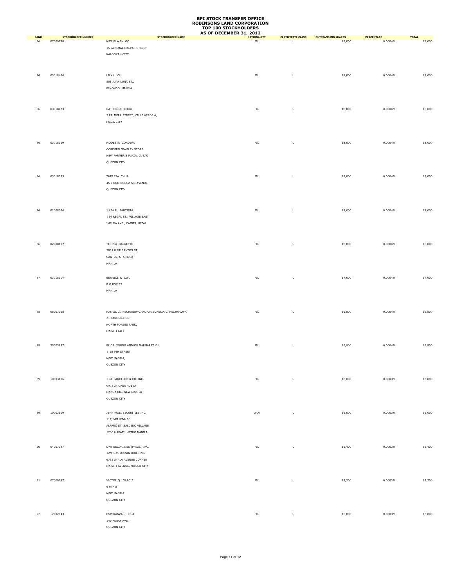|                   |                                       |                                                 | AS OF DECEMBER 31, 2012 |                               |                           |                   |              |
|-------------------|---------------------------------------|-------------------------------------------------|-------------------------|-------------------------------|---------------------------|-------------------|--------------|
| <b>RANK</b><br>86 | <b>STOCKHOLDER NUMBER</b><br>07009758 | <b>STOCKHOLDER NAME</b><br>MIGUELA SY GO        | <b>NATIONALITY</b>      | <b>CERTIFICATE CLASS</b><br>U | <b>OUTSTANDING SHARES</b> | <b>PERCENTAGE</b> | <b>TOTAL</b> |
|                   |                                       |                                                 | ${\sf FIL}$             |                               | 18,000                    | 0.0004%           | 18,000       |
|                   |                                       | 15 GENERAL MALVAR STREET                        |                         |                               |                           |                   |              |
|                   |                                       | KALOOKAN CITY                                   |                         |                               |                           |                   |              |
|                   |                                       |                                                 |                         |                               |                           |                   |              |
|                   |                                       |                                                 |                         |                               |                           |                   |              |
| 86                | 03018464                              | LILY L. CU                                      | ${\sf FIL}$             | $\sf U$                       | 18,000                    | 0.0004%           | 18,000       |
|                   |                                       | 501 JUAN LUNA ST.,                              |                         |                               |                           |                   |              |
|                   |                                       | BINONDO, MANILA                                 |                         |                               |                           |                   |              |
|                   |                                       |                                                 |                         |                               |                           |                   |              |
|                   |                                       |                                                 |                         |                               |                           |                   |              |
|                   |                                       |                                                 |                         |                               |                           |                   |              |
| 86                | 03018473                              | CATHERINE CHOA                                  | ${\sf FIL}$             | $\sf U$                       | 18,000                    | 0.0004%           | 18,000       |
|                   |                                       | 3 PALMERA STREET, VALLE VERDE 4,                |                         |                               |                           |                   |              |
|                   |                                       | PASIG CITY                                      |                         |                               |                           |                   |              |
|                   |                                       |                                                 |                         |                               |                           |                   |              |
|                   |                                       |                                                 |                         |                               |                           |                   |              |
|                   |                                       |                                                 |                         |                               |                           |                   |              |
| 86                | 03018319                              | MODESTA CORDERO                                 | ${\sf FIL}$             | $\sf U$                       | 18,000                    | 0.0004%           | 18,000       |
|                   |                                       | CORDERO JEWELRY STORE                           |                         |                               |                           |                   |              |
|                   |                                       | NEW FARMER'S PLAZA, CUBAO                       |                         |                               |                           |                   |              |
|                   |                                       | QUEZON CITY                                     |                         |                               |                           |                   |              |
|                   |                                       |                                                 |                         |                               |                           |                   |              |
|                   |                                       |                                                 |                         |                               |                           |                   |              |
| 86                | 03018355                              | THERESA CHUA                                    | ${\sf FIL}$             | $\sf U$                       | 18,000                    | 0.0004%           | 18,000       |
|                   |                                       | 45 E RODRIGUEZ SR. AVENUE                       |                         |                               |                           |                   |              |
|                   |                                       | QUEZON CITY                                     |                         |                               |                           |                   |              |
|                   |                                       |                                                 |                         |                               |                           |                   |              |
|                   |                                       |                                                 |                         |                               |                           |                   |              |
|                   |                                       |                                                 |                         |                               |                           |                   |              |
| 86                | 02008074                              | JULIA P. BAUTISTA                               | ${\sf FIL}$             | U                             | 18,000                    | 0.0004%           | 18,000       |
|                   |                                       | #34 REGAL ST., VILLAGE EAST                     |                         |                               |                           |                   |              |
|                   |                                       | IMELDA AVE., CAINTA, RIZAL                      |                         |                               |                           |                   |              |
|                   |                                       |                                                 |                         |                               |                           |                   |              |
|                   |                                       |                                                 |                         |                               |                           |                   |              |
|                   |                                       |                                                 |                         |                               |                           |                   |              |
| 86                | 02008117                              | TERESA BARRETTO                                 | ${\sf FIL}$             | U                             | 18,000                    | 0.0004%           | 18,000       |
|                   |                                       | 3831 R DE SANTOS ST                             |                         |                               |                           |                   |              |
|                   |                                       | SANTOL, STA MESA                                |                         |                               |                           |                   |              |
|                   |                                       | MANILA                                          |                         |                               |                           |                   |              |
|                   |                                       |                                                 |                         |                               |                           |                   |              |
| 87                | 03018304                              | BERNICE Y. CUA                                  | ${\sf FIL}$             | $\sf U$                       | 17,600                    | 0.0004%           | 17,600       |
|                   |                                       | P O BOX 92                                      |                         |                               |                           |                   |              |
|                   |                                       |                                                 |                         |                               |                           |                   |              |
|                   |                                       | MANILA                                          |                         |                               |                           |                   |              |
|                   |                                       |                                                 |                         |                               |                           |                   |              |
|                   |                                       |                                                 |                         |                               |                           |                   |              |
| 88                | 08007068                              | RAFAEL G. HECHANOVA AND/OR EUMELIA C. HECHANOVA | ${\sf FIL}$             | U                             | 16,800                    | 0.0004%           | 16,800       |
|                   |                                       | 21 TANGUILE RD.,                                |                         |                               |                           |                   |              |
|                   |                                       | NORTH FORBES PARK,                              |                         |                               |                           |                   |              |
|                   |                                       | MAKATI CITY                                     |                         |                               |                           |                   |              |
|                   |                                       |                                                 |                         |                               |                           |                   |              |
|                   |                                       |                                                 |                         |                               |                           |                   |              |
| 88                | 25003897                              | ELVIS YOUNG AND/OR MARGARET YU                  | ${\sf FIL}$             | $\sf U$                       | 16,800                    | 0.0004%           | 16,800       |
|                   |                                       | # 18 9TH STREET                                 |                         |                               |                           |                   |              |
|                   |                                       | NEW MANILA,                                     |                         |                               |                           |                   |              |
|                   |                                       | QUEZON CITY                                     |                         |                               |                           |                   |              |
|                   |                                       |                                                 |                         |                               |                           |                   |              |
|                   |                                       |                                                 |                         |                               |                           |                   |              |
| 89                | 10003106                              | J. M. BARCELON & CO. INC.                       | ${\sf FIL}$             | $\sf U$                       | 16,000                    | 0.0003%           | 16,000       |
|                   |                                       | UNIT 34 CASA NUEVA                              |                         |                               |                           |                   |              |
|                   |                                       | MANGA RD., NEW MANILA                           |                         |                               |                           |                   |              |
|                   |                                       | QUEZON CITY                                     |                         |                               |                           |                   |              |
|                   |                                       |                                                 |                         |                               |                           |                   |              |
|                   |                                       |                                                 |                         |                               |                           |                   |              |
| 89                | 10003109                              | JENN WOEI SECURITIES INC.                       | OAN                     | $\sf U$                       | 16,000                    | 0.0003%           | 16,000       |
|                   |                                       | 11F, VERNIDA IV                                 |                         |                               |                           |                   |              |
|                   |                                       | ALFARO ST. SALCEDO VILLAGE                      |                         |                               |                           |                   |              |
|                   |                                       | 1200 MAKATI, METRO MANILA                       |                         |                               |                           |                   |              |
|                   |                                       |                                                 |                         |                               |                           |                   |              |
|                   |                                       |                                                 |                         |                               |                           |                   |              |
| 90                | 04007347                              | DMT SECURITIES (PHILS.) INC.                    | FL                      | $\sf U$                       | 15,400                    | 0.0003%           | 15,400       |
|                   |                                       | 12/F L.V. LOCSIN BUILDING                       |                         |                               |                           |                   |              |
|                   |                                       | 6752 AYALA AVENUE CORNER                        |                         |                               |                           |                   |              |
|                   |                                       | MAKATI AVENUE, MAKATI CITY                      |                         |                               |                           |                   |              |
|                   |                                       |                                                 |                         |                               |                           |                   |              |
|                   |                                       |                                                 |                         |                               |                           |                   |              |
| 91                | 07009747                              | VICTOR Q. GARCIA                                | ${\sf FIL}$             | $\sf U$                       | 15,200                    | 0.0003%           | 15,200       |
|                   |                                       | 6 6TH ST                                        |                         |                               |                           |                   |              |
|                   |                                       | NEW MANILA                                      |                         |                               |                           |                   |              |
|                   |                                       | QUEZON CITY                                     |                         |                               |                           |                   |              |
|                   |                                       |                                                 |                         |                               |                           |                   |              |
| 92                | 17002043                              | ESPERANZA U. QUA                                | ${\sf FIL}$             | $\sf U$                       | 15,000                    | 0.0003%           | 15,000       |
|                   |                                       |                                                 |                         |                               |                           |                   |              |
|                   |                                       | 149 PANAY AVE.,                                 |                         |                               |                           |                   |              |
|                   |                                       | QUEZON CITY                                     |                         |                               |                           |                   |              |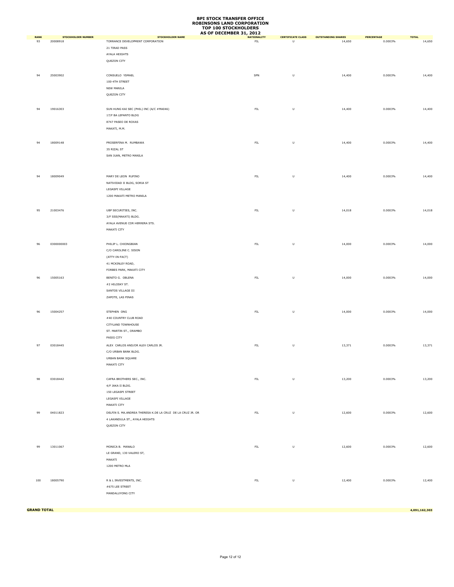|                   |                                       |                                                             | AS OF DECEMBER 31, 2012 |                               |                                     |                       |                        |
|-------------------|---------------------------------------|-------------------------------------------------------------|-------------------------|-------------------------------|-------------------------------------|-----------------------|------------------------|
| <b>RANK</b><br>93 | <b>STOCKHOLDER NUMBER</b><br>20008918 | <b>STOCKHOLDER NAME</b><br>TORRANCE DEVELOPMENT CORPORATION | FL                      | <b>CERTIFICATE CLASS</b><br>U | <b>OUTSTANDING SHARES</b><br>14,650 | PERCENTAGE<br>0.0003% | <b>TOTAL</b><br>14,650 |
|                   |                                       |                                                             |                         |                               |                                     |                       |                        |
|                   |                                       | 21 TIRAD PASS                                               |                         |                               |                                     |                       |                        |
|                   |                                       | AYALA HEIGHTS                                               |                         |                               |                                     |                       |                        |
|                   |                                       | QUEZON CITY                                                 |                         |                               |                                     |                       |                        |
|                   |                                       |                                                             |                         |                               |                                     |                       |                        |
| 94                | 25003902                              | CONSUELO YSMAEL                                             | SPN                     | $\sf U$                       | 14,400                              | 0.0003%               | 14,400                 |
|                   |                                       | 100-4TH STREET                                              |                         |                               |                                     |                       |                        |
|                   |                                       | NEW MANILA                                                  |                         |                               |                                     |                       |                        |
|                   |                                       | QUEZON CITY                                                 |                         |                               |                                     |                       |                        |
|                   |                                       |                                                             |                         |                               |                                     |                       |                        |
| 94                | 19016303                              | SUN HUNG KAI SEC (PHIL) INC (A/C #MA046)                    | ${\sf FIL}$             | $\sf U$                       | 14,400                              | 0.0003%               | 14,400                 |
|                   |                                       | 17/F BA LEPANTO BLDG                                        |                         |                               |                                     |                       |                        |
|                   |                                       |                                                             |                         |                               |                                     |                       |                        |
|                   |                                       | 8747 PASEO DE ROXAS                                         |                         |                               |                                     |                       |                        |
|                   |                                       | MAKATI, M.M.                                                |                         |                               |                                     |                       |                        |
|                   |                                       |                                                             |                         |                               |                                     |                       |                        |
| 94                | 18009148                              | PROSERFINA M. RUMBAWA                                       | ${\sf FIL}$             | $\sf U$                       | 14,400                              | 0.0003%               | 14,400                 |
|                   |                                       | 35 RIZAL ST                                                 |                         |                               |                                     |                       |                        |
|                   |                                       | SAN JUAN, METRO MANILA                                      |                         |                               |                                     |                       |                        |
|                   |                                       |                                                             |                         |                               |                                     |                       |                        |
|                   |                                       |                                                             |                         |                               |                                     |                       |                        |
| 94                | 18009049                              | MARY DE LEON RUFINO                                         | ${\sf FIL}$             | $\sf U$                       | 14,400                              | 0.0003%               | 14,400                 |
|                   |                                       |                                                             |                         |                               |                                     |                       |                        |
|                   |                                       | NATIVIDAD II BLDG, SORIA ST                                 |                         |                               |                                     |                       |                        |
|                   |                                       | LEGASPI VILLAGE                                             |                         |                               |                                     |                       |                        |
|                   |                                       | 1200 MAKATI METRO MANILA                                    |                         |                               |                                     |                       |                        |
|                   |                                       |                                                             |                         |                               |                                     |                       |                        |
| 95                | 21003476                              | UBP SECURITIES, INC.                                        | ${\sf FIL}$             | $\sf U$                       | 14,018                              | 0.0003%               | 14,018                 |
|                   |                                       | 3/F SSS(MAKATI) BLDG.                                       |                         |                               |                                     |                       |                        |
|                   |                                       | AYALA AVENUE COR HERRERA STS.                               |                         |                               |                                     |                       |                        |
|                   |                                       | MAKATI CITY                                                 |                         |                               |                                     |                       |                        |
|                   |                                       |                                                             |                         |                               |                                     |                       |                        |
|                   |                                       |                                                             |                         |                               |                                     |                       |                        |
| 96                | 0300000003                            | PHILIP L. CHIONGBIAN                                        | ${\sf FIL}$             | $\sf U$                       | 14,000                              | 0.0003%               | 14,000                 |
|                   |                                       | C/O CAROLINE C. SISON                                       |                         |                               |                                     |                       |                        |
|                   |                                       | (ATTY-IN-FACT)                                              |                         |                               |                                     |                       |                        |
|                   |                                       | 41 MCKINLEY ROAD,                                           |                         |                               |                                     |                       |                        |
|                   |                                       | FORBES PARK, MAKATI CITY                                    |                         |                               |                                     |                       |                        |
| 96                | 15005163                              | BENITO G. OBLENA                                            | ${\sf FIL}$             | $\sf U$                       | 14,000                              | 0.0003%               | 14,000                 |
|                   |                                       | #2 HILOSKY ST.                                              |                         |                               |                                     |                       |                        |
|                   |                                       | SANTOS VILLAGE III                                          |                         |                               |                                     |                       |                        |
|                   |                                       | ZAPOTE, LAS PINAS                                           |                         |                               |                                     |                       |                        |
|                   |                                       |                                                             |                         |                               |                                     |                       |                        |
|                   |                                       |                                                             |                         |                               |                                     |                       |                        |
| 96                | 15004257                              | STEPHEN ONG                                                 | ${\sf FIL}$             | $\sf U$                       | 14,000                              | 0.0003%               | 14,000                 |
|                   |                                       | #40 COUNTRY CLUB ROAD                                       |                         |                               |                                     |                       |                        |
|                   |                                       | CITYLAND TOWNHOUSE                                          |                         |                               |                                     |                       |                        |
|                   |                                       | ST. MARTIN ST., ORAMBO                                      |                         |                               |                                     |                       |                        |
|                   |                                       | PASIG CITY                                                  |                         |                               |                                     |                       |                        |
| 97                | 03018445                              | ALEX CARLOS AND/OR ALEX CARLOS JR.                          | ${\sf FIL}$             | $\sf U$                       | 13,371                              | 0.0003%               | 13,371                 |
|                   |                                       | C/O URBAN BANK BLDG.                                        |                         |                               |                                     |                       |                        |
|                   |                                       | URBAN BANK SQUARE                                           |                         |                               |                                     |                       |                        |
|                   |                                       | MAKATI CITY                                                 |                         |                               |                                     |                       |                        |
|                   |                                       |                                                             |                         |                               |                                     |                       |                        |
|                   |                                       |                                                             |                         |                               |                                     |                       |                        |
| 98                | 03018442                              | CAFRA BROTHERS SEC., INC.                                   | ${\sf FIL}$             | $\sf U$                       | 13,200                              | 0.0003%               | 13,200                 |
|                   |                                       | 4/F JAKA II BLDG.                                           |                         |                               |                                     |                       |                        |
|                   |                                       | 150 LEGASPI STREET                                          |                         |                               |                                     |                       |                        |
|                   |                                       | LEGASPI VILLAGE                                             |                         |                               |                                     |                       |                        |
|                   |                                       | MAKATI CITY                                                 |                         |                               |                                     |                       |                        |
| 99                | 04011823                              | DELFIN S. MA.ANDREA THERESA K.DE LA CRUZ DE LA CRUZ JR. OR  | FL                      | $\sf U$                       | 12,600                              | 0.0003%               | 12,600                 |
|                   |                                       | 4 LAKANDULA ST., AYALA HEIGHTS                              |                         |                               |                                     |                       |                        |
|                   |                                       | QUEZON CITY                                                 |                         |                               |                                     |                       |                        |
|                   |                                       |                                                             |                         |                               |                                     |                       |                        |
|                   |                                       |                                                             |                         |                               |                                     |                       |                        |
|                   |                                       |                                                             |                         |                               |                                     |                       |                        |
| 99                | 13011067                              | MONICA B. MANALO                                            | FL                      | $\sf U$                       | 12,600                              | 0.0003%               | 12,600                 |
|                   |                                       | LE GRAND, 130 VALERO ST,                                    |                         |                               |                                     |                       |                        |
|                   |                                       | MAKATI                                                      |                         |                               |                                     |                       |                        |
|                   |                                       | 1200 METRO MLA                                              |                         |                               |                                     |                       |                        |
|                   |                                       |                                                             |                         |                               |                                     |                       |                        |
| 100               | 18005790                              | R & L INVESTMENTS, INC.                                     | ${\sf FIL}$             | $\sf U$                       | 12,400                              | 0.0003%               | 12,400                 |
|                   |                                       | #675 LEE STREET                                             |                         |                               |                                     |                       |                        |
|                   |                                       |                                                             |                         |                               |                                     |                       |                        |
|                   |                                       | MANDALUYONG CITY                                            |                         |                               |                                     |                       |                        |
|                   |                                       |                                                             |                         |                               |                                     |                       |                        |

**GRAND TOTAL 4,091,162,303**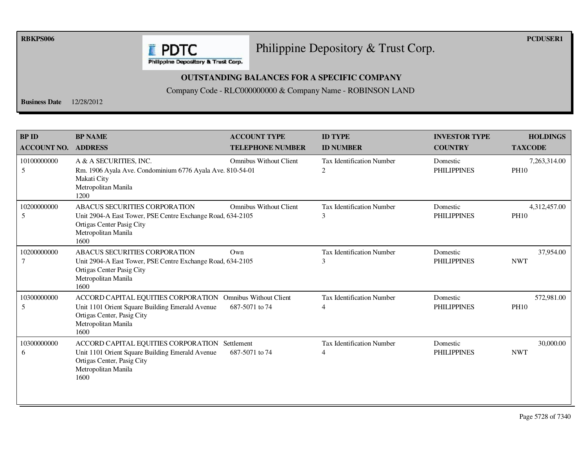**RBKPS006 PCDUSER1** 

#### Philippine Depository & Trust Corp.

Philippine Depository & Trust Corp.

**E** PDTC

#### **OUTSTANDING BALANCES FOR A SPECIFIC COMPANY**

Company Code - RLC000000000 & Company Name - ROBINSON LAND

**Business Date** 12/28/2012

| <b>BP ID</b><br><b>ACCOUNT NO.</b> | <b>BP NAME</b><br><b>ADDRESS</b>                                                                                                                               | <b>ACCOUNT TYPE</b><br><b>TELEPHONE NUMBER</b>  | <b>ID TYPE</b><br><b>ID NUMBER</b>                 | <b>INVESTOR TYPE</b><br><b>COUNTRY</b> | <b>HOLDINGS</b><br><b>TAXCODE</b> |
|------------------------------------|----------------------------------------------------------------------------------------------------------------------------------------------------------------|-------------------------------------------------|----------------------------------------------------|----------------------------------------|-----------------------------------|
| 10100000000<br>5                   | A & A SECURITIES, INC.<br>Rm. 1906 Ayala Ave. Condominium 6776 Ayala Ave. 810-54-01<br>Makati City<br>Metropolitan Manila<br>1200                              | <b>Omnibus Without Client</b>                   | <b>Tax Identification Number</b><br>2              | Domestic<br><b>PHILIPPINES</b>         | 7,263,314.00<br><b>PH10</b>       |
| 10200000000<br>5                   | ABACUS SECURITIES CORPORATION<br>Unit 2904-A East Tower, PSE Centre Exchange Road, 634-2105<br>Ortigas Center Pasig City<br>Metropolitan Manila<br>1600        | <b>Omnibus Without Client</b>                   | Tax Identification Number<br>3                     | Domestic<br><b>PHILIPPINES</b>         | 4,312,457.00<br><b>PH10</b>       |
| 10200000000<br>7                   | <b>ABACUS SECURITIES CORPORATION</b><br>Unit 2904-A East Tower, PSE Centre Exchange Road, 634-2105<br>Ortigas Center Pasig City<br>Metropolitan Manila<br>1600 | Own                                             | <b>Tax Identification Number</b><br>3              | Domestic<br><b>PHILIPPINES</b>         | 37,954.00<br><b>NWT</b>           |
| 10300000000<br>5                   | ACCORD CAPITAL EQUITIES CORPORATION<br>Unit 1101 Orient Square Building Emerald Avenue<br>Ortigas Center, Pasig City<br>Metropolitan Manila<br>1600            | <b>Omnibus Without Client</b><br>687-5071 to 74 | <b>Tax Identification Number</b><br>$\overline{4}$ | Domestic<br><b>PHILIPPINES</b>         | 572,981.00<br><b>PH10</b>         |
| 10300000000<br>6                   | ACCORD CAPITAL EQUITIES CORPORATION Settlement<br>Unit 1101 Orient Square Building Emerald Avenue<br>Ortigas Center, Pasig City<br>Metropolitan Manila<br>1600 | 687-5071 to 74                                  | <b>Tax Identification Number</b><br>$\overline{4}$ | Domestic<br><b>PHILIPPINES</b>         | 30,000.00<br><b>NWT</b>           |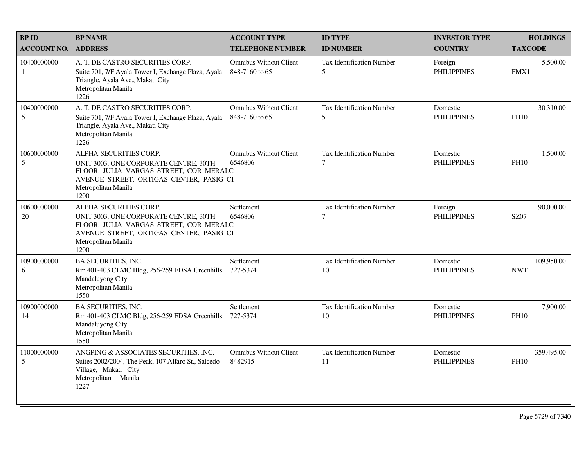| <b>BPID</b>        | <b>BP NAME</b>                                                                                                                                                                      | <b>ACCOUNT TYPE</b>                             | <b>ID TYPE</b>                         | <b>INVESTOR TYPE</b>           | <b>HOLDINGS</b>           |
|--------------------|-------------------------------------------------------------------------------------------------------------------------------------------------------------------------------------|-------------------------------------------------|----------------------------------------|--------------------------------|---------------------------|
| <b>ACCOUNT NO.</b> | <b>ADDRESS</b>                                                                                                                                                                      | <b>TELEPHONE NUMBER</b>                         | <b>ID NUMBER</b>                       | <b>COUNTRY</b>                 | <b>TAXCODE</b>            |
| 10400000000<br>1   | A. T. DE CASTRO SECURITIES CORP.<br>Suite 701, 7/F Ayala Tower I, Exchange Plaza, Ayala<br>Triangle, Ayala Ave., Makati City<br>Metropolitan Manila<br>1226                         | <b>Omnibus Without Client</b><br>848-7160 to 65 | Tax Identification Number<br>5         | Foreign<br><b>PHILIPPINES</b>  | 5,500.00<br>FMX1          |
| 10400000000<br>5   | A. T. DE CASTRO SECURITIES CORP.<br>Suite 701, 7/F Ayala Tower I, Exchange Plaza, Ayala<br>Triangle, Ayala Ave., Makati City<br>Metropolitan Manila<br>1226                         | <b>Omnibus Without Client</b><br>848-7160 to 65 | Tax Identification Number<br>5         | Domestic<br><b>PHILIPPINES</b> | 30,310.00<br><b>PH10</b>  |
| 10600000000<br>5   | ALPHA SECURITIES CORP.<br>UNIT 3003, ONE CORPORATE CENTRE, 30TH<br>FLOOR, JULIA VARGAS STREET, COR MERALC<br>AVENUE STREET, ORTIGAS CENTER, PASIG CI<br>Metropolitan Manila<br>1200 | <b>Omnibus Without Client</b><br>6546806        | <b>Tax Identification Number</b><br>7  | Domestic<br><b>PHILIPPINES</b> | 1,500.00<br><b>PH10</b>   |
| 10600000000<br>20  | ALPHA SECURITIES CORP.<br>UNIT 3003, ONE CORPORATE CENTRE, 30TH<br>FLOOR, JULIA VARGAS STREET, COR MERALC<br>AVENUE STREET, ORTIGAS CENTER, PASIG CI<br>Metropolitan Manila<br>1200 | Settlement<br>6546806                           | Tax Identification Number<br>7         | Foreign<br><b>PHILIPPINES</b>  | 90,000.00<br><b>SZ07</b>  |
| 10900000000<br>6   | BA SECURITIES, INC.<br>Rm 401-403 CLMC Bldg, 256-259 EDSA Greenhills<br>Mandaluyong City<br>Metropolitan Manila<br>1550                                                             | Settlement<br>727-5374                          | <b>Tax Identification Number</b><br>10 | Domestic<br><b>PHILIPPINES</b> | 109,950.00<br><b>NWT</b>  |
| 10900000000<br>14  | <b>BA SECURITIES, INC.</b><br>Rm 401-403 CLMC Bldg, 256-259 EDSA Greenhills<br>Mandaluyong City<br>Metropolitan Manila<br>1550                                                      | Settlement<br>727-5374                          | <b>Tax Identification Number</b><br>10 | Domestic<br><b>PHILIPPINES</b> | 7,900.00<br><b>PH10</b>   |
| 11000000000<br>5   | ANGPING & ASSOCIATES SECURITIES, INC.<br>Suites 2002/2004, The Peak, 107 Alfaro St., Salcedo<br>Village, Makati City<br>Metropolitan Manila<br>1227                                 | <b>Omnibus Without Client</b><br>8482915        | <b>Tax Identification Number</b><br>11 | Domestic<br><b>PHILIPPINES</b> | 359,495.00<br><b>PH10</b> |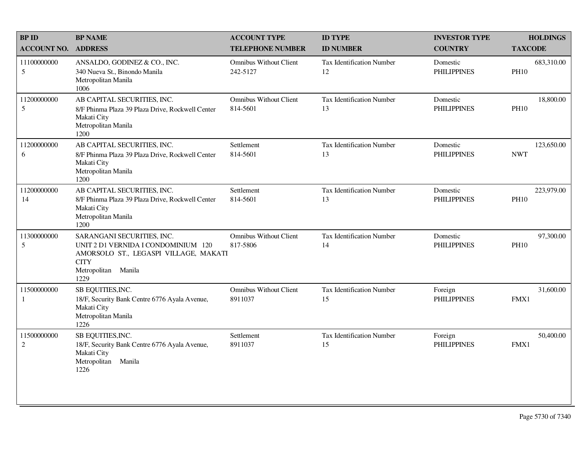| <b>BP ID</b>              | <b>BP NAME</b>                                                                                                                                           | <b>ACCOUNT TYPE</b>                       | <b>ID TYPE</b>                         | <b>INVESTOR TYPE</b>           | <b>HOLDINGS</b>           |
|---------------------------|----------------------------------------------------------------------------------------------------------------------------------------------------------|-------------------------------------------|----------------------------------------|--------------------------------|---------------------------|
| <b>ACCOUNT NO.</b>        | <b>ADDRESS</b>                                                                                                                                           | <b>TELEPHONE NUMBER</b>                   | <b>ID NUMBER</b>                       | <b>COUNTRY</b>                 | <b>TAXCODE</b>            |
| 11100000000<br>5          | ANSALDO, GODINEZ & CO., INC.<br>340 Nueva St., Binondo Manila<br>Metropolitan Manila<br>1006                                                             | <b>Omnibus Without Client</b><br>242-5127 | <b>Tax Identification Number</b><br>12 | Domestic<br><b>PHILIPPINES</b> | 683,310.00<br><b>PH10</b> |
| 11200000000<br>5          | AB CAPITAL SECURITIES, INC.<br>8/F Phinma Plaza 39 Plaza Drive, Rockwell Center<br>Makati City<br>Metropolitan Manila<br>1200                            | <b>Omnibus Without Client</b><br>814-5601 | <b>Tax Identification Number</b><br>13 | Domestic<br><b>PHILIPPINES</b> | 18,800.00<br><b>PH10</b>  |
| 11200000000<br>6          | AB CAPITAL SECURITIES, INC.<br>8/F Phinma Plaza 39 Plaza Drive, Rockwell Center<br>Makati City<br>Metropolitan Manila<br>1200                            | Settlement<br>814-5601                    | <b>Tax Identification Number</b><br>13 | Domestic<br><b>PHILIPPINES</b> | 123,650.00<br><b>NWT</b>  |
| 11200000000<br>14         | AB CAPITAL SECURITIES, INC.<br>8/F Phinma Plaza 39 Plaza Drive, Rockwell Center<br>Makati City<br>Metropolitan Manila<br>1200                            | Settlement<br>814-5601                    | <b>Tax Identification Number</b><br>13 | Domestic<br><b>PHILIPPINES</b> | 223,979.00<br><b>PH10</b> |
| 11300000000<br>5          | SARANGANI SECURITIES, INC.<br>UNIT 2 D1 VERNIDA I CONDOMINIUM 120<br>AMORSOLO ST., LEGASPI VILLAGE, MAKATI<br><b>CITY</b><br>Metropolitan Manila<br>1229 | <b>Omnibus Without Client</b><br>817-5806 | Tax Identification Number<br>14        | Domestic<br><b>PHILIPPINES</b> | 97,300.00<br><b>PH10</b>  |
| 11500000000<br>1          | SB EQUITIES, INC.<br>18/F, Security Bank Centre 6776 Ayala Avenue,<br>Makati City<br>Metropolitan Manila<br>1226                                         | <b>Omnibus Without Client</b><br>8911037  | Tax Identification Number<br>15        | Foreign<br><b>PHILIPPINES</b>  | 31,600.00<br>FMX1         |
| 11500000000<br>$\sqrt{2}$ | SB EQUITIES, INC.<br>18/F, Security Bank Centre 6776 Ayala Avenue,<br>Makati City<br>Metropolitan Manila<br>1226                                         | Settlement<br>8911037                     | Tax Identification Number<br>15        | Foreign<br><b>PHILIPPINES</b>  | 50,400.00<br>FMX1         |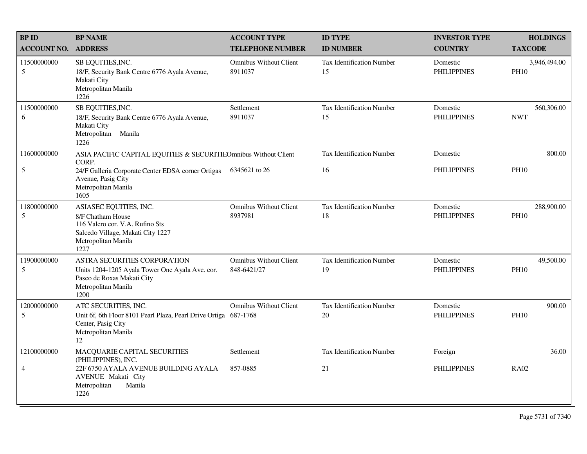| <b>BP ID</b>                  | <b>BP NAME</b>                                                                                                                                      | <b>ACCOUNT TYPE</b>                          | <b>ID TYPE</b>                         | <b>INVESTOR TYPE</b>           | <b>HOLDINGS</b>             |
|-------------------------------|-----------------------------------------------------------------------------------------------------------------------------------------------------|----------------------------------------------|----------------------------------------|--------------------------------|-----------------------------|
| <b>ACCOUNT NO.</b>            | <b>ADDRESS</b>                                                                                                                                      | <b>TELEPHONE NUMBER</b>                      | <b>ID NUMBER</b>                       | <b>COUNTRY</b>                 | <b>TAXCODE</b>              |
| 11500000000<br>5              | SB EQUITIES, INC.<br>18/F, Security Bank Centre 6776 Ayala Avenue,<br>Makati City<br>Metropolitan Manila<br>1226                                    | <b>Omnibus Without Client</b><br>8911037     | Tax Identification Number<br>15        | Domestic<br><b>PHILIPPINES</b> | 3,946,494.00<br><b>PH10</b> |
| 11500000000<br>6              | SB EQUITIES, INC.<br>18/F, Security Bank Centre 6776 Ayala Avenue,<br>Makati City<br>Metropolitan Manila<br>1226                                    | Settlement<br>8911037                        | Tax Identification Number<br>15        | Domestic<br><b>PHILIPPINES</b> | 560,306.00<br><b>NWT</b>    |
| 11600000000                   | ASIA PACIFIC CAPITAL EQUITIES & SECURITIEOmnibus Without Client<br>CORP.                                                                            |                                              | Tax Identification Number              | Domestic                       | 800.00                      |
| 5                             | 24/F Galleria Corporate Center EDSA corner Ortigas<br>Avenue, Pasig City<br>Metropolitan Manila<br>1605                                             | 6345621 to 26                                | 16                                     | <b>PHILIPPINES</b>             | <b>PH10</b>                 |
| 11800000000<br>5              | ASIASEC EQUITIES, INC.<br>8/F Chatham House<br>116 Valero cor. V.A. Rufino Sts<br>Salcedo Village, Makati City 1227<br>Metropolitan Manila<br>1227  | <b>Omnibus Without Client</b><br>8937981     | <b>Tax Identification Number</b><br>18 | Domestic<br><b>PHILIPPINES</b> | 288,900.00<br><b>PH10</b>   |
| 11900000000<br>5              | <b>ASTRA SECURITIES CORPORATION</b><br>Units 1204-1205 Ayala Tower One Ayala Ave. cor.<br>Paseo de Roxas Makati City<br>Metropolitan Manila<br>1200 | <b>Omnibus Without Client</b><br>848-6421/27 | Tax Identification Number<br>19        | Domestic<br><b>PHILIPPINES</b> | 49,500.00<br><b>PH10</b>    |
| 12000000000<br>5              | ATC SECURITIES, INC.<br>Unit 6f, 6th Floor 8101 Pearl Plaza, Pearl Drive Ortiga 687-1768<br>Center, Pasig City<br>Metropolitan Manila<br>12         | <b>Omnibus Without Client</b>                | Tax Identification Number<br>20        | Domestic<br><b>PHILIPPINES</b> | 900.00<br><b>PH10</b>       |
| 12100000000<br>$\overline{4}$ | MACQUARIE CAPITAL SECURITIES<br>(PHILIPPINES), INC.<br>22F 6750 AYALA AVENUE BUILDING AYALA<br>AVENUE Makati City<br>Metropolitan<br>Manila<br>1226 | Settlement<br>857-0885                       | Tax Identification Number<br>21        | Foreign<br><b>PHILIPPINES</b>  | 36.00<br><b>RA02</b>        |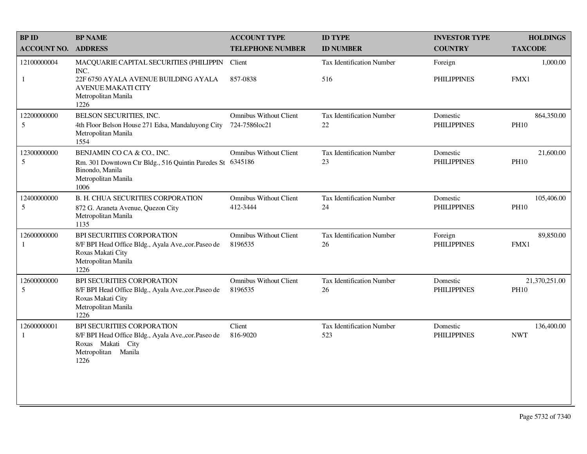| <b>BP NAME</b>                                                                                                                              | <b>ACCOUNT TYPE</b>                            | <b>ID TYPE</b>                                             | <b>INVESTOR TYPE</b>           | <b>HOLDINGS</b>              |
|---------------------------------------------------------------------------------------------------------------------------------------------|------------------------------------------------|------------------------------------------------------------|--------------------------------|------------------------------|
| <b>ADDRESS</b>                                                                                                                              | <b>TELEPHONE NUMBER</b>                        | <b>ID NUMBER</b>                                           | <b>COUNTRY</b>                 | <b>TAXCODE</b>               |
| MACQUARIE CAPITAL SECURITIES (PHILIPPIN<br>INC.<br>22F 6750 AYALA AVENUE BUILDING AYALA<br><b>AVENUE MAKATI CITY</b><br>Metropolitan Manila | Client<br>857-0838                             | <b>Tax Identification Number</b><br>516                    | Foreign<br><b>PHILIPPINES</b>  | 1,000.00<br>FMX1             |
| BELSON SECURITIES, INC.<br>4th Floor Belson House 271 Edsa, Mandaluyong City<br>Metropolitan Manila<br>1554                                 | <b>Omnibus Without Client</b><br>724-7586loc21 | Tax Identification Number<br>22                            | Domestic<br><b>PHILIPPINES</b> | 864,350.00<br><b>PH10</b>    |
| BENJAMIN CO CA & CO., INC.<br>Binondo, Manila<br>Metropolitan Manila<br>1006                                                                | <b>Omnibus Without Client</b>                  | <b>Tax Identification Number</b><br>23                     | Domestic<br><b>PHILIPPINES</b> | 21,600.00<br><b>PH10</b>     |
| <b>B. H. CHUA SECURITIES CORPORATION</b><br>872 G. Araneta Avenue, Quezon City<br>Metropolitan Manila<br>1135                               | <b>Omnibus Without Client</b><br>412-3444      | <b>Tax Identification Number</b><br>24                     | Domestic<br><b>PHILIPPINES</b> | 105,406.00<br><b>PH10</b>    |
| BPI SECURITIES CORPORATION<br>8/F BPI Head Office Bldg., Ayala Ave., cor. Paseo de<br>Roxas Makati City<br>Metropolitan Manila<br>1226      | <b>Omnibus Without Client</b><br>8196535       | <b>Tax Identification Number</b><br>26                     | Foreign<br><b>PHILIPPINES</b>  | 89,850.00<br>FMX1            |
| BPI SECURITIES CORPORATION<br>8/F BPI Head Office Bldg., Ayala Ave., cor. Paseo de<br>Roxas Makati City<br>Metropolitan Manila<br>1226      | <b>Omnibus Without Client</b><br>8196535       | <b>Tax Identification Number</b><br>26                     | Domestic<br><b>PHILIPPINES</b> | 21,370,251.00<br><b>PH10</b> |
| BPI SECURITIES CORPORATION<br>8/F BPI Head Office Bldg., Ayala Ave., cor. Paseo de<br>Roxas Makati City<br>Metropolitan Manila<br>1226      | Client<br>816-9020                             | <b>Tax Identification Number</b><br>523                    | Domestic<br><b>PHILIPPINES</b> | 136,400.00<br><b>NWT</b>     |
|                                                                                                                                             | 1226                                           | Rm. 301 Downtown Ctr Bldg., 516 Quintin Paredes St 6345186 |                                |                              |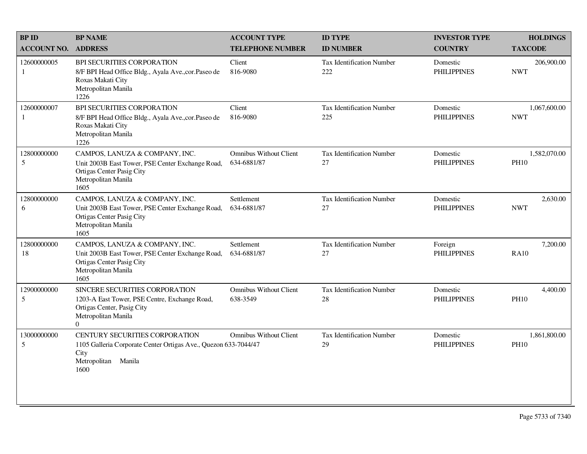| <b>BPID</b>                 | <b>BP NAME</b>                                                                                                                                   | <b>ACCOUNT TYPE</b>                          | <b>ID TYPE</b>                         | <b>INVESTOR TYPE</b>           | <b>HOLDINGS</b>             |
|-----------------------------|--------------------------------------------------------------------------------------------------------------------------------------------------|----------------------------------------------|----------------------------------------|--------------------------------|-----------------------------|
| <b>ACCOUNT NO.</b>          | <b>ADDRESS</b>                                                                                                                                   | <b>TELEPHONE NUMBER</b>                      | <b>ID NUMBER</b>                       | <b>COUNTRY</b>                 | <b>TAXCODE</b>              |
| 12600000005<br>1            | BPI SECURITIES CORPORATION<br>8/F BPI Head Office Bldg., Ayala Ave., cor. Paseo de<br>Roxas Makati City<br>Metropolitan Manila<br>1226           | Client<br>816-9080                           | Tax Identification Number<br>222       | Domestic<br><b>PHILIPPINES</b> | 206,900.00<br><b>NWT</b>    |
| 12600000007<br>$\mathbf{1}$ | <b>BPI SECURITIES CORPORATION</b><br>8/F BPI Head Office Bldg., Ayala Ave., cor. Paseo de<br>Roxas Makati City<br>Metropolitan Manila<br>1226    | Client<br>816-9080                           | Tax Identification Number<br>225       | Domestic<br><b>PHILIPPINES</b> | 1,067,600.00<br><b>NWT</b>  |
| 12800000000<br>5            | CAMPOS, LANUZA & COMPANY, INC.<br>Unit 2003B East Tower, PSE Center Exchange Road,<br>Ortigas Center Pasig City<br>Metropolitan Manila<br>1605   | <b>Omnibus Without Client</b><br>634-6881/87 | <b>Tax Identification Number</b><br>27 | Domestic<br><b>PHILIPPINES</b> | 1,582,070.00<br><b>PH10</b> |
| 12800000000<br>6            | CAMPOS, LANUZA & COMPANY, INC.<br>Unit 2003B East Tower, PSE Center Exchange Road,<br>Ortigas Center Pasig City<br>Metropolitan Manila<br>1605   | Settlement<br>634-6881/87                    | Tax Identification Number<br>27        | Domestic<br><b>PHILIPPINES</b> | 2,630.00<br><b>NWT</b>      |
| 12800000000<br>18           | CAMPOS, LANUZA & COMPANY, INC.<br>Unit 2003B East Tower, PSE Center Exchange Road,<br>Ortigas Center Pasig City<br>Metropolitan Manila<br>1605   | Settlement<br>634-6881/87                    | Tax Identification Number<br>27        | Foreign<br><b>PHILIPPINES</b>  | 7,200.00<br><b>RA10</b>     |
| 12900000000<br>5            | SINCERE SECURITIES CORPORATION<br>1203-A East Tower, PSE Centre, Exchange Road,<br>Ortigas Center, Pasig City<br>Metropolitan Manila<br>$\Omega$ | <b>Omnibus Without Client</b><br>638-3549    | Tax Identification Number<br>28        | Domestic<br><b>PHILIPPINES</b> | 4,400.00<br><b>PH10</b>     |
| 13000000000<br>5            | CENTURY SECURITIES CORPORATION<br>1105 Galleria Corporate Center Ortigas Ave., Quezon 633-7044/47<br>City<br>Metropolitan<br>Manila<br>1600      | <b>Omnibus Without Client</b>                | Tax Identification Number<br>29        | Domestic<br><b>PHILIPPINES</b> | 1,861,800.00<br><b>PH10</b> |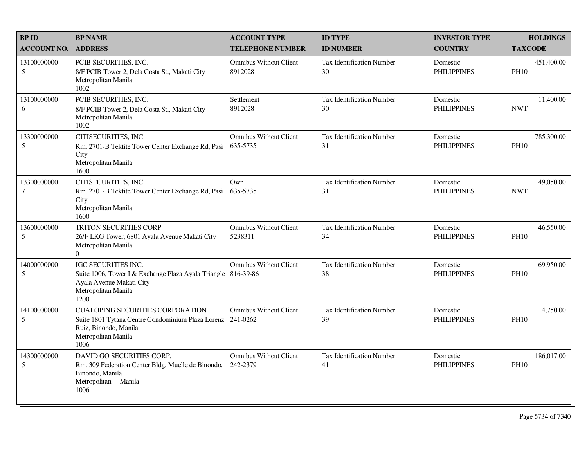| <b>BP ID</b>              | <b>BP NAME</b>                                                                                                                                                | <b>ACCOUNT TYPE</b>                       | <b>ID TYPE</b>                         | <b>INVESTOR TYPE</b>           | <b>HOLDINGS</b>           |
|---------------------------|---------------------------------------------------------------------------------------------------------------------------------------------------------------|-------------------------------------------|----------------------------------------|--------------------------------|---------------------------|
| <b>ACCOUNT NO.</b>        | <b>ADDRESS</b>                                                                                                                                                | <b>TELEPHONE NUMBER</b>                   | <b>ID NUMBER</b>                       | <b>COUNTRY</b>                 | <b>TAXCODE</b>            |
| 13100000000<br>5          | PCIB SECURITIES, INC.<br>8/F PCIB Tower 2, Dela Costa St., Makati City<br>Metropolitan Manila<br>1002                                                         | <b>Omnibus Without Client</b><br>8912028  | <b>Tax Identification Number</b><br>30 | Domestic<br><b>PHILIPPINES</b> | 451,400.00<br><b>PH10</b> |
| 13100000000<br>6          | PCIB SECURITIES, INC.<br>8/F PCIB Tower 2, Dela Costa St., Makati City<br>Metropolitan Manila<br>1002                                                         | Settlement<br>8912028                     | <b>Tax Identification Number</b><br>30 | Domestic<br><b>PHILIPPINES</b> | 11,400.00<br><b>NWT</b>   |
| 13300000000<br>5          | CITISECURITIES, INC.<br>Rm. 2701-B Tektite Tower Center Exchange Rd, Pasi<br>City<br>Metropolitan Manila<br>1600                                              | <b>Omnibus Without Client</b><br>635-5735 | <b>Tax Identification Number</b><br>31 | Domestic<br><b>PHILIPPINES</b> | 785,300.00<br><b>PH10</b> |
| 13300000000<br>7          | CITISECURITIES, INC.<br>Rm. 2701-B Tektite Tower Center Exchange Rd, Pasi<br>City<br>Metropolitan Manila<br>1600                                              | Own<br>635-5735                           | <b>Tax Identification Number</b><br>31 | Domestic<br><b>PHILIPPINES</b> | 49,050.00<br><b>NWT</b>   |
| 13600000000<br>5          | TRITON SECURITIES CORP.<br>26/F LKG Tower, 6801 Ayala Avenue Makati City<br>Metropolitan Manila<br>$\Omega$                                                   | <b>Omnibus Without Client</b><br>5238311  | <b>Tax Identification Number</b><br>34 | Domestic<br><b>PHILIPPINES</b> | 46,550.00<br><b>PH10</b>  |
| 14000000000<br>5          | IGC SECURITIES INC.<br>Suite 1006, Tower I & Exchange Plaza Ayala Triangle 816-39-86<br>Ayala Avenue Makati City<br>Metropolitan Manila<br>1200               | <b>Omnibus Without Client</b>             | <b>Tax Identification Number</b><br>38 | Domestic<br><b>PHILIPPINES</b> | 69,950.00<br><b>PH10</b>  |
| 14100000000<br>$\sqrt{5}$ | <b>CUALOPING SECURITIES CORPORATION</b><br>Suite 1801 Tytana Centre Condominium Plaza Lorenz 241-0262<br>Ruiz, Binondo, Manila<br>Metropolitan Manila<br>1006 | <b>Omnibus Without Client</b>             | <b>Tax Identification Number</b><br>39 | Domestic<br><b>PHILIPPINES</b> | 4,750.00<br><b>PH10</b>   |
| 14300000000<br>5          | DAVID GO SECURITIES CORP.<br>Rm. 309 Federation Center Bldg. Muelle de Binondo,<br>Binondo, Manila<br>Metropolitan Manila<br>1006                             | <b>Omnibus Without Client</b><br>242-2379 | Tax Identification Number<br>41        | Domestic<br><b>PHILIPPINES</b> | 186,017.00<br><b>PH10</b> |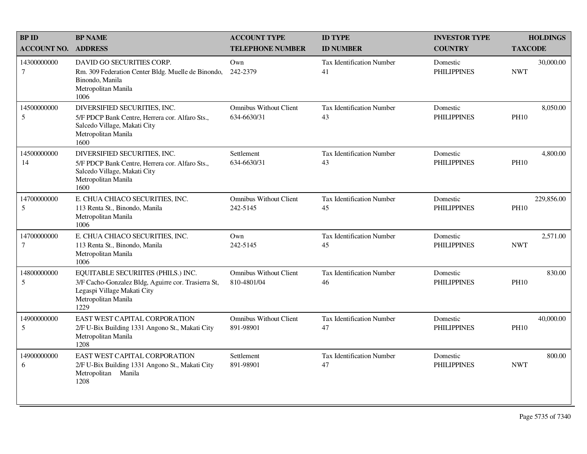| <b>BPID</b>           | <b>BP NAME</b>                                                                                                                                          | <b>ACCOUNT TYPE</b>                          | <b>ID TYPE</b>                         | <b>INVESTOR TYPE</b>           | <b>HOLDINGS</b>           |
|-----------------------|---------------------------------------------------------------------------------------------------------------------------------------------------------|----------------------------------------------|----------------------------------------|--------------------------------|---------------------------|
| <b>ACCOUNT NO.</b>    | <b>ADDRESS</b>                                                                                                                                          | <b>TELEPHONE NUMBER</b>                      | <b>ID NUMBER</b>                       | <b>COUNTRY</b>                 | <b>TAXCODE</b>            |
| 14300000000<br>$\tau$ | DAVID GO SECURITIES CORP.<br>Rm. 309 Federation Center Bldg. Muelle de Binondo,<br>Binondo, Manila<br>Metropolitan Manila<br>1006                       | Own<br>242-2379                              | Tax Identification Number<br>41        | Domestic<br><b>PHILIPPINES</b> | 30,000.00<br><b>NWT</b>   |
| 14500000000<br>5      | DIVERSIFIED SECURITIES, INC.<br>5/F PDCP Bank Centre, Herrera cor. Alfaro Sts.,<br>Salcedo Village, Makati City<br>Metropolitan Manila<br>1600          | <b>Omnibus Without Client</b><br>634-6630/31 | <b>Tax Identification Number</b><br>43 | Domestic<br><b>PHILIPPINES</b> | 8,050.00<br><b>PH10</b>   |
| 14500000000<br>14     | DIVERSIFIED SECURITIES, INC.<br>5/F PDCP Bank Centre, Herrera cor. Alfaro Sts.,<br>Salcedo Village, Makati City<br>Metropolitan Manila<br>1600          | Settlement<br>634-6630/31                    | <b>Tax Identification Number</b><br>43 | Domestic<br><b>PHILIPPINES</b> | 4,800.00<br><b>PH10</b>   |
| 14700000000<br>5      | E. CHUA CHIACO SECURITIES, INC.<br>113 Renta St., Binondo, Manila<br>Metropolitan Manila<br>1006                                                        | <b>Omnibus Without Client</b><br>242-5145    | Tax Identification Number<br>45        | Domestic<br><b>PHILIPPINES</b> | 229,856.00<br><b>PH10</b> |
| 14700000000<br>$\tau$ | E. CHUA CHIACO SECURITIES, INC.<br>113 Renta St., Binondo, Manila<br>Metropolitan Manila<br>1006                                                        | Own<br>242-5145                              | <b>Tax Identification Number</b><br>45 | Domestic<br><b>PHILIPPINES</b> | 2,571.00<br><b>NWT</b>    |
| 14800000000<br>5      | EQUITABLE SECURIITES (PHILS.) INC.<br>3/F Cacho-Gonzalez Bldg, Aguirre cor. Trasierra St,<br>Legaspi Village Makati City<br>Metropolitan Manila<br>1229 | <b>Omnibus Without Client</b><br>810-4801/04 | <b>Tax Identification Number</b><br>46 | Domestic<br><b>PHILIPPINES</b> | 830.00<br><b>PH10</b>     |
| 14900000000<br>5      | EAST WEST CAPITAL CORPORATION<br>2/F U-Bix Building 1331 Angono St., Makati City<br>Metropolitan Manila<br>1208                                         | <b>Omnibus Without Client</b><br>891-98901   | Tax Identification Number<br>47        | Domestic<br><b>PHILIPPINES</b> | 40,000.00<br><b>PH10</b>  |
| 14900000000<br>6      | <b>EAST WEST CAPITAL CORPORATION</b><br>2/F U-Bix Building 1331 Angono St., Makati City<br>Metropolitan Manila<br>1208                                  | Settlement<br>891-98901                      | <b>Tax Identification Number</b><br>47 | Domestic<br><b>PHILIPPINES</b> | 800.00<br><b>NWT</b>      |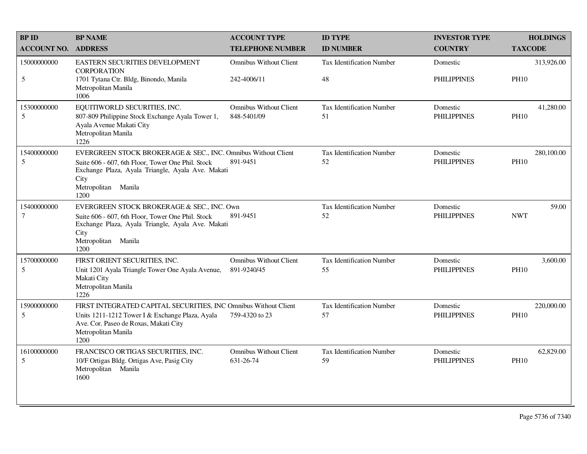| <b>BPID</b>           | <b>BP NAME</b>                                                                                                                                                                                                 | <b>ACCOUNT TYPE</b>                          | <b>ID TYPE</b>                         | <b>INVESTOR TYPE</b>           | <b>HOLDINGS</b>           |
|-----------------------|----------------------------------------------------------------------------------------------------------------------------------------------------------------------------------------------------------------|----------------------------------------------|----------------------------------------|--------------------------------|---------------------------|
| <b>ACCOUNT NO.</b>    | <b>ADDRESS</b>                                                                                                                                                                                                 | <b>TELEPHONE NUMBER</b>                      | <b>ID NUMBER</b>                       | <b>COUNTRY</b>                 | <b>TAXCODE</b>            |
| 15000000000<br>5      | <b>EASTERN SECURITIES DEVELOPMENT</b><br><b>CORPORATION</b><br>1701 Tytana Ctr. Bldg, Binondo, Manila                                                                                                          | <b>Omnibus Without Client</b><br>242-4006/11 | <b>Tax Identification Number</b><br>48 | Domestic<br><b>PHILIPPINES</b> | 313,926.00<br><b>PH10</b> |
|                       | Metropolitan Manila<br>1006                                                                                                                                                                                    |                                              |                                        |                                |                           |
| 15300000000<br>5      | EQUITIWORLD SECURITIES, INC.<br>807-809 Philippine Stock Exchange Ayala Tower 1,<br>Ayala Avenue Makati City<br>Metropolitan Manila<br>1226                                                                    | <b>Omnibus Without Client</b><br>848-5401/09 | Tax Identification Number<br>51        | Domestic<br><b>PHILIPPINES</b> | 41,280.00<br><b>PH10</b>  |
| 15400000000<br>5      | EVERGREEN STOCK BROKERAGE & SEC., INC. Omnibus Without Client<br>Suite 606 - 607, 6th Floor, Tower One Phil. Stock<br>Exchange Plaza, Ayala Triangle, Ayala Ave. Makati<br>City<br>Metropolitan Manila<br>1200 | 891-9451                                     | Tax Identification Number<br>52        | Domestic<br><b>PHILIPPINES</b> | 280,100.00<br><b>PH10</b> |
| 15400000000<br>$\tau$ | EVERGREEN STOCK BROKERAGE & SEC., INC. Own<br>Suite 606 - 607, 6th Floor, Tower One Phil. Stock<br>Exchange Plaza, Ayala Triangle, Ayala Ave. Makati<br>City<br>Metropolitan Manila<br>1200                    | 891-9451                                     | Tax Identification Number<br>52        | Domestic<br><b>PHILIPPINES</b> | 59.00<br><b>NWT</b>       |
| 15700000000<br>5      | FIRST ORIENT SECURITIES, INC.<br>Unit 1201 Ayala Triangle Tower One Ayala Avenue,<br>Makati City<br>Metropolitan Manila<br>1226                                                                                | <b>Omnibus Without Client</b><br>891-9240/45 | Tax Identification Number<br>55        | Domestic<br><b>PHILIPPINES</b> | 3,600.00<br><b>PH10</b>   |
| 15900000000<br>5      | FIRST INTEGRATED CAPITAL SECURITIES, INC Omnibus Without Client<br>Units 1211-1212 Tower I & Exchange Plaza, Ayala<br>Ave. Cor. Paseo de Roxas, Makati City<br>Metropolitan Manila<br>1200                     | 759-4320 to 23                               | <b>Tax Identification Number</b><br>57 | Domestic<br><b>PHILIPPINES</b> | 220,000.00<br><b>PH10</b> |
| 16100000000<br>5      | FRANCISCO ORTIGAS SECURITIES, INC.<br>10/F Ortigas Bldg. Ortigas Ave, Pasig City<br>Metropolitan Manila<br>1600                                                                                                | <b>Omnibus Without Client</b><br>631-26-74   | Tax Identification Number<br>59        | Domestic<br><b>PHILIPPINES</b> | 62,829.00<br><b>PH10</b>  |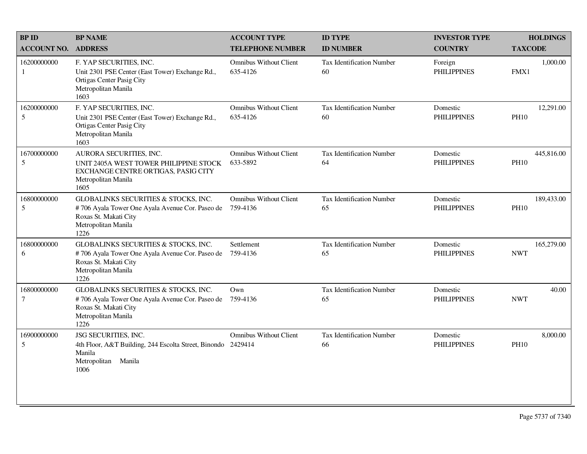| <b>BPID</b>           | <b>BP NAME</b>                                                                                                                                  | <b>ACCOUNT TYPE</b>                       | <b>ID TYPE</b>                         | <b>INVESTOR TYPE</b>           | <b>HOLDINGS</b>           |
|-----------------------|-------------------------------------------------------------------------------------------------------------------------------------------------|-------------------------------------------|----------------------------------------|--------------------------------|---------------------------|
| <b>ACCOUNT NO.</b>    | <b>ADDRESS</b>                                                                                                                                  | <b>TELEPHONE NUMBER</b>                   | <b>ID NUMBER</b>                       | <b>COUNTRY</b>                 | <b>TAXCODE</b>            |
| 16200000000<br>1      | F. YAP SECURITIES, INC.<br>Unit 2301 PSE Center (East Tower) Exchange Rd.,<br>Ortigas Center Pasig City<br>Metropolitan Manila<br>1603          | <b>Omnibus Without Client</b><br>635-4126 | <b>Tax Identification Number</b><br>60 | Foreign<br><b>PHILIPPINES</b>  | 1,000.00<br>FMX1          |
| 16200000000<br>5      | F. YAP SECURITIES, INC.<br>Unit 2301 PSE Center (East Tower) Exchange Rd.,<br>Ortigas Center Pasig City<br>Metropolitan Manila<br>1603          | <b>Omnibus Without Client</b><br>635-4126 | <b>Tax Identification Number</b><br>60 | Domestic<br><b>PHILIPPINES</b> | 12,291.00<br><b>PH10</b>  |
| 16700000000<br>5      | AURORA SECURITIES, INC.<br>UNIT 2405A WEST TOWER PHILIPPINE STOCK<br>EXCHANGE CENTRE ORTIGAS, PASIG CITY<br>Metropolitan Manila<br>1605         | <b>Omnibus Without Client</b><br>633-5892 | <b>Tax Identification Number</b><br>64 | Domestic<br><b>PHILIPPINES</b> | 445,816.00<br><b>PH10</b> |
| 16800000000<br>5      | GLOBALINKS SECURITIES & STOCKS, INC.<br>#706 Ayala Tower One Ayala Avenue Cor. Paseo de<br>Roxas St. Makati City<br>Metropolitan Manila<br>1226 | <b>Omnibus Without Client</b><br>759-4136 | <b>Tax Identification Number</b><br>65 | Domestic<br><b>PHILIPPINES</b> | 189,433.00<br><b>PH10</b> |
| 16800000000<br>6      | GLOBALINKS SECURITIES & STOCKS, INC.<br>#706 Ayala Tower One Ayala Avenue Cor. Paseo de<br>Roxas St. Makati City<br>Metropolitan Manila<br>1226 | Settlement<br>759-4136                    | <b>Tax Identification Number</b><br>65 | Domestic<br><b>PHILIPPINES</b> | 165,279.00<br><b>NWT</b>  |
| 16800000000<br>$\tau$ | GLOBALINKS SECURITIES & STOCKS, INC.<br>#706 Ayala Tower One Ayala Avenue Cor. Paseo de<br>Roxas St. Makati City<br>Metropolitan Manila<br>1226 | Own<br>759-4136                           | Tax Identification Number<br>65        | Domestic<br><b>PHILIPPINES</b> | 40.00<br><b>NWT</b>       |
| 16900000000<br>5      | JSG SECURITIES, INC.<br>4th Floor, A&T Building, 244 Escolta Street, Binondo 2429414<br>Manila<br>Metropolitan Manila<br>1006                   | <b>Omnibus Without Client</b>             | <b>Tax Identification Number</b><br>66 | Domestic<br><b>PHILIPPINES</b> | 8,000.00<br><b>PH10</b>   |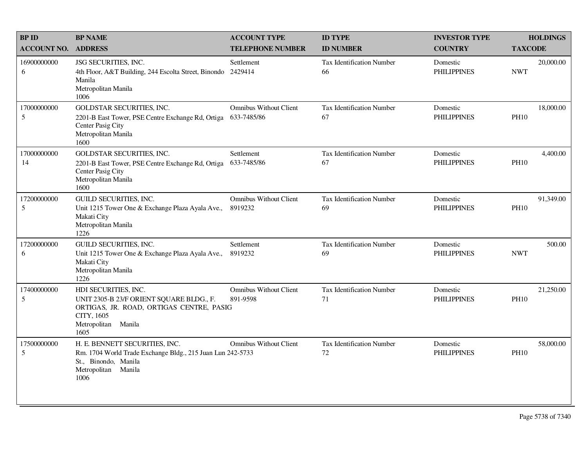| <b>BP ID</b>       | <b>BP NAME</b>                                                                                                                                            | <b>ACCOUNT TYPE</b>                          | <b>ID TYPE</b>                         | <b>INVESTOR TYPE</b>           | <b>HOLDINGS</b>          |
|--------------------|-----------------------------------------------------------------------------------------------------------------------------------------------------------|----------------------------------------------|----------------------------------------|--------------------------------|--------------------------|
| <b>ACCOUNT NO.</b> | <b>ADDRESS</b>                                                                                                                                            | <b>TELEPHONE NUMBER</b>                      | <b>ID NUMBER</b>                       | <b>COUNTRY</b>                 | <b>TAXCODE</b>           |
| 16900000000<br>6   | JSG SECURITIES, INC.<br>4th Floor, A&T Building, 244 Escolta Street, Binondo<br>Manila<br>Metropolitan Manila<br>1006                                     | Settlement<br>2429414                        | <b>Tax Identification Number</b><br>66 | Domestic<br><b>PHILIPPINES</b> | 20,000.00<br><b>NWT</b>  |
| 17000000000<br>5   | <b>GOLDSTAR SECURITIES, INC.</b><br>2201-B East Tower, PSE Centre Exchange Rd, Ortiga<br>Center Pasig City<br>Metropolitan Manila<br>1600                 | <b>Omnibus Without Client</b><br>633-7485/86 | <b>Tax Identification Number</b><br>67 | Domestic<br><b>PHILIPPINES</b> | 18,000.00<br><b>PH10</b> |
| 17000000000<br>14  | <b>GOLDSTAR SECURITIES, INC.</b><br>2201-B East Tower, PSE Centre Exchange Rd, Ortiga<br>Center Pasig City<br>Metropolitan Manila<br>1600                 | Settlement<br>633-7485/86                    | <b>Tax Identification Number</b><br>67 | Domestic<br><b>PHILIPPINES</b> | 4,400.00<br><b>PH10</b>  |
| 17200000000<br>5   | <b>GUILD SECURITIES, INC.</b><br>Unit 1215 Tower One & Exchange Plaza Ayala Ave.,<br>Makati City<br>Metropolitan Manila<br>1226                           | <b>Omnibus Without Client</b><br>8919232     | Tax Identification Number<br>69        | Domestic<br><b>PHILIPPINES</b> | 91,349.00<br><b>PH10</b> |
| 17200000000<br>6   | <b>GUILD SECURITIES, INC.</b><br>Unit 1215 Tower One & Exchange Plaza Ayala Ave.,<br>Makati City<br>Metropolitan Manila<br>1226                           | Settlement<br>8919232                        | <b>Tax Identification Number</b><br>69 | Domestic<br><b>PHILIPPINES</b> | 500.00<br><b>NWT</b>     |
| 17400000000<br>5   | HDI SECURITIES, INC.<br>UNIT 2305-B 23/F ORIENT SQUARE BLDG., F.<br>ORTIGAS, JR. ROAD, ORTIGAS CENTRE, PASIG<br>CITY, 1605<br>Metropolitan Manila<br>1605 | <b>Omnibus Without Client</b><br>891-9598    | <b>Tax Identification Number</b><br>71 | Domestic<br><b>PHILIPPINES</b> | 21,250.00<br><b>PH10</b> |
| 17500000000<br>5   | H. E. BENNETT SECURITIES, INC.<br>Rm. 1704 World Trade Exchange Bldg., 215 Juan Lun 242-5733<br>St., Binondo, Manila<br>Metropolitan Manila<br>1006       | <b>Omnibus Without Client</b>                | <b>Tax Identification Number</b><br>72 | Domestic<br><b>PHILIPPINES</b> | 58,000.00<br><b>PH10</b> |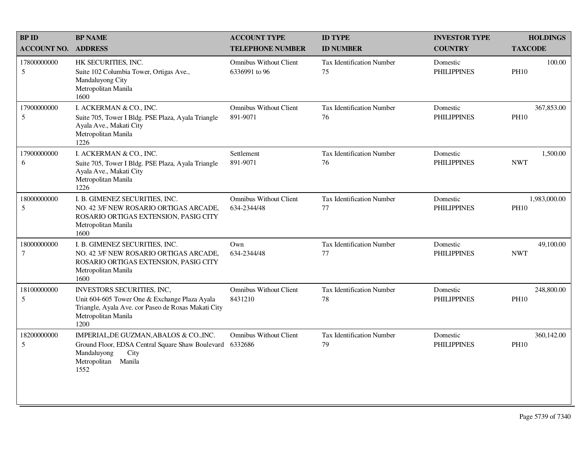| <b>BPID</b>           | <b>BP NAME</b>                                                                                                                                                    | <b>ACCOUNT TYPE</b>                            | <b>ID TYPE</b>                         | <b>INVESTOR TYPE</b>           | <b>HOLDINGS</b>             |
|-----------------------|-------------------------------------------------------------------------------------------------------------------------------------------------------------------|------------------------------------------------|----------------------------------------|--------------------------------|-----------------------------|
| <b>ACCOUNT NO.</b>    | <b>ADDRESS</b>                                                                                                                                                    | <b>TELEPHONE NUMBER</b>                        | <b>ID NUMBER</b>                       | <b>COUNTRY</b>                 | <b>TAXCODE</b>              |
| 17800000000<br>5      | HK SECURITIES, INC.<br>Suite 102 Columbia Tower, Ortigas Ave.,<br>Mandaluyong City<br>Metropolitan Manila<br>1600                                                 | <b>Omnibus Without Client</b><br>6336991 to 96 | Tax Identification Number<br>75        | Domestic<br><b>PHILIPPINES</b> | 100.00<br><b>PH10</b>       |
| 17900000000<br>5      | I. ACKERMAN & CO., INC.<br>Suite 705, Tower I Bldg. PSE Plaza, Ayala Triangle<br>Ayala Ave., Makati City<br>Metropolitan Manila<br>1226                           | <b>Omnibus Without Client</b><br>891-9071      | <b>Tax Identification Number</b><br>76 | Domestic<br><b>PHILIPPINES</b> | 367,853.00<br><b>PH10</b>   |
| 17900000000<br>6      | I. ACKERMAN & CO., INC.<br>Suite 705, Tower I Bldg. PSE Plaza, Ayala Triangle<br>Ayala Ave., Makati City<br>Metropolitan Manila<br>1226                           | Settlement<br>891-9071                         | <b>Tax Identification Number</b><br>76 | Domestic<br><b>PHILIPPINES</b> | 1,500.00<br><b>NWT</b>      |
| 18000000000<br>5      | I. B. GIMENEZ SECURITIES, INC.<br>NO. 42 3/F NEW ROSARIO ORTIGAS ARCADE,<br>ROSARIO ORTIGAS EXTENSION, PASIG CITY<br>Metropolitan Manila<br>1600                  | <b>Omnibus Without Client</b><br>634-2344/48   | <b>Tax Identification Number</b><br>77 | Domestic<br><b>PHILIPPINES</b> | 1,983,000.00<br><b>PH10</b> |
| 18000000000<br>$\tau$ | I. B. GIMENEZ SECURITIES, INC.<br>NO. 42 3/F NEW ROSARIO ORTIGAS ARCADE,<br>ROSARIO ORTIGAS EXTENSION, PASIG CITY<br>Metropolitan Manila<br>1600                  | Own<br>634-2344/48                             | <b>Tax Identification Number</b><br>77 | Domestic<br><b>PHILIPPINES</b> | 49,100.00<br><b>NWT</b>     |
| 18100000000<br>5      | INVESTORS SECURITIES, INC,<br>Unit 604-605 Tower One & Exchange Plaza Ayala<br>Triangle, Ayala Ave. cor Paseo de Roxas Makati City<br>Metropolitan Manila<br>1200 | <b>Omnibus Without Client</b><br>8431210       | <b>Tax Identification Number</b><br>78 | Domestic<br><b>PHILIPPINES</b> | 248,800.00<br><b>PH10</b>   |
| 18200000000<br>5      | IMPERIAL, DE GUZMAN, ABALOS & CO., INC.<br>Ground Floor, EDSA Central Square Shaw Boulevard<br>Mandaluyong<br>City<br>Metropolitan Manila<br>1552                 | <b>Omnibus Without Client</b><br>6332686       | <b>Tax Identification Number</b><br>79 | Domestic<br><b>PHILIPPINES</b> | 360,142.00<br><b>PH10</b>   |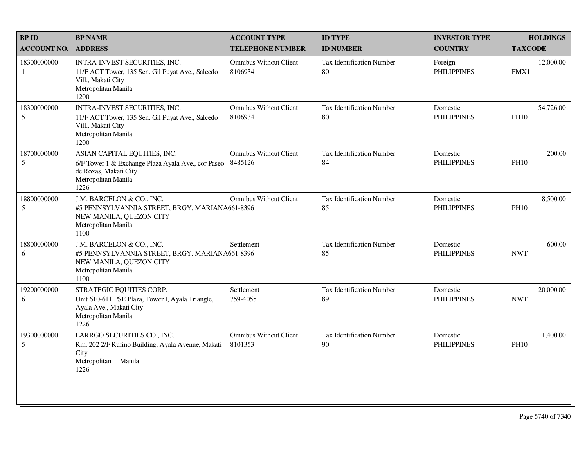| <b>BPID</b>                    | <b>BP NAME</b>                                                                                                                             | <b>ACCOUNT TYPE</b>                      | <b>ID TYPE</b>                         | <b>INVESTOR TYPE</b>           | <b>HOLDINGS</b>          |
|--------------------------------|--------------------------------------------------------------------------------------------------------------------------------------------|------------------------------------------|----------------------------------------|--------------------------------|--------------------------|
| <b>ACCOUNT NO.</b>             | <b>ADDRESS</b>                                                                                                                             | <b>TELEPHONE NUMBER</b>                  | <b>ID NUMBER</b>                       | <b>COUNTRY</b>                 | <b>TAXCODE</b>           |
| 18300000000<br>1               | INTRA-INVEST SECURITIES, INC.<br>11/F ACT Tower, 135 Sen. Gil Puyat Ave., Salcedo<br>Vill., Makati City<br>Metropolitan Manila<br>1200     | <b>Omnibus Without Client</b><br>8106934 | Tax Identification Number<br>80        | Foreign<br><b>PHILIPPINES</b>  | 12,000.00<br>FMX1        |
| 18300000000<br>5               | INTRA-INVEST SECURITIES, INC.<br>11/F ACT Tower, 135 Sen. Gil Puyat Ave., Salcedo<br>Vill., Makati City<br>Metropolitan Manila<br>1200     | <b>Omnibus Without Client</b><br>8106934 | <b>Tax Identification Number</b><br>80 | Domestic<br><b>PHILIPPINES</b> | 54,726.00<br><b>PH10</b> |
| 18700000000<br>5               | ASIAN CAPITAL EQUITIES, INC.<br>6/F Tower 1 & Exchange Plaza Ayala Ave., cor Paseo<br>de Roxas, Makati City<br>Metropolitan Manila<br>1226 | <b>Omnibus Without Client</b><br>8485126 | <b>Tax Identification Number</b><br>84 | Domestic<br><b>PHILIPPINES</b> | 200.00<br><b>PH10</b>    |
| 18800000000<br>5               | J.M. BARCELON & CO., INC.<br>#5 PENNSYLVANNIA STREET, BRGY. MARIANA661-8396<br>NEW MANILA, QUEZON CITY<br>Metropolitan Manila<br>1100      | <b>Omnibus Without Client</b>            | <b>Tax Identification Number</b><br>85 | Domestic<br><b>PHILIPPINES</b> | 8,500.00<br><b>PH10</b>  |
| 18800000000<br>6               | J.M. BARCELON & CO., INC.<br>#5 PENNSYLVANNIA STREET, BRGY. MARIANA661-8396<br>NEW MANILA, QUEZON CITY<br>Metropolitan Manila<br>1100      | Settlement                               | Tax Identification Number<br>85        | Domestic<br><b>PHILIPPINES</b> | 600.00<br><b>NWT</b>     |
| 19200000000<br>6               | STRATEGIC EQUITIES CORP.<br>Unit 610-611 PSE Plaza, Tower I, Ayala Triangle,<br>Ayala Ave., Makati City<br>Metropolitan Manila<br>1226     | Settlement<br>759-4055                   | Tax Identification Number<br>89        | Domestic<br><b>PHILIPPINES</b> | 20,000.00<br><b>NWT</b>  |
| 19300000000<br>$5\overline{)}$ | LARRGO SECURITIES CO., INC.<br>Rm. 202 2/F Rufino Building, Ayala Avenue, Makati<br>City<br>Metropolitan Manila<br>1226                    | <b>Omnibus Without Client</b><br>8101353 | Tax Identification Number<br>90        | Domestic<br><b>PHILIPPINES</b> | 1,400.00<br><b>PH10</b>  |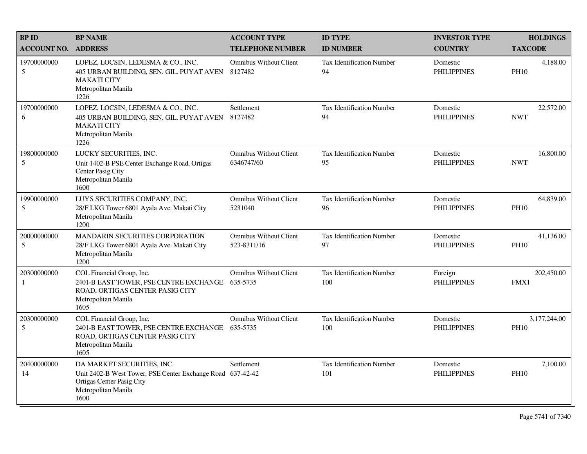| <b>BPID</b>        | <b>BP NAME</b>                                                                                                                                       | <b>ACCOUNT TYPE</b>                          | <b>ID TYPE</b>                          | <b>INVESTOR TYPE</b>           | <b>HOLDINGS</b>             |
|--------------------|------------------------------------------------------------------------------------------------------------------------------------------------------|----------------------------------------------|-----------------------------------------|--------------------------------|-----------------------------|
| <b>ACCOUNT NO.</b> | <b>ADDRESS</b>                                                                                                                                       | <b>TELEPHONE NUMBER</b>                      | <b>ID NUMBER</b>                        | <b>COUNTRY</b>                 | <b>TAXCODE</b>              |
| 19700000000<br>5   | LOPEZ, LOCSIN, LEDESMA & CO., INC.<br>405 URBAN BUILDING, SEN. GIL. PUYAT AVEN<br><b>MAKATI CITY</b><br>Metropolitan Manila<br>1226                  | <b>Omnibus Without Client</b><br>8127482     | <b>Tax Identification Number</b><br>94  | Domestic<br><b>PHILIPPINES</b> | 4,188.00<br><b>PH10</b>     |
| 19700000000<br>6   | LOPEZ, LOCSIN, LEDESMA & CO., INC.<br>405 URBAN BUILDING, SEN. GIL. PUYAT AVEN<br><b>MAKATI CITY</b><br>Metropolitan Manila<br>1226                  | Settlement<br>8127482                        | Tax Identification Number<br>94         | Domestic<br><b>PHILIPPINES</b> | 22,572.00<br><b>NWT</b>     |
| 19800000000<br>5   | LUCKY SECURITIES, INC.<br>Unit 1402-B PSE Center Exchange Road, Ortigas<br>Center Pasig City<br>Metropolitan Manila<br>1600                          | <b>Omnibus Without Client</b><br>6346747/60  | <b>Tax Identification Number</b><br>95  | Domestic<br><b>PHILIPPINES</b> | 16,800.00<br><b>NWT</b>     |
| 19900000000<br>5   | LUYS SECURITIES COMPANY, INC.<br>28/F LKG Tower 6801 Ayala Ave. Makati City<br>Metropolitan Manila<br>1200                                           | <b>Omnibus Without Client</b><br>5231040     | <b>Tax Identification Number</b><br>96  | Domestic<br><b>PHILIPPINES</b> | 64,839.00<br><b>PH10</b>    |
| 20000000000<br>5   | <b>MANDARIN SECURITIES CORPORATION</b><br>28/F LKG Tower 6801 Ayala Ave. Makati City<br>Metropolitan Manila<br>1200                                  | <b>Omnibus Without Client</b><br>523-8311/16 | Tax Identification Number<br>97         | Domestic<br><b>PHILIPPINES</b> | 41.136.00<br><b>PH10</b>    |
| 20300000000<br>-1  | COL Financial Group, Inc.<br>2401-B EAST TOWER, PSE CENTRE EXCHANGE<br>ROAD, ORTIGAS CENTER PASIG CITY<br>Metropolitan Manila<br>1605                | <b>Omnibus Without Client</b><br>635-5735    | <b>Tax Identification Number</b><br>100 | Foreign<br><b>PHILIPPINES</b>  | 202,450.00<br>FMX1          |
| 20300000000<br>5   | COL Financial Group, Inc.<br>2401-B EAST TOWER, PSE CENTRE EXCHANGE<br>ROAD, ORTIGAS CENTER PASIG CITY<br>Metropolitan Manila<br>1605                | <b>Omnibus Without Client</b><br>635-5735    | Tax Identification Number<br>100        | Domestic<br><b>PHILIPPINES</b> | 3,177,244.00<br><b>PH10</b> |
| 20400000000<br>14  | DA MARKET SECURITIES, INC.<br>Unit 2402-B West Tower, PSE Center Exchange Road 637-42-42<br>Ortigas Center Pasig City<br>Metropolitan Manila<br>1600 | Settlement                                   | <b>Tax Identification Number</b><br>101 | Domestic<br><b>PHILIPPINES</b> | 7,100.00<br><b>PH10</b>     |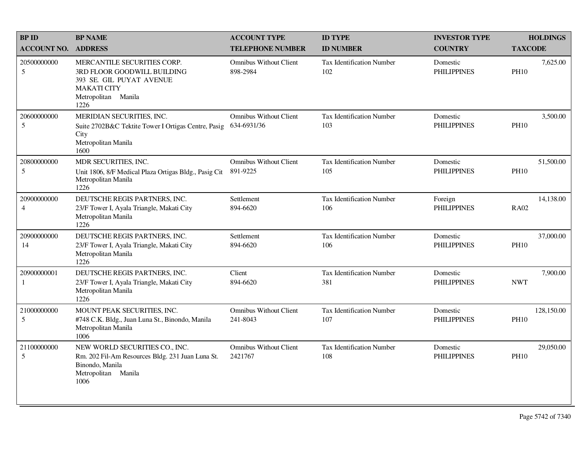| <b>BPID</b>                   | <b>BP NAME</b>                                                                                                                              | <b>ACCOUNT TYPE</b>                          | <b>ID TYPE</b>                          | <b>INVESTOR TYPE</b>           | <b>HOLDINGS</b>           |
|-------------------------------|---------------------------------------------------------------------------------------------------------------------------------------------|----------------------------------------------|-----------------------------------------|--------------------------------|---------------------------|
| <b>ACCOUNT NO.</b>            | <b>ADDRESS</b>                                                                                                                              | <b>TELEPHONE NUMBER</b>                      | <b>ID NUMBER</b>                        | <b>COUNTRY</b>                 | <b>TAXCODE</b>            |
| 20500000000<br>5              | MERCANTILE SECURITIES CORP.<br>3RD FLOOR GOODWILL BUILDING<br>393 SE. GIL PUYAT AVENUE<br><b>MAKATI CITY</b><br>Metropolitan Manila<br>1226 | <b>Omnibus Without Client</b><br>898-2984    | <b>Tax Identification Number</b><br>102 | Domestic<br><b>PHILIPPINES</b> | 7,625.00<br><b>PH10</b>   |
| 20600000000<br>5              | MERIDIAN SECURITIES, INC.<br>Suite 2702B&C Tektite Tower I Ortigas Centre, Pasig<br>City<br>Metropolitan Manila<br>1600                     | <b>Omnibus Without Client</b><br>634-6931/36 | <b>Tax Identification Number</b><br>103 | Domestic<br><b>PHILIPPINES</b> | 3,500.00<br><b>PH10</b>   |
| 20800000000<br>5              | MDR SECURITIES, INC.<br>Unit 1806, 8/F Medical Plaza Ortigas Bldg., Pasig Cit<br>Metropolitan Manila<br>1226                                | <b>Omnibus Without Client</b><br>891-9225    | <b>Tax Identification Number</b><br>105 | Domestic<br><b>PHILIPPINES</b> | 51,500.00<br><b>PH10</b>  |
| 20900000000<br>$\overline{4}$ | DEUTSCHE REGIS PARTNERS, INC.<br>23/F Tower I, Ayala Triangle, Makati City<br>Metropolitan Manila<br>1226                                   | Settlement<br>894-6620                       | <b>Tax Identification Number</b><br>106 | Foreign<br><b>PHILIPPINES</b>  | 14,138.00<br><b>RA02</b>  |
| 20900000000<br>14             | DEUTSCHE REGIS PARTNERS, INC.<br>23/F Tower I, Ayala Triangle, Makati City<br>Metropolitan Manila<br>1226                                   | Settlement<br>894-6620                       | Tax Identification Number<br>106        | Domestic<br><b>PHILIPPINES</b> | 37,000.00<br><b>PH10</b>  |
| 20900000001<br>-1             | DEUTSCHE REGIS PARTNERS, INC.<br>23/F Tower I, Ayala Triangle, Makati City<br>Metropolitan Manila<br>1226                                   | Client<br>894-6620                           | <b>Tax Identification Number</b><br>381 | Domestic<br><b>PHILIPPINES</b> | 7,900.00<br><b>NWT</b>    |
| 21000000000<br>5              | MOUNT PEAK SECURITIES, INC.<br>#748 C.K. Bldg., Juan Luna St., Binondo, Manila<br>Metropolitan Manila<br>1006                               | <b>Omnibus Without Client</b><br>241-8043    | <b>Tax Identification Number</b><br>107 | Domestic<br><b>PHILIPPINES</b> | 128,150.00<br><b>PH10</b> |
| 21100000000<br>5              | NEW WORLD SECURITIES CO., INC.<br>Rm. 202 Fil-Am Resources Bldg. 231 Juan Luna St.<br>Binondo, Manila<br>Metropolitan Manila<br>1006        | <b>Omnibus Without Client</b><br>2421767     | <b>Tax Identification Number</b><br>108 | Domestic<br><b>PHILIPPINES</b> | 29,050.00<br><b>PH10</b>  |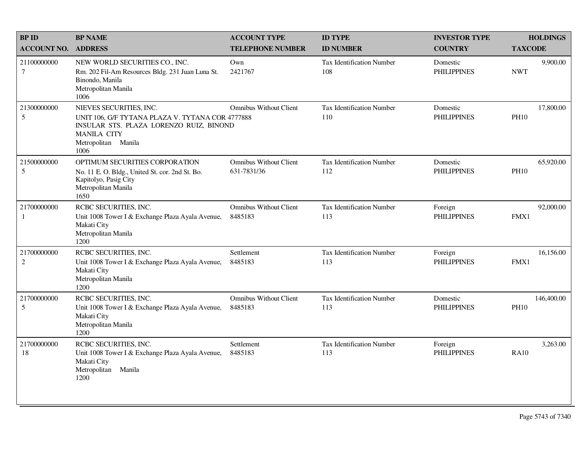| <b>BPID</b>                   | <b>BP NAME</b>                                                                                                                                                              | <b>ACCOUNT TYPE</b>                          | <b>ID TYPE</b>                          | <b>INVESTOR TYPE</b>           | <b>HOLDINGS</b>           |
|-------------------------------|-----------------------------------------------------------------------------------------------------------------------------------------------------------------------------|----------------------------------------------|-----------------------------------------|--------------------------------|---------------------------|
| <b>ACCOUNT NO.</b>            | <b>ADDRESS</b>                                                                                                                                                              | <b>TELEPHONE NUMBER</b>                      | <b>ID NUMBER</b>                        | <b>COUNTRY</b>                 | <b>TAXCODE</b>            |
| 21100000000<br>$\tau$         | NEW WORLD SECURITIES CO., INC.<br>Rm. 202 Fil-Am Resources Bldg. 231 Juan Luna St.<br>Binondo, Manila<br>Metropolitan Manila<br>1006                                        | Own<br>2421767                               | <b>Tax Identification Number</b><br>108 | Domestic<br><b>PHILIPPINES</b> | 9,900.00<br><b>NWT</b>    |
| 21300000000<br>5              | NIEVES SECURITIES, INC.<br>UNIT 106, G/F TYTANA PLAZA V. TYTANA COR 4777888<br>INSULAR STS. PLAZA LORENZO RUIZ, BINOND<br><b>MANILA CITY</b><br>Metropolitan Manila<br>1006 | <b>Omnibus Without Client</b>                | <b>Tax Identification Number</b><br>110 | Domestic<br><b>PHILIPPINES</b> | 17,800.00<br><b>PH10</b>  |
| 21500000000<br>5              | OPTIMUM SECURITIES CORPORATION<br>No. 11 E. O. Bldg., United St. cor. 2nd St. Bo.<br>Kapitolyo, Pasig City<br>Metropolitan Manila<br>1650                                   | <b>Omnibus Without Client</b><br>631-7831/36 | Tax Identification Number<br>112        | Domestic<br><b>PHILIPPINES</b> | 65,920.00<br><b>PH10</b>  |
| 21700000000<br>1              | RCBC SECURITIES, INC.<br>Unit 1008 Tower I & Exchange Plaza Ayala Avenue,<br>Makati City<br>Metropolitan Manila<br>1200                                                     | <b>Omnibus Without Client</b><br>8485183     | Tax Identification Number<br>113        | Foreign<br><b>PHILIPPINES</b>  | 92,000.00<br>FMX1         |
| 21700000000<br>$\overline{2}$ | RCBC SECURITIES, INC.<br>Unit 1008 Tower I & Exchange Plaza Ayala Avenue,<br>Makati City<br>Metropolitan Manila<br>1200                                                     | Settlement<br>8485183                        | Tax Identification Number<br>113        | Foreign<br><b>PHILIPPINES</b>  | 16,156.00<br>FMX1         |
| 21700000000<br>5              | RCBC SECURITIES, INC.<br>Unit 1008 Tower I & Exchange Plaza Ayala Avenue,<br>Makati City<br>Metropolitan Manila<br>1200                                                     | <b>Omnibus Without Client</b><br>8485183     | Tax Identification Number<br>113        | Domestic<br><b>PHILIPPINES</b> | 146,400.00<br><b>PH10</b> |
| 21700000000<br>18             | RCBC SECURITIES, INC.<br>Unit 1008 Tower I & Exchange Plaza Ayala Avenue,<br>Makati City<br>Metropolitan<br>Manila<br>1200                                                  | Settlement<br>8485183                        | Tax Identification Number<br>113        | Foreign<br><b>PHILIPPINES</b>  | 3,263.00<br><b>RA10</b>   |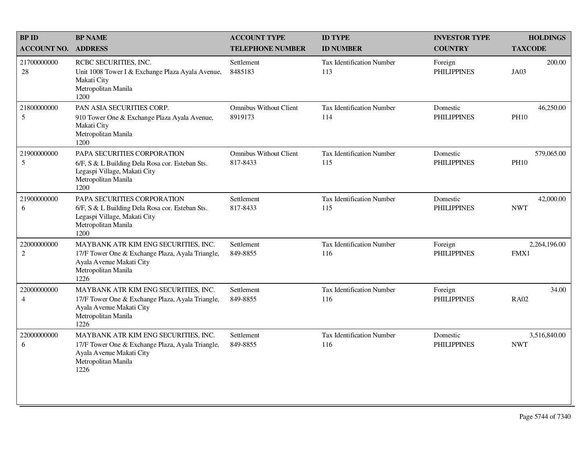| <b>BPID</b>                   | <b>BP NAME</b>                                                                                                                                      | <b>ACCOUNT TYPE</b>                       | <b>ID TYPE</b>                          | <b>INVESTOR TYPE</b>           | <b>HOLDINGS</b>            |
|-------------------------------|-----------------------------------------------------------------------------------------------------------------------------------------------------|-------------------------------------------|-----------------------------------------|--------------------------------|----------------------------|
| <b>ACCOUNT NO.</b>            | <b>ADDRESS</b>                                                                                                                                      | <b>TELEPHONE NUMBER</b>                   | <b>ID NUMBER</b>                        | <b>COUNTRY</b>                 | <b>TAXCODE</b>             |
| 21700000000<br>28             | RCBC SECURITIES, INC.<br>Unit 1008 Tower I & Exchange Plaza Ayala Avenue,<br>Makati City<br>Metropolitan Manila<br>1200                             | Settlement<br>8485183                     | Tax Identification Number<br>113        | Foreign<br><b>PHILIPPINES</b>  | 200.00<br>JA03             |
| 21800000000<br>5              | PAN ASIA SECURITIES CORP.<br>910 Tower One & Exchange Plaza Ayala Avenue,<br>Makati City<br>Metropolitan Manila<br>1200                             | <b>Omnibus Without Client</b><br>8919173  | Tax Identification Number<br>114        | Domestic<br><b>PHILIPPINES</b> | 46,250.00<br><b>PH10</b>   |
| 21900000000<br>5              | PAPA SECURITIES CORPORATION<br>6/F, S & L Building Dela Rosa cor. Esteban Sts.<br>Legaspi Village, Makati City<br>Metropolitan Manila<br>1200       | <b>Omnibus Without Client</b><br>817-8433 | Tax Identification Number<br>115        | Domestic<br><b>PHILIPPINES</b> | 579,065.00<br><b>PH10</b>  |
| 21900000000<br>6              | PAPA SECURITIES CORPORATION<br>6/F, S & L Building Dela Rosa cor. Esteban Sts.<br>Legaspi Village, Makati City<br>Metropolitan Manila<br>1200       | Settlement<br>817-8433                    | Tax Identification Number<br>115        | Domestic<br><b>PHILIPPINES</b> | 42,000.00<br><b>NWT</b>    |
| 22000000000<br>$\overline{2}$ | MAYBANK ATR KIM ENG SECURITIES, INC.<br>17/F Tower One & Exchange Plaza, Ayala Triangle,<br>Ayala Avenue Makati City<br>Metropolitan Manila<br>1226 | Settlement<br>849-8855                    | <b>Tax Identification Number</b><br>116 | Foreign<br><b>PHILIPPINES</b>  | 2,264,196.00<br>FMX1       |
| 22000000000<br>$\overline{4}$ | MAYBANK ATR KIM ENG SECURITIES, INC.<br>17/F Tower One & Exchange Plaza, Ayala Triangle,<br>Ayala Avenue Makati City<br>Metropolitan Manila<br>1226 | Settlement<br>849-8855                    | Tax Identification Number<br>116        | Foreign<br><b>PHILIPPINES</b>  | 34.00<br><b>RA02</b>       |
| 22000000000<br>6              | MAYBANK ATR KIM ENG SECURITIES, INC.<br>17/F Tower One & Exchange Plaza, Ayala Triangle,<br>Ayala Avenue Makati City<br>Metropolitan Manila<br>1226 | Settlement<br>849-8855                    | <b>Tax Identification Number</b><br>116 | Domestic<br><b>PHILIPPINES</b> | 3,516,840.00<br><b>NWT</b> |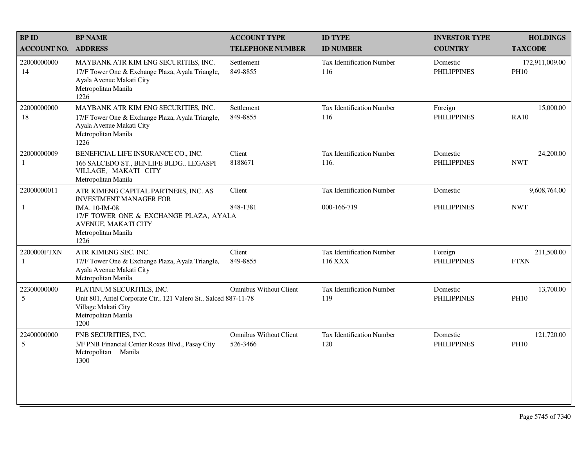| <b>BP ID</b>                | <b>BP NAME</b>                                                                                                                                      | <b>ACCOUNT TYPE</b>                       | <b>ID TYPE</b>                           | <b>INVESTOR TYPE</b>           | <b>HOLDINGS</b>               |
|-----------------------------|-----------------------------------------------------------------------------------------------------------------------------------------------------|-------------------------------------------|------------------------------------------|--------------------------------|-------------------------------|
| <b>ACCOUNT NO.</b>          | <b>ADDRESS</b>                                                                                                                                      | <b>TELEPHONE NUMBER</b>                   | <b>ID NUMBER</b>                         | <b>COUNTRY</b>                 | <b>TAXCODE</b>                |
| 22000000000<br>14           | MAYBANK ATR KIM ENG SECURITIES, INC.<br>17/F Tower One & Exchange Plaza, Ayala Triangle,<br>Ayala Avenue Makati City<br>Metropolitan Manila<br>1226 | Settlement<br>849-8855                    | <b>Tax Identification Number</b><br>116  | Domestic<br><b>PHILIPPINES</b> | 172,911,009.00<br><b>PH10</b> |
| 22000000000<br>18           | MAYBANK ATR KIM ENG SECURITIES, INC.<br>17/F Tower One & Exchange Plaza, Ayala Triangle,<br>Ayala Avenue Makati City<br>Metropolitan Manila<br>1226 | Settlement<br>849-8855                    | Tax Identification Number<br>116         | Foreign<br><b>PHILIPPINES</b>  | 15,000.00<br><b>RA10</b>      |
| 22000000009<br>1            | BENEFICIAL LIFE INSURANCE CO., INC.<br>166 SALCEDO ST., BENLIFE BLDG., LEGASPI<br>VILLAGE, MAKATI CITY<br>Metropolitan Manila                       | Client<br>8188671                         | <b>Tax Identification Number</b><br>116. | Domestic<br><b>PHILIPPINES</b> | 24,200.00<br><b>NWT</b>       |
| 22000000011                 | ATR KIMENG CAPITAL PARTNERS, INC. AS<br><b>INVESTMENT MANAGER FOR</b>                                                                               | Client                                    | <b>Tax Identification Number</b>         | Domestic                       | 9,608,764.00                  |
| $\mathbf{1}$                | IMA. 10-IM-08<br>17/F TOWER ONE & EXCHANGE PLAZA, AYALA<br>AVENUE, MAKATI CITY<br>Metropolitan Manila<br>1226                                       | 848-1381                                  | 000-166-719                              | <b>PHILIPPINES</b>             | <b>NWT</b>                    |
| 2200000FTXN<br>$\mathbf{1}$ | ATR KIMENG SEC. INC.<br>17/F Tower One & Exchange Plaza, Ayala Triangle,<br>Ayala Avenue Makati City<br>Metropolitan Manila                         | Client<br>849-8855                        | Tax Identification Number<br>116 XXX     | Foreign<br><b>PHILIPPINES</b>  | 211,500.00<br><b>FTXN</b>     |
| 22300000000<br>5            | PLATINUM SECURITIES, INC.<br>Unit 801, Antel Corporate Ctr., 121 Valero St., Salced 887-11-78<br>Village Makati City<br>Metropolitan Manila<br>1200 | <b>Omnibus Without Client</b>             | <b>Tax Identification Number</b><br>119  | Domestic<br><b>PHILIPPINES</b> | 13,700.00<br><b>PH10</b>      |
| 22400000000<br>5            | PNB SECURITIES, INC.<br>3/F PNB Financial Center Roxas Blvd., Pasay City<br>Metropolitan Manila<br>1300                                             | <b>Omnibus Without Client</b><br>526-3466 | <b>Tax Identification Number</b><br>120  | Domestic<br><b>PHILIPPINES</b> | 121,720.00<br><b>PH10</b>     |
|                             |                                                                                                                                                     |                                           |                                          |                                |                               |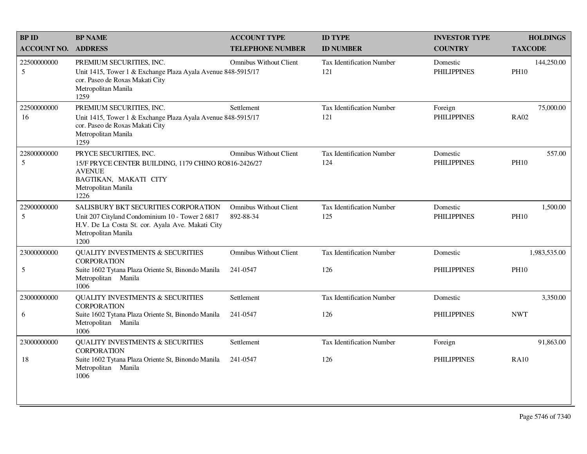| <b>BPID</b>                | <b>BP NAME</b>                                                                                                                                                             | <b>ACCOUNT TYPE</b>                        | <b>ID TYPE</b>                          | <b>INVESTOR TYPE</b>           | <b>HOLDINGS</b>           |
|----------------------------|----------------------------------------------------------------------------------------------------------------------------------------------------------------------------|--------------------------------------------|-----------------------------------------|--------------------------------|---------------------------|
| <b>ACCOUNT NO. ADDRESS</b> |                                                                                                                                                                            | <b>TELEPHONE NUMBER</b>                    | <b>ID NUMBER</b>                        | <b>COUNTRY</b>                 | <b>TAXCODE</b>            |
| 22500000000<br>5           | PREMIUM SECURITIES, INC.<br>Unit 1415, Tower 1 & Exchange Plaza Ayala Avenue 848-5915/17<br>cor. Paseo de Roxas Makati City<br>Metropolitan Manila<br>1259                 | <b>Omnibus Without Client</b>              | <b>Tax Identification Number</b><br>121 | Domestic<br><b>PHILIPPINES</b> | 144,250.00<br><b>PH10</b> |
| 22500000000<br>16          | PREMIUM SECURITIES, INC.<br>Unit 1415, Tower 1 & Exchange Plaza Ayala Avenue 848-5915/17<br>cor. Paseo de Roxas Makati City<br>Metropolitan Manila<br>1259                 | Settlement                                 | Tax Identification Number<br>121        | Foreign<br><b>PHILIPPINES</b>  | 75,000.00<br><b>RA02</b>  |
| 22800000000<br>5           | PRYCE SECURITIES, INC.<br>15/F PRYCE CENTER BUILDING, 1179 CHINO RO816-2426/27<br><b>AVENUE</b><br>BAGTIKAN, MAKATI CITY<br>Metropolitan Manila<br>1226                    | <b>Omnibus Without Client</b>              | <b>Tax Identification Number</b><br>124 | Domestic<br><b>PHILIPPINES</b> | 557.00<br><b>PH10</b>     |
| 22900000000<br>5           | SALISBURY BKT SECURITIES CORPORATION<br>Unit 207 Cityland Condominium 10 - Tower 2 6817<br>H.V. De La Costa St. cor. Ayala Ave. Makati City<br>Metropolitan Manila<br>1200 | <b>Omnibus Without Client</b><br>892-88-34 | Tax Identification Number<br>125        | Domestic<br><b>PHILIPPINES</b> | 1,500.00<br><b>PH10</b>   |
| 23000000000                | QUALITY INVESTMENTS $\&$ SECURITIES<br><b>CORPORATION</b>                                                                                                                  | <b>Omnibus Without Client</b>              | <b>Tax Identification Number</b>        | Domestic                       | 1,983,535.00              |
| 5                          | Suite 1602 Tytana Plaza Oriente St, Binondo Manila<br>Metropolitan Manila<br>1006                                                                                          | 241-0547                                   | 126                                     | <b>PHILIPPINES</b>             | <b>PH10</b>               |
| 23000000000                | <b>QUALITY INVESTMENTS &amp; SECURITIES</b><br><b>CORPORATION</b>                                                                                                          | Settlement                                 | <b>Tax Identification Number</b>        | Domestic                       | 3,350.00                  |
| 6                          | Suite 1602 Tytana Plaza Oriente St, Binondo Manila<br>Metropolitan Manila<br>1006                                                                                          | 241-0547                                   | 126                                     | <b>PHILIPPINES</b>             | <b>NWT</b>                |
| 23000000000                | <b>QUALITY INVESTMENTS &amp; SECURITIES</b><br><b>CORPORATION</b>                                                                                                          | Settlement                                 | <b>Tax Identification Number</b>        | Foreign                        | 91,863.00                 |
| 18                         | Suite 1602 Tytana Plaza Oriente St, Binondo Manila<br>Metropolitan Manila<br>1006                                                                                          | 241-0547                                   | 126                                     | <b>PHILIPPINES</b>             | <b>RA10</b>               |
|                            |                                                                                                                                                                            |                                            |                                         |                                |                           |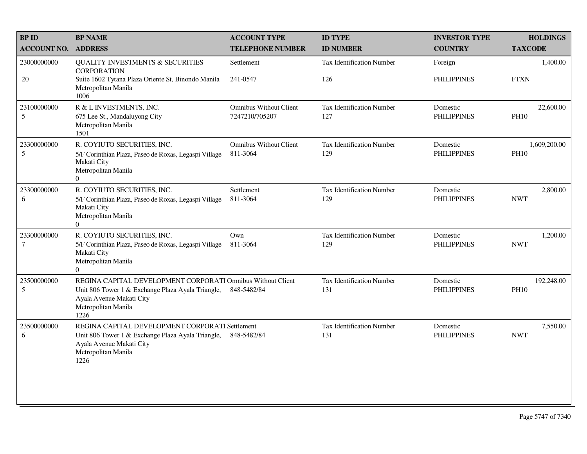| <b>BPID</b>           | <b>BP NAME</b>                                                                                                                                                              | <b>ACCOUNT TYPE</b>                             | <b>ID TYPE</b>                   | <b>INVESTOR TYPE</b>           | <b>HOLDINGS</b>             |
|-----------------------|-----------------------------------------------------------------------------------------------------------------------------------------------------------------------------|-------------------------------------------------|----------------------------------|--------------------------------|-----------------------------|
| <b>ACCOUNT NO.</b>    | <b>ADDRESS</b>                                                                                                                                                              | <b>TELEPHONE NUMBER</b>                         | <b>ID NUMBER</b>                 | <b>COUNTRY</b>                 | <b>TAXCODE</b>              |
| 23000000000<br>$20\,$ | <b>QUALITY INVESTMENTS &amp; SECURITIES</b><br><b>CORPORATION</b><br>Suite 1602 Tytana Plaza Oriente St, Binondo Manila<br>Metropolitan Manila<br>1006                      | Settlement<br>241-0547                          | Tax Identification Number<br>126 | Foreign<br><b>PHILIPPINES</b>  | 1,400.00<br><b>FTXN</b>     |
| 23100000000<br>5      | R & L INVESTMENTS, INC.<br>675 Lee St., Mandaluyong City<br>Metropolitan Manila<br>1501                                                                                     | <b>Omnibus Without Client</b><br>7247210/705207 | Tax Identification Number<br>127 | Domestic<br><b>PHILIPPINES</b> | 22,600.00<br><b>PH10</b>    |
| 23300000000<br>5      | R. COYIUTO SECURITIES, INC.<br>5/F Corinthian Plaza, Paseo de Roxas, Legaspi Village<br>Makati City<br>Metropolitan Manila<br>$\overline{0}$                                | <b>Omnibus Without Client</b><br>811-3064       | Tax Identification Number<br>129 | Domestic<br><b>PHILIPPINES</b> | 1,609,200.00<br><b>PH10</b> |
| 23300000000<br>6      | R. COYIUTO SECURITIES, INC.<br>5/F Corinthian Plaza, Paseo de Roxas, Legaspi Village<br>Makati City<br>Metropolitan Manila<br>$\Omega$                                      | Settlement<br>811-3064                          | Tax Identification Number<br>129 | Domestic<br><b>PHILIPPINES</b> | 2,800.00<br><b>NWT</b>      |
| 23300000000<br>$\tau$ | R. COYIUTO SECURITIES, INC.<br>5/F Corinthian Plaza, Paseo de Roxas, Legaspi Village<br>Makati City<br>Metropolitan Manila<br>$\Omega$                                      | Own<br>811-3064                                 | Tax Identification Number<br>129 | Domestic<br><b>PHILIPPINES</b> | 1,200.00<br><b>NWT</b>      |
| 23500000000<br>5      | REGINA CAPITAL DEVELOPMENT CORPORATI Omnibus Without Client<br>Unit 806 Tower 1 & Exchange Plaza Ayala Triangle,<br>Ayala Avenue Makati City<br>Metropolitan Manila<br>1226 | 848-5482/84                                     | Tax Identification Number<br>131 | Domestic<br><b>PHILIPPINES</b> | 192,248.00<br><b>PH10</b>   |
| 23500000000<br>6      | REGINA CAPITAL DEVELOPMENT CORPORATI Settlement<br>Unit 806 Tower 1 & Exchange Plaza Ayala Triangle,<br>Ayala Avenue Makati City<br>Metropolitan Manila<br>1226             | 848-5482/84                                     | Tax Identification Number<br>131 | Domestic<br><b>PHILIPPINES</b> | 7,550.00<br><b>NWT</b>      |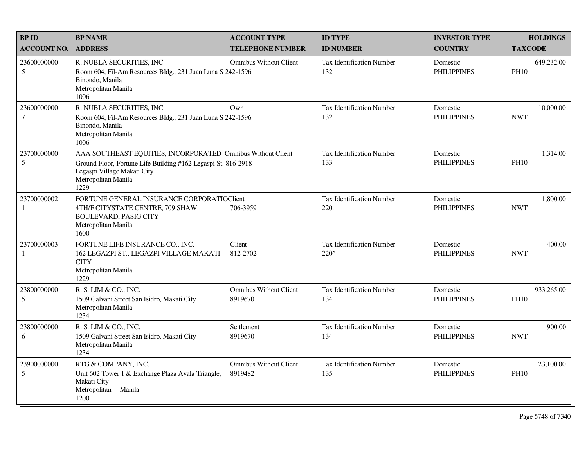| <b>BPID</b>                    | <b>BP NAME</b>                                                                                                                                                                             | <b>ACCOUNT TYPE</b>                      | <b>ID TYPE</b>                                    | <b>INVESTOR TYPE</b>           | <b>HOLDINGS</b>           |
|--------------------------------|--------------------------------------------------------------------------------------------------------------------------------------------------------------------------------------------|------------------------------------------|---------------------------------------------------|--------------------------------|---------------------------|
| <b>ACCOUNT NO.</b>             | <b>ADDRESS</b>                                                                                                                                                                             | <b>TELEPHONE NUMBER</b>                  | <b>ID NUMBER</b>                                  | <b>COUNTRY</b>                 | <b>TAXCODE</b>            |
| 23600000000<br>5               | R. NUBLA SECURITIES, INC.<br>Room 604, Fil-Am Resources Bldg., 231 Juan Luna S 242-1596<br>Binondo, Manila<br>Metropolitan Manila<br>1006                                                  | <b>Omnibus Without Client</b>            | <b>Tax Identification Number</b><br>132           | Domestic<br><b>PHILIPPINES</b> | 649,232.00<br><b>PH10</b> |
| 23600000000<br>$7\phantom{.0}$ | R. NUBLA SECURITIES, INC.<br>Room 604, Fil-Am Resources Bldg., 231 Juan Luna S 242-1596<br>Binondo, Manila<br>Metropolitan Manila<br>1006                                                  | Own                                      | Tax Identification Number<br>132                  | Domestic<br><b>PHILIPPINES</b> | 10,000.00<br><b>NWT</b>   |
| 23700000000<br>5               | AAA SOUTHEAST EQUITIES, INCORPORATED Omnibus Without Client<br>Ground Floor, Fortune Life Building #162 Legaspi St. 816-2918<br>Legaspi Village Makati City<br>Metropolitan Manila<br>1229 |                                          | Tax Identification Number<br>133                  | Domestic<br><b>PHILIPPINES</b> | 1,314.00<br><b>PH10</b>   |
| 23700000002<br>-1              | FORTUNE GENERAL INSURANCE CORPORATIOCIEnt<br>4TH/F CITYSTATE CENTRE, 709 SHAW<br><b>BOULEVARD, PASIG CITY</b><br>Metropolitan Manila<br>1600                                               | 706-3959                                 | Tax Identification Number<br>220.                 | Domestic<br><b>PHILIPPINES</b> | 1,800.00<br><b>NWT</b>    |
| 23700000003<br>-1              | FORTUNE LIFE INSURANCE CO., INC.<br>162 LEGAZPI ST., LEGAZPI VILLAGE MAKATI<br><b>CITY</b><br>Metropolitan Manila<br>1229                                                                  | Client<br>812-2702                       | <b>Tax Identification Number</b><br>$220^{\circ}$ | Domestic<br><b>PHILIPPINES</b> | 400.00<br><b>NWT</b>      |
| 23800000000<br>5               | R. S. LIM & CO., INC.<br>1509 Galvani Street San Isidro, Makati City<br>Metropolitan Manila<br>1234                                                                                        | <b>Omnibus Without Client</b><br>8919670 | <b>Tax Identification Number</b><br>134           | Domestic<br><b>PHILIPPINES</b> | 933,265.00<br><b>PH10</b> |
| 23800000000<br>6               | R. S. LIM & CO., INC.<br>1509 Galvani Street San Isidro, Makati City<br>Metropolitan Manila<br>1234                                                                                        | Settlement<br>8919670                    | Tax Identification Number<br>134                  | Domestic<br><b>PHILIPPINES</b> | 900.00<br><b>NWT</b>      |
| 23900000000<br>5               | RTG & COMPANY, INC.<br>Unit 602 Tower 1 & Exchange Plaza Ayala Triangle,<br>Makati City<br>Metropolitan Manila<br>1200                                                                     | <b>Omnibus Without Client</b><br>8919482 | Tax Identification Number<br>135                  | Domestic<br><b>PHILIPPINES</b> | 23,100.00<br><b>PH10</b>  |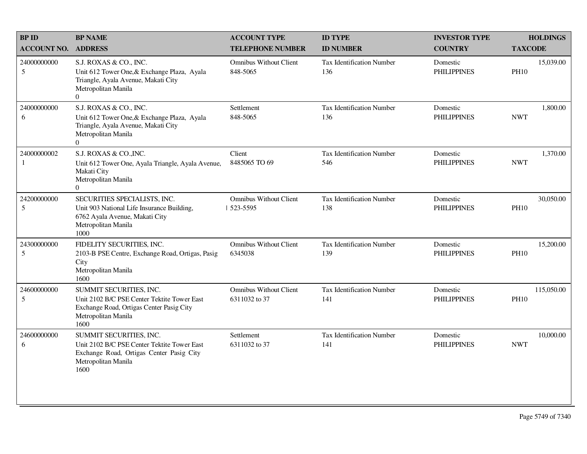| <b>BP ID</b>              | <b>BP NAME</b>                                                                                                                                    | <b>ACCOUNT TYPE</b>                            | <b>ID TYPE</b>                          | <b>INVESTOR TYPE</b>           | <b>HOLDINGS</b>           |
|---------------------------|---------------------------------------------------------------------------------------------------------------------------------------------------|------------------------------------------------|-----------------------------------------|--------------------------------|---------------------------|
| <b>ACCOUNT NO.</b>        | <b>ADDRESS</b>                                                                                                                                    | <b>TELEPHONE NUMBER</b>                        | <b>ID NUMBER</b>                        | <b>COUNTRY</b>                 | <b>TAXCODE</b>            |
| 24000000000<br>5          | S.J. ROXAS & CO., INC.<br>Unit 612 Tower One, & Exchange Plaza, Ayala<br>Triangle, Ayala Avenue, Makati City<br>Metropolitan Manila<br>$\Omega$   | <b>Omnibus Without Client</b><br>848-5065      | <b>Tax Identification Number</b><br>136 | Domestic<br><b>PHILIPPINES</b> | 15,039.00<br><b>PH10</b>  |
| 24000000000<br>6          | S.J. ROXAS & CO., INC.<br>Unit 612 Tower One, & Exchange Plaza, Ayala<br>Triangle, Ayala Avenue, Makati City<br>Metropolitan Manila<br>$\Omega$   | Settlement<br>848-5065                         | <b>Tax Identification Number</b><br>136 | Domestic<br><b>PHILIPPINES</b> | 1,800.00<br><b>NWT</b>    |
| 24000000002<br>1          | S.J. ROXAS & CO., INC.<br>Unit 612 Tower One, Ayala Triangle, Ayala Avenue,<br>Makati City<br>Metropolitan Manila<br>$\Omega$                     | Client<br>8485065 TO 69                        | <b>Tax Identification Number</b><br>546 | Domestic<br><b>PHILIPPINES</b> | 1,370.00<br><b>NWT</b>    |
| 24200000000<br>5          | SECURITIES SPECIALISTS, INC.<br>Unit 903 National Life Insurance Building,<br>6762 Ayala Avenue, Makati City<br>Metropolitan Manila<br>1000       | Omnibus Without Client<br>  523-5595           | <b>Tax Identification Number</b><br>138 | Domestic<br><b>PHILIPPINES</b> | 30,050.00<br><b>PH10</b>  |
| 24300000000<br>5          | FIDELITY SECURITIES, INC.<br>2103-B PSE Centre, Exchange Road, Ortigas, Pasig<br>City<br>Metropolitan Manila<br>1600                              | <b>Omnibus Without Client</b><br>6345038       | <b>Tax Identification Number</b><br>139 | Domestic<br><b>PHILIPPINES</b> | 15,200.00<br><b>PH10</b>  |
| 24600000000<br>$\sqrt{5}$ | SUMMIT SECURITIES, INC.<br>Unit 2102 B/C PSE Center Tektite Tower East<br>Exchange Road, Ortigas Center Pasig City<br>Metropolitan Manila<br>1600 | <b>Omnibus Without Client</b><br>6311032 to 37 | <b>Tax Identification Number</b><br>141 | Domestic<br><b>PHILIPPINES</b> | 115,050.00<br><b>PH10</b> |
| 24600000000<br>6          | SUMMIT SECURITIES, INC.<br>Unit 2102 B/C PSE Center Tektite Tower East<br>Exchange Road, Ortigas Center Pasig City<br>Metropolitan Manila<br>1600 | Settlement<br>6311032 to 37                    | <b>Tax Identification Number</b><br>141 | Domestic<br><b>PHILIPPINES</b> | 10,000.00<br><b>NWT</b>   |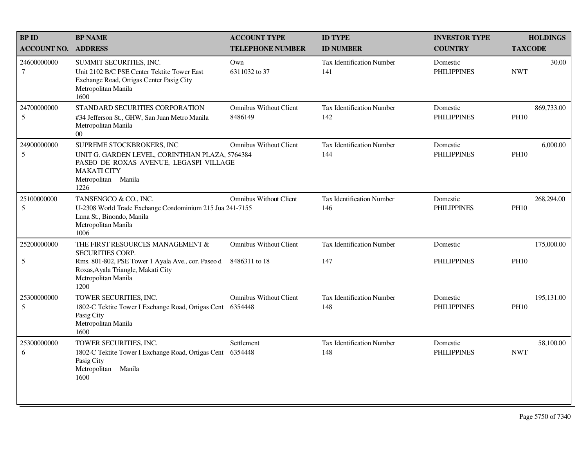| <b>BPID</b>                    | <b>BP NAME</b>                                                                                                                                                                         | <b>ACCOUNT TYPE</b>                            | <b>ID TYPE</b>                          | <b>INVESTOR TYPE</b>           | <b>HOLDINGS</b>           |
|--------------------------------|----------------------------------------------------------------------------------------------------------------------------------------------------------------------------------------|------------------------------------------------|-----------------------------------------|--------------------------------|---------------------------|
| <b>ACCOUNT NO.</b>             | <b>ADDRESS</b>                                                                                                                                                                         | <b>TELEPHONE NUMBER</b>                        | <b>ID NUMBER</b>                        | <b>COUNTRY</b>                 | <b>TAXCODE</b>            |
| 24600000000<br>$\tau$          | SUMMIT SECURITIES, INC.<br>Unit 2102 B/C PSE Center Tektite Tower East<br>Exchange Road, Ortigas Center Pasig City<br>Metropolitan Manila<br>1600                                      | Own<br>6311032 to 37                           | <b>Tax Identification Number</b><br>141 | Domestic<br><b>PHILIPPINES</b> | 30.00<br><b>NWT</b>       |
| 24700000000<br>$5\overline{)}$ | STANDARD SECURITIES CORPORATION<br>#34 Jefferson St., GHW, San Juan Metro Manila<br>Metropolitan Manila<br>$00\,$                                                                      | <b>Omnibus Without Client</b><br>8486149       | <b>Tax Identification Number</b><br>142 | Domestic<br><b>PHILIPPINES</b> | 869,733.00<br><b>PH10</b> |
| 24900000000<br>5               | SUPREME STOCKBROKERS, INC<br>UNIT G. GARDEN LEVEL, CORINTHIAN PLAZA, 5764384<br>PASEO DE ROXAS AVENUE, LEGASPI VILLAGE<br><b>MAKATI CITY</b><br>Metropolitan Manila<br>1226            | <b>Omnibus Without Client</b>                  | <b>Tax Identification Number</b><br>144 | Domestic<br><b>PHILIPPINES</b> | 6,000.00<br><b>PH10</b>   |
| 25100000000<br>5               | TANSENGCO & CO., INC.<br>U-2308 World Trade Exchange Condominium 215 Jua 241-7155<br>Luna St., Binondo, Manila<br>Metropolitan Manila<br>1006                                          | <b>Omnibus Without Client</b>                  | <b>Tax Identification Number</b><br>146 | Domestic<br><b>PHILIPPINES</b> | 268,294.00<br><b>PH10</b> |
| 25200000000<br>$\sqrt{5}$      | THE FIRST RESOURCES MANAGEMENT &<br><b>SECURITIES CORP.</b><br>Rms. 801-802, PSE Tower 1 Ayala Ave., cor. Paseo d<br>Roxas, Ayala Triangle, Makati City<br>Metropolitan Manila<br>1200 | <b>Omnibus Without Client</b><br>8486311 to 18 | Tax Identification Number<br>147        | Domestic<br><b>PHILIPPINES</b> | 175,000.00<br><b>PH10</b> |
| 25300000000<br>$5\overline{)}$ | TOWER SECURITIES, INC.<br>1802-C Tektite Tower I Exchange Road, Ortigas Cent<br>Pasig City<br>Metropolitan Manila<br>1600                                                              | <b>Omnibus Without Client</b><br>6354448       | Tax Identification Number<br>148        | Domestic<br><b>PHILIPPINES</b> | 195,131.00<br><b>PH10</b> |
| 25300000000<br>6               | TOWER SECURITIES, INC.<br>1802-C Tektite Tower I Exchange Road, Ortigas Cent<br>Pasig City<br>Metropolitan Manila<br>1600                                                              | Settlement<br>6354448                          | <b>Tax Identification Number</b><br>148 | Domestic<br><b>PHILIPPINES</b> | 58,100.00<br><b>NWT</b>   |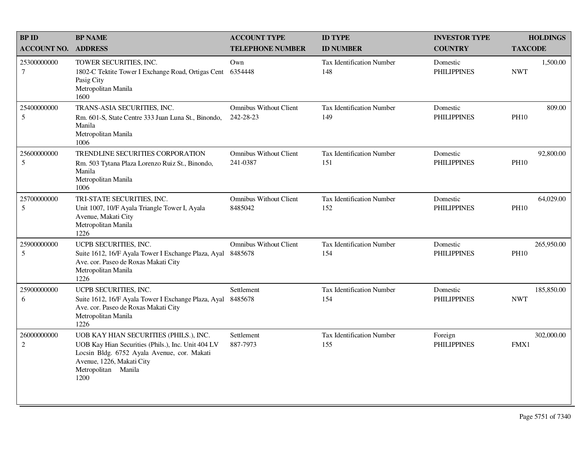| <b>BP ID</b>                  | <b>BP NAME</b>                                                                                                                                                                                          | <b>ACCOUNT TYPE</b>                        | <b>ID TYPE</b>                          | <b>INVESTOR TYPE</b>           | <b>HOLDINGS</b>           |
|-------------------------------|---------------------------------------------------------------------------------------------------------------------------------------------------------------------------------------------------------|--------------------------------------------|-----------------------------------------|--------------------------------|---------------------------|
| <b>ACCOUNT NO.</b>            | <b>ADDRESS</b>                                                                                                                                                                                          | <b>TELEPHONE NUMBER</b>                    | <b>ID NUMBER</b>                        | <b>COUNTRY</b>                 | <b>TAXCODE</b>            |
| 25300000000<br>$\tau$         | TOWER SECURITIES, INC.<br>1802-C Tektite Tower I Exchange Road, Ortigas Cent<br>Pasig City<br>Metropolitan Manila<br>1600                                                                               | Own<br>6354448                             | <b>Tax Identification Number</b><br>148 | Domestic<br><b>PHILIPPINES</b> | 1,500.00<br><b>NWT</b>    |
| 25400000000<br>5              | TRANS-ASIA SECURITIES, INC.<br>Rm. 601-S, State Centre 333 Juan Luna St., Binondo,<br>Manila<br>Metropolitan Manila<br>1006                                                                             | <b>Omnibus Without Client</b><br>242-28-23 | <b>Tax Identification Number</b><br>149 | Domestic<br><b>PHILIPPINES</b> | 809.00<br><b>PH10</b>     |
| 25600000000<br>5              | TRENDLINE SECURITIES CORPORATION<br>Rm. 503 Tytana Plaza Lorenzo Ruiz St., Binondo,<br>Manila<br>Metropolitan Manila<br>1006                                                                            | <b>Omnibus Without Client</b><br>241-0387  | <b>Tax Identification Number</b><br>151 | Domestic<br><b>PHILIPPINES</b> | 92,800.00<br><b>PH10</b>  |
| 25700000000<br>5              | TRI-STATE SECURITIES, INC.<br>Unit 1007, 10/F Ayala Triangle Tower I, Ayala<br>Avenue, Makati City<br>Metropolitan Manila<br>1226                                                                       | <b>Omnibus Without Client</b><br>8485042   | Tax Identification Number<br>152        | Domestic<br><b>PHILIPPINES</b> | 64,029.00<br><b>PH10</b>  |
| 25900000000<br>5              | UCPB SECURITIES, INC.<br>Suite 1612, 16/F Ayala Tower I Exchange Plaza, Ayal<br>Ave. cor. Paseo de Roxas Makati City<br>Metropolitan Manila<br>1226                                                     | <b>Omnibus Without Client</b><br>8485678   | <b>Tax Identification Number</b><br>154 | Domestic<br><b>PHILIPPINES</b> | 265,950.00<br><b>PH10</b> |
| 25900000000<br>6              | UCPB SECURITIES, INC.<br>Suite 1612, 16/F Ayala Tower I Exchange Plaza, Ayal<br>Ave. cor. Paseo de Roxas Makati City<br>Metropolitan Manila<br>1226                                                     | Settlement<br>8485678                      | <b>Tax Identification Number</b><br>154 | Domestic<br><b>PHILIPPINES</b> | 185,850.00<br><b>NWT</b>  |
| 26000000000<br>$\overline{2}$ | UOB KAY HIAN SECURITIES (PHILS.), INC.<br>UOB Kay Hian Securities (Phils.), Inc. Unit 404 LV<br>Locsin Bldg. 6752 Ayala Avenue, cor. Makati<br>Avenue, 1226, Makati City<br>Metropolitan Manila<br>1200 | Settlement<br>887-7973                     | <b>Tax Identification Number</b><br>155 | Foreign<br><b>PHILIPPINES</b>  | 302,000.00<br>FMX1        |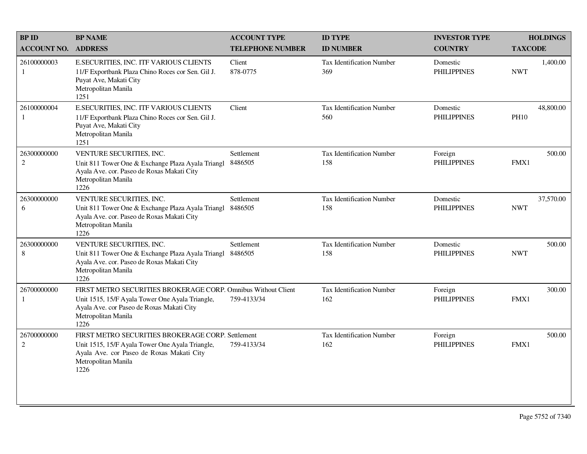| <b>BPID</b>                   | <b>BP NAME</b>                                                                                                                                                                               | <b>ACCOUNT TYPE</b>     | <b>ID TYPE</b>                   | <b>INVESTOR TYPE</b>           | <b>HOLDINGS</b>          |
|-------------------------------|----------------------------------------------------------------------------------------------------------------------------------------------------------------------------------------------|-------------------------|----------------------------------|--------------------------------|--------------------------|
| <b>ACCOUNT NO. ADDRESS</b>    |                                                                                                                                                                                              | <b>TELEPHONE NUMBER</b> | <b>ID NUMBER</b>                 | <b>COUNTRY</b>                 | <b>TAXCODE</b>           |
| 26100000003<br>$\mathbf{1}$   | E.SECURITIES, INC. ITF VARIOUS CLIENTS<br>11/F Exportbank Plaza Chino Roces cor Sen. Gil J.<br>Puyat Ave, Makati City<br>Metropolitan Manila<br>1251                                         | Client<br>878-0775      | Tax Identification Number<br>369 | Domestic<br><b>PHILIPPINES</b> | 1,400.00<br><b>NWT</b>   |
| 26100000004<br>$\mathbf{1}$   | E.SECURITIES, INC. ITF VARIOUS CLIENTS<br>11/F Exportbank Plaza Chino Roces cor Sen. Gil J.<br>Puyat Ave, Makati City<br>Metropolitan Manila<br>1251                                         | Client                  | Tax Identification Number<br>560 | Domestic<br><b>PHILIPPINES</b> | 48,800.00<br><b>PH10</b> |
| 26300000000<br>$\overline{2}$ | VENTURE SECURITIES, INC.<br>Unit 811 Tower One & Exchange Plaza Ayala Triangl<br>Ayala Ave. cor. Paseo de Roxas Makati City<br>Metropolitan Manila<br>1226                                   | Settlement<br>8486505   | Tax Identification Number<br>158 | Foreign<br><b>PHILIPPINES</b>  | 500.00<br>FMX1           |
| 26300000000<br>6              | VENTURE SECURITIES, INC.<br>Unit 811 Tower One & Exchange Plaza Ayala Triangl<br>Ayala Ave. cor. Paseo de Roxas Makati City<br>Metropolitan Manila<br>1226                                   | Settlement<br>8486505   | Tax Identification Number<br>158 | Domestic<br><b>PHILIPPINES</b> | 37,570.00<br><b>NWT</b>  |
| 26300000000<br>8              | VENTURE SECURITIES, INC.<br>Unit 811 Tower One & Exchange Plaza Ayala Triangl 8486505<br>Ayala Ave. cor. Paseo de Roxas Makati City<br>Metropolitan Manila<br>1226                           | Settlement              | Tax Identification Number<br>158 | Domestic<br><b>PHILIPPINES</b> | 500.00<br><b>NWT</b>     |
| 26700000000<br>1              | FIRST METRO SECURITIES BROKERAGE CORP. Omnibus Without Client<br>Unit 1515, 15/F Ayala Tower One Ayala Triangle,<br>Ayala Ave. cor Paseo de Roxas Makati City<br>Metropolitan Manila<br>1226 | 759-4133/34             | Tax Identification Number<br>162 | Foreign<br><b>PHILIPPINES</b>  | 300.00<br>FMX1           |
| 26700000000<br>$\overline{2}$ | FIRST METRO SECURITIES BROKERAGE CORP. Settlement<br>Unit 1515, 15/F Ayala Tower One Ayala Triangle,<br>Ayala Ave. cor Paseo de Roxas Makati City<br>Metropolitan Manila<br>1226             | 759-4133/34             | Tax Identification Number<br>162 | Foreign<br><b>PHILIPPINES</b>  | 500.00<br>FMX1           |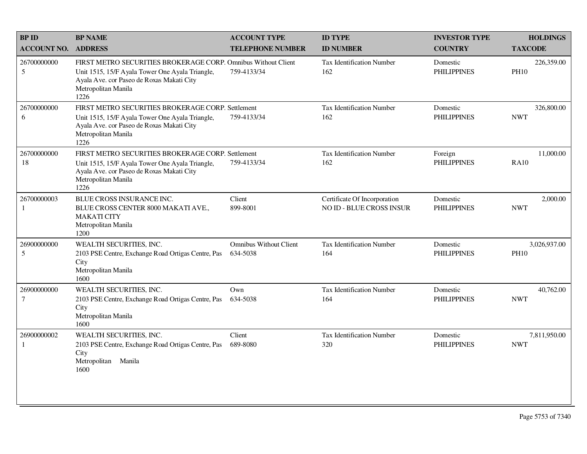| <b>BPID</b>        | <b>BP NAME</b>                                                                                                                                                                               | <b>ACCOUNT TYPE</b>                       | <b>ID TYPE</b>                                                  | <b>INVESTOR TYPE</b>           | <b>HOLDINGS</b>             |
|--------------------|----------------------------------------------------------------------------------------------------------------------------------------------------------------------------------------------|-------------------------------------------|-----------------------------------------------------------------|--------------------------------|-----------------------------|
| <b>ACCOUNT NO.</b> | <b>ADDRESS</b>                                                                                                                                                                               | <b>TELEPHONE NUMBER</b>                   | <b>ID NUMBER</b>                                                | <b>COUNTRY</b>                 | <b>TAXCODE</b>              |
| 26700000000<br>5   | FIRST METRO SECURITIES BROKERAGE CORP. Omnibus Without Client<br>Unit 1515, 15/F Ayala Tower One Ayala Triangle,<br>Ayala Ave. cor Paseo de Roxas Makati City<br>Metropolitan Manila<br>1226 | 759-4133/34                               | Tax Identification Number<br>162                                | Domestic<br><b>PHILIPPINES</b> | 226,359.00<br><b>PH10</b>   |
| 26700000000<br>6   | FIRST METRO SECURITIES BROKERAGE CORP. Settlement<br>Unit 1515, 15/F Ayala Tower One Ayala Triangle,<br>Ayala Ave. cor Paseo de Roxas Makati City<br>Metropolitan Manila<br>1226             | 759-4133/34                               | Tax Identification Number<br>162                                | Domestic<br><b>PHILIPPINES</b> | 326,800.00<br><b>NWT</b>    |
| 26700000000<br>18  | FIRST METRO SECURITIES BROKERAGE CORP. Settlement<br>Unit 1515, 15/F Ayala Tower One Ayala Triangle,<br>Ayala Ave. cor Paseo de Roxas Makati City<br>Metropolitan Manila<br>1226             | 759-4133/34                               | <b>Tax Identification Number</b><br>162                         | Foreign<br><b>PHILIPPINES</b>  | 11,000.00<br><b>RA10</b>    |
| 26700000003<br>1   | BLUE CROSS INSURANCE INC.<br>BLUE CROSS CENTER 8000 MAKATI AVE.,<br><b>MAKATI CITY</b><br>Metropolitan Manila<br>1200                                                                        | Client<br>899-8001                        | Certificate Of Incorporation<br><b>NO ID - BLUE CROSS INSUR</b> | Domestic<br><b>PHILIPPINES</b> | 2,000.00<br><b>NWT</b>      |
| 26900000000<br>5   | WEALTH SECURITIES, INC.<br>2103 PSE Centre, Exchange Road Ortigas Centre, Pas<br>City<br>Metropolitan Manila<br>1600                                                                         | <b>Omnibus Without Client</b><br>634-5038 | Tax Identification Number<br>164                                | Domestic<br><b>PHILIPPINES</b> | 3,026,937.00<br><b>PH10</b> |
| 26900000000<br>7   | WEALTH SECURITIES, INC.<br>2103 PSE Centre, Exchange Road Ortigas Centre, Pas<br>City<br>Metropolitan Manila<br>1600                                                                         | Own<br>634-5038                           | <b>Tax Identification Number</b><br>164                         | Domestic<br><b>PHILIPPINES</b> | 40,762.00<br><b>NWT</b>     |
| 26900000002<br>1   | WEALTH SECURITIES, INC.<br>2103 PSE Centre, Exchange Road Ortigas Centre, Pas<br>City<br>Metropolitan<br>Manila<br>1600                                                                      | Client<br>689-8080                        | <b>Tax Identification Number</b><br>320                         | Domestic<br><b>PHILIPPINES</b> | 7,811,950.00<br><b>NWT</b>  |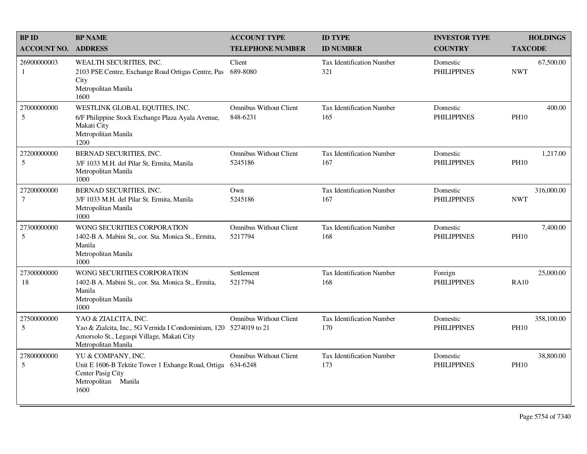| <b>BPID</b>                   | <b>BP NAME</b>                                                                                                                                                 | <b>ACCOUNT TYPE</b>                       | <b>ID TYPE</b>                          | <b>INVESTOR TYPE</b>           | <b>HOLDINGS</b>           |
|-------------------------------|----------------------------------------------------------------------------------------------------------------------------------------------------------------|-------------------------------------------|-----------------------------------------|--------------------------------|---------------------------|
| <b>ACCOUNT NO.</b>            | <b>ADDRESS</b>                                                                                                                                                 | <b>TELEPHONE NUMBER</b>                   | <b>ID NUMBER</b>                        | <b>COUNTRY</b>                 | <b>TAXCODE</b>            |
| 26900000003<br>1              | WEALTH SECURITIES, INC.<br>2103 PSE Centre, Exchange Road Ortigas Centre, Pas<br>City<br>Metropolitan Manila<br>1600                                           | Client<br>689-8080                        | <b>Tax Identification Number</b><br>321 | Domestic<br><b>PHILIPPINES</b> | 67,500.00<br><b>NWT</b>   |
| 27000000000<br>5              | WESTLINK GLOBAL EQUITIES, INC.<br>6/F Philippine Stock Exchange Plaza Ayala Avenue,<br>Makati City<br>Metropolitan Manila<br>1200                              | <b>Omnibus Without Client</b><br>848-6231 | <b>Tax Identification Number</b><br>165 | Domestic<br><b>PHILIPPINES</b> | 400.00<br><b>PH10</b>     |
| 27200000000<br>5              | BERNAD SECURITIES, INC.<br>3/F 1033 M.H. del Pilar St. Ermita, Manila<br>Metropolitan Manila<br>1000                                                           | <b>Omnibus Without Client</b><br>5245186  | Tax Identification Number<br>167        | Domestic<br><b>PHILIPPINES</b> | 1,217.00<br><b>PH10</b>   |
| 27200000000<br>$\overline{7}$ | BERNAD SECURITIES, INC.<br>3/F 1033 M.H. del Pilar St. Ermita, Manila<br>Metropolitan Manila<br>1000                                                           | Own<br>5245186                            | <b>Tax Identification Number</b><br>167 | Domestic<br><b>PHILIPPINES</b> | 316,000.00<br><b>NWT</b>  |
| 27300000000<br>5              | WONG SECURITIES CORPORATION<br>1402-B A. Mabini St., cor. Sta. Monica St., Ermita,<br>Manila<br>Metropolitan Manila<br>1000                                    | <b>Omnibus Without Client</b><br>5217794  | <b>Tax Identification Number</b><br>168 | Domestic<br><b>PHILIPPINES</b> | 7,400.00<br><b>PH10</b>   |
| 27300000000<br>18             | WONG SECURITIES CORPORATION<br>1402-B A. Mabini St., cor. Sta. Monica St., Ermita,<br>Manila<br>Metropolitan Manila<br>1000                                    | Settlement<br>5217794                     | <b>Tax Identification Number</b><br>168 | Foreign<br><b>PHILIPPINES</b>  | 25,000.00<br><b>RA10</b>  |
| 27500000000<br>5              | YAO & ZIALCITA, INC.<br>Yao & Zialcita, Inc., 5G Vernida I Condominium, 120 5274019 to 21<br>Amorsolo St., Legaspi Village, Makati City<br>Metropolitan Manila | <b>Omnibus Without Client</b>             | <b>Tax Identification Number</b><br>170 | Domestic<br><b>PHILIPPINES</b> | 358,100.00<br><b>PH10</b> |
| 27800000000<br>5              | YU & COMPANY, INC.<br>Unit E 1606-B Tektite Tower 1 Exhange Road, Ortiga<br>Center Pasig City<br>Metropolitan Manila<br>1600                                   | <b>Omnibus Without Client</b><br>634-6248 | <b>Tax Identification Number</b><br>173 | Domestic<br><b>PHILIPPINES</b> | 38,800.00<br><b>PH10</b>  |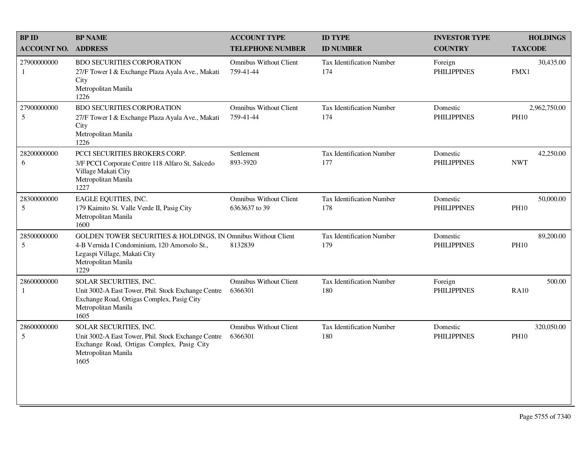| <b>BPID</b>                   | <b>BP NAME</b>                                                                                                                                                               | <b>ACCOUNT TYPE</b>                            | <b>ID TYPE</b>                          | <b>INVESTOR TYPE</b>           | <b>HOLDINGS</b>             |
|-------------------------------|------------------------------------------------------------------------------------------------------------------------------------------------------------------------------|------------------------------------------------|-----------------------------------------|--------------------------------|-----------------------------|
| <b>ACCOUNT NO.</b>            | <b>ADDRESS</b>                                                                                                                                                               | <b>TELEPHONE NUMBER</b>                        | <b>ID NUMBER</b>                        | <b>COUNTRY</b>                 | <b>TAXCODE</b>              |
| 27900000000<br>-1             | <b>BDO SECURITIES CORPORATION</b><br>27/F Tower I & Exchange Plaza Ayala Ave., Makati<br>City<br>Metropolitan Manila<br>1226                                                 | <b>Omnibus Without Client</b><br>759-41-44     | <b>Tax Identification Number</b><br>174 | Foreign<br><b>PHILIPPINES</b>  | 30,435.00<br>FMX1           |
| 27900000000<br>5              | <b>BDO SECURITIES CORPORATION</b><br>27/F Tower I & Exchange Plaza Ayala Ave., Makati<br>City<br>Metropolitan Manila<br>1226                                                 | <b>Omnibus Without Client</b><br>759-41-44     | Tax Identification Number<br>174        | Domestic<br><b>PHILIPPINES</b> | 2,962,750.00<br><b>PH10</b> |
| 28200000000<br>6              | PCCI SECURITIES BROKERS CORP.<br>3/F PCCI Corporate Centre 118 Alfaro St, Salcedo<br>Village Makati City<br>Metropolitan Manila<br>1227                                      | Settlement<br>893-3920                         | <b>Tax Identification Number</b><br>177 | Domestic<br><b>PHILIPPINES</b> | 42,250.00<br><b>NWT</b>     |
| 28300000000<br>5              | EAGLE EQUITIES, INC.<br>179 Kaimito St. Valle Verde II, Pasig City<br>Metropolitan Manila<br>1600                                                                            | <b>Omnibus Without Client</b><br>6363637 to 39 | <b>Tax Identification Number</b><br>178 | Domestic<br><b>PHILIPPINES</b> | 50,000.00<br><b>PH10</b>    |
| 28500000000<br>5              | GOLDEN TOWER SECURITIES & HOLDINGS, IN Omnibus Without Client<br>4-B Vernida I Condominium, 120 Amorsolo St.,<br>Legaspi Village, Makati City<br>Metropolitan Manila<br>1229 | 8132839                                        | <b>Tax Identification Number</b><br>179 | Domestic<br><b>PHILIPPINES</b> | 89,200.00<br><b>PH10</b>    |
| 28600000000<br>1              | SOLAR SECURITIES, INC.<br>Unit 3002-A East Tower, Phil. Stock Exchange Centre<br>Exchange Road, Ortigas Complex, Pasig City<br>Metropolitan Manila<br>1605                   | <b>Omnibus Without Client</b><br>6366301       | <b>Tax Identification Number</b><br>180 | Foreign<br><b>PHILIPPINES</b>  | 500.00<br><b>RA10</b>       |
| 28600000000<br>$\mathfrak{S}$ | SOLAR SECURITIES, INC.<br>Unit 3002-A East Tower, Phil. Stock Exchange Centre<br>Exchange Road, Ortigas Complex, Pasig City<br>Metropolitan Manila<br>1605                   | <b>Omnibus Without Client</b><br>6366301       | Tax Identification Number<br>180        | Domestic<br><b>PHILIPPINES</b> | 320,050.00<br><b>PH10</b>   |
|                               |                                                                                                                                                                              |                                                |                                         |                                |                             |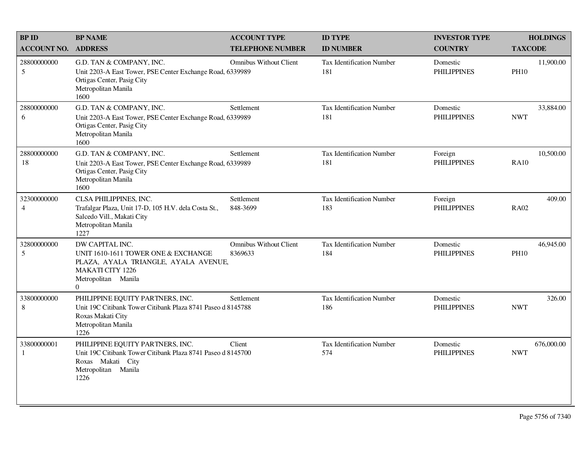| <b>BPID</b>                   | <b>BP NAME</b>                                                                                                                                               | <b>ACCOUNT TYPE</b>                      | <b>ID TYPE</b>                          | <b>INVESTOR TYPE</b>           | <b>HOLDINGS</b>          |
|-------------------------------|--------------------------------------------------------------------------------------------------------------------------------------------------------------|------------------------------------------|-----------------------------------------|--------------------------------|--------------------------|
| <b>ACCOUNT NO.</b>            | <b>ADDRESS</b>                                                                                                                                               | <b>TELEPHONE NUMBER</b>                  | <b>ID NUMBER</b>                        | <b>COUNTRY</b>                 | <b>TAXCODE</b>           |
| 28800000000<br>5              | G.D. TAN & COMPANY, INC.<br>Unit 2203-A East Tower, PSE Center Exchange Road, 6339989<br>Ortigas Center, Pasig City<br>Metropolitan Manila<br>1600           | <b>Omnibus Without Client</b>            | Tax Identification Number<br>181        | Domestic<br><b>PHILIPPINES</b> | 11,900.00<br><b>PH10</b> |
| 28800000000<br>6              | G.D. TAN & COMPANY, INC.<br>Unit 2203-A East Tower, PSE Center Exchange Road, 6339989<br>Ortigas Center, Pasig City<br>Metropolitan Manila<br>1600           | Settlement                               | Tax Identification Number<br>181        | Domestic<br><b>PHILIPPINES</b> | 33,884.00<br><b>NWT</b>  |
| 28800000000<br>18             | G.D. TAN & COMPANY, INC.<br>Unit 2203-A East Tower, PSE Center Exchange Road, 6339989<br>Ortigas Center, Pasig City<br>Metropolitan Manila<br>1600           | Settlement                               | <b>Tax Identification Number</b><br>181 | Foreign<br><b>PHILIPPINES</b>  | 10,500.00<br><b>RA10</b> |
| 32300000000<br>$\overline{4}$ | CLSA PHILIPPINES, INC.<br>Trafalgar Plaza, Unit 17-D, 105 H.V. dela Costa St.,<br>Salcedo Vill., Makati City<br>Metropolitan Manila<br>1227                  | Settlement<br>848-3699                   | Tax Identification Number<br>183        | Foreign<br><b>PHILIPPINES</b>  | 409.00<br><b>RA02</b>    |
| 32800000000<br>5              | DW CAPITAL INC.<br>UNIT 1610-1611 TOWER ONE & EXCHANGE<br>PLAZA, AYALA TRIANGLE, AYALA AVENUE,<br><b>MAKATI CITY 1226</b><br>Metropolitan Manila<br>$\Omega$ | <b>Omnibus Without Client</b><br>8369633 | <b>Tax Identification Number</b><br>184 | Domestic<br><b>PHILIPPINES</b> | 46,945.00<br><b>PH10</b> |
| 33800000000<br>8              | PHILIPPINE EQUITY PARTNERS, INC.<br>Unit 19C Citibank Tower Citibank Plaza 8741 Paseo d 8145788<br>Roxas Makati City<br>Metropolitan Manila<br>1226          | Settlement                               | Tax Identification Number<br>186        | Domestic<br><b>PHILIPPINES</b> | 326.00<br><b>NWT</b>     |
| 33800000001<br>$\mathbf{1}$   | PHILIPPINE EQUITY PARTNERS, INC.<br>Unit 19C Citibank Tower Citibank Plaza 8741 Paseo d 8145700<br>Roxas Makati City<br>Metropolitan Manila<br>1226          | Client                                   | <b>Tax Identification Number</b><br>574 | Domestic<br><b>PHILIPPINES</b> | 676,000.00<br><b>NWT</b> |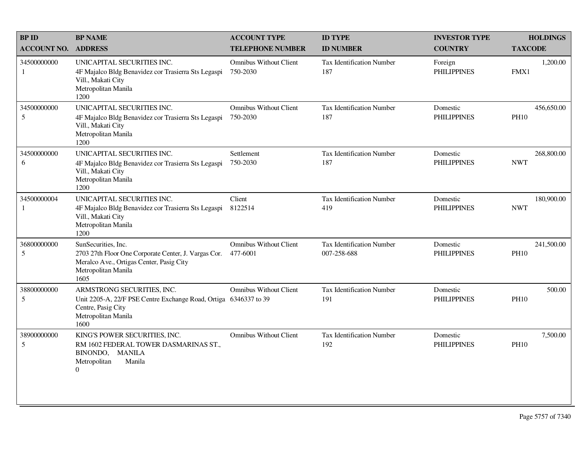| <b>BPID</b>        | <b>BP NAME</b>                                                                                                                                         | <b>ACCOUNT TYPE</b>                       | <b>ID TYPE</b>                           | <b>INVESTOR TYPE</b>           | <b>HOLDINGS</b>           |
|--------------------|--------------------------------------------------------------------------------------------------------------------------------------------------------|-------------------------------------------|------------------------------------------|--------------------------------|---------------------------|
| <b>ACCOUNT NO.</b> | <b>ADDRESS</b>                                                                                                                                         | <b>TELEPHONE NUMBER</b>                   | <b>ID NUMBER</b>                         | <b>COUNTRY</b>                 | <b>TAXCODE</b>            |
| 34500000000<br>1   | UNICAPITAL SECURITIES INC.<br>4F Majalco Bldg Benavidez cor Trasierra Sts Legaspi<br>Vill., Makati City<br>Metropolitan Manila<br>1200                 | <b>Omnibus Without Client</b><br>750-2030 | <b>Tax Identification Number</b><br>187  | Foreign<br><b>PHILIPPINES</b>  | 1,200.00<br>FMX1          |
| 34500000000<br>5   | UNICAPITAL SECURITIES INC.<br>4F Majalco Bldg Benavidez cor Trasierra Sts Legaspi<br>Vill., Makati City<br>Metropolitan Manila<br>1200                 | <b>Omnibus Without Client</b><br>750-2030 | Tax Identification Number<br>187         | Domestic<br><b>PHILIPPINES</b> | 456,650.00<br><b>PH10</b> |
| 34500000000<br>6   | UNICAPITAL SECURITIES INC.<br>4F Majalco Bldg Benavidez cor Trasierra Sts Legaspi<br>Vill., Makati City<br>Metropolitan Manila<br>1200                 | Settlement<br>750-2030                    | Tax Identification Number<br>187         | Domestic<br><b>PHILIPPINES</b> | 268,800.00<br><b>NWT</b>  |
| 34500000004<br>1   | UNICAPITAL SECURITIES INC.<br>4F Majalco Bldg Benavidez cor Trasierra Sts Legaspi<br>Vill., Makati City<br>Metropolitan Manila<br>1200                 | Client<br>8122514                         | <b>Tax Identification Number</b><br>419  | Domestic<br><b>PHILIPPINES</b> | 180,900.00<br><b>NWT</b>  |
| 36800000000<br>5   | SunSecurities, Inc.<br>2703 27th Floor One Corporate Center, J. Vargas Cor.<br>Meralco Ave., Ortigas Center, Pasig City<br>Metropolitan Manila<br>1605 | <b>Omnibus Without Client</b><br>477-6001 | Tax Identification Number<br>007-258-688 | Domestic<br><b>PHILIPPINES</b> | 241,500.00<br><b>PH10</b> |
| 38800000000<br>5   | ARMSTRONG SECURITIES, INC.<br>Unit 2205-A, 22/F PSE Centre Exchange Road, Ortiga 6346337 to 39<br>Centre, Pasig City<br>Metropolitan Manila<br>1600    | <b>Omnibus Without Client</b>             | Tax Identification Number<br>191         | Domestic<br><b>PHILIPPINES</b> | 500.00<br><b>PH10</b>     |
| 38900000000<br>5   | KING'S POWER SECURITIES, INC.<br>RM 1602 FEDERAL TOWER DASMARINAS ST.,<br>BINONDO, MANILA<br>Metropolitan<br>Manila<br>$\overline{0}$                  | <b>Omnibus Without Client</b>             | Tax Identification Number<br>192         | Domestic<br><b>PHILIPPINES</b> | 7,500.00<br><b>PH10</b>   |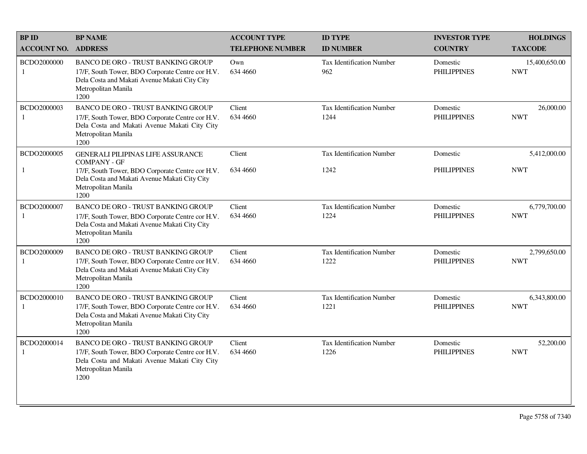| <b>BP ID</b>                | <b>BP NAME</b>                                                                                                                                                                | <b>ACCOUNT TYPE</b>     | <b>ID TYPE</b>                           | <b>INVESTOR TYPE</b>           | <b>HOLDINGS</b>             |
|-----------------------------|-------------------------------------------------------------------------------------------------------------------------------------------------------------------------------|-------------------------|------------------------------------------|--------------------------------|-----------------------------|
| <b>ACCOUNT NO.</b>          | <b>ADDRESS</b>                                                                                                                                                                | <b>TELEPHONE NUMBER</b> | <b>ID NUMBER</b>                         | <b>COUNTRY</b>                 | <b>TAXCODE</b>              |
| BCDO2000000<br>1            | <b>BANCO DE ORO - TRUST BANKING GROUP</b><br>17/F, South Tower, BDO Corporate Centre cor H.V.<br>Dela Costa and Makati Avenue Makati City City<br>Metropolitan Manila<br>1200 | Own<br>634 4660         | Tax Identification Number<br>962         | Domestic<br><b>PHILIPPINES</b> | 15,400,650.00<br><b>NWT</b> |
| BCDO2000003<br>1            | <b>BANCO DE ORO - TRUST BANKING GROUP</b><br>17/F, South Tower, BDO Corporate Centre cor H.V.<br>Dela Costa and Makati Avenue Makati City City<br>Metropolitan Manila<br>1200 | Client<br>634 4660      | <b>Tax Identification Number</b><br>1244 | Domestic<br><b>PHILIPPINES</b> | 26,000.00<br><b>NWT</b>     |
| BCDO2000005                 | <b>GENERALI PILIPINAS LIFE ASSURANCE</b><br><b>COMPANY - GF</b>                                                                                                               | Client                  | Tax Identification Number                | Domestic                       | 5,412,000.00                |
| 1                           | 17/F, South Tower, BDO Corporate Centre cor H.V.<br>Dela Costa and Makati Avenue Makati City City<br>Metropolitan Manila<br>1200                                              | 634 4660                | 1242                                     | <b>PHILIPPINES</b>             | <b>NWT</b>                  |
| BCDO2000007<br>$\mathbf{1}$ | <b>BANCO DE ORO - TRUST BANKING GROUP</b><br>17/F, South Tower, BDO Corporate Centre cor H.V.<br>Dela Costa and Makati Avenue Makati City City<br>Metropolitan Manila<br>1200 | Client<br>634 4660      | Tax Identification Number<br>1224        | Domestic<br><b>PHILIPPINES</b> | 6,779,700.00<br><b>NWT</b>  |
| BCDO2000009<br>1            | <b>BANCO DE ORO - TRUST BANKING GROUP</b><br>17/F, South Tower, BDO Corporate Centre cor H.V.<br>Dela Costa and Makati Avenue Makati City City<br>Metropolitan Manila<br>1200 | Client<br>634 4660      | <b>Tax Identification Number</b><br>1222 | Domestic<br><b>PHILIPPINES</b> | 2,799,650.00<br><b>NWT</b>  |
| BCDO2000010                 | <b>BANCO DE ORO - TRUST BANKING GROUP</b><br>17/F, South Tower, BDO Corporate Centre cor H.V.<br>Dela Costa and Makati Avenue Makati City City<br>Metropolitan Manila<br>1200 | Client<br>634 4660      | <b>Tax Identification Number</b><br>1221 | Domestic<br><b>PHILIPPINES</b> | 6,343,800.00<br><b>NWT</b>  |
| BCDO2000014<br>1            | BANCO DE ORO - TRUST BANKING GROUP<br>17/F, South Tower, BDO Corporate Centre cor H.V.<br>Dela Costa and Makati Avenue Makati City City<br>Metropolitan Manila<br>1200        | Client<br>634 4660      | <b>Tax Identification Number</b><br>1226 | Domestic<br><b>PHILIPPINES</b> | 52,200.00<br><b>NWT</b>     |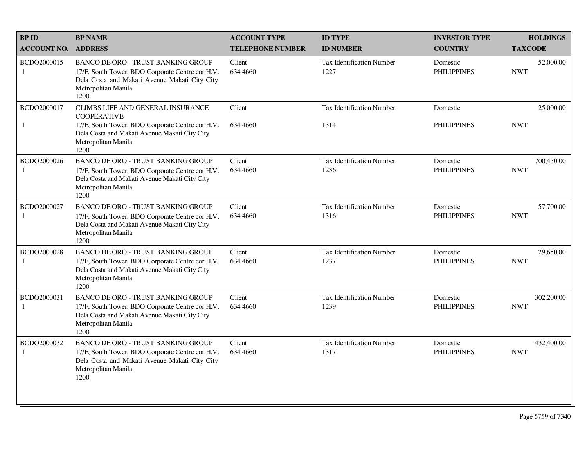| <b>BPID</b>                 | <b>BP NAME</b>                                                                                                                                                                              | <b>ACCOUNT TYPE</b>     | <b>ID TYPE</b>                           | <b>INVESTOR TYPE</b>           | <b>HOLDINGS</b>          |
|-----------------------------|---------------------------------------------------------------------------------------------------------------------------------------------------------------------------------------------|-------------------------|------------------------------------------|--------------------------------|--------------------------|
| <b>ACCOUNT NO.</b>          | <b>ADDRESS</b>                                                                                                                                                                              | <b>TELEPHONE NUMBER</b> | <b>ID NUMBER</b>                         | <b>COUNTRY</b>                 | <b>TAXCODE</b>           |
| BCDO2000015<br>1            | <b>BANCO DE ORO - TRUST BANKING GROUP</b><br>17/F, South Tower, BDO Corporate Centre cor H.V.<br>Dela Costa and Makati Avenue Makati City City<br>Metropolitan Manila<br>1200               | Client<br>634 4660      | <b>Tax Identification Number</b><br>1227 | Domestic<br><b>PHILIPPINES</b> | 52,000.00<br><b>NWT</b>  |
| BCDO2000017<br>1            | CLIMBS LIFE AND GENERAL INSURANCE<br><b>COOPERATIVE</b><br>17/F, South Tower, BDO Corporate Centre cor H.V.<br>Dela Costa and Makati Avenue Makati City City<br>Metropolitan Manila<br>1200 | Client<br>634 4660      | <b>Tax Identification Number</b><br>1314 | Domestic<br><b>PHILIPPINES</b> | 25,000.00<br><b>NWT</b>  |
| BCDO2000026<br>$\mathbf{1}$ | <b>BANCO DE ORO - TRUST BANKING GROUP</b><br>17/F, South Tower, BDO Corporate Centre cor H.V.<br>Dela Costa and Makati Avenue Makati City City<br>Metropolitan Manila<br>1200               | Client<br>634 4660      | Tax Identification Number<br>1236        | Domestic<br><b>PHILIPPINES</b> | 700,450.00<br><b>NWT</b> |
| BCDO2000027<br>1            | BANCO DE ORO - TRUST BANKING GROUP<br>17/F, South Tower, BDO Corporate Centre cor H.V.<br>Dela Costa and Makati Avenue Makati City City<br>Metropolitan Manila<br>1200                      | Client<br>634 4660      | <b>Tax Identification Number</b><br>1316 | Domestic<br><b>PHILIPPINES</b> | 57,700.00<br><b>NWT</b>  |
| BCDO2000028<br>1            | <b>BANCO DE ORO - TRUST BANKING GROUP</b><br>17/F, South Tower, BDO Corporate Centre cor H.V.<br>Dela Costa and Makati Avenue Makati City City<br>Metropolitan Manila<br>1200               | Client<br>634 4660      | <b>Tax Identification Number</b><br>1237 | Domestic<br><b>PHILIPPINES</b> | 29,650.00<br><b>NWT</b>  |
| BCDO2000031<br>1            | BANCO DE ORO - TRUST BANKING GROUP<br>17/F, South Tower, BDO Corporate Centre cor H.V.<br>Dela Costa and Makati Avenue Makati City City<br>Metropolitan Manila<br>1200                      | Client<br>634 4660      | <b>Tax Identification Number</b><br>1239 | Domestic<br><b>PHILIPPINES</b> | 302,200.00<br><b>NWT</b> |
| BCDO2000032<br>1            | <b>BANCO DE ORO - TRUST BANKING GROUP</b><br>17/F, South Tower, BDO Corporate Centre cor H.V.<br>Dela Costa and Makati Avenue Makati City City<br>Metropolitan Manila<br>1200               | Client<br>634 4660      | <b>Tax Identification Number</b><br>1317 | Domestic<br><b>PHILIPPINES</b> | 432,400.00<br><b>NWT</b> |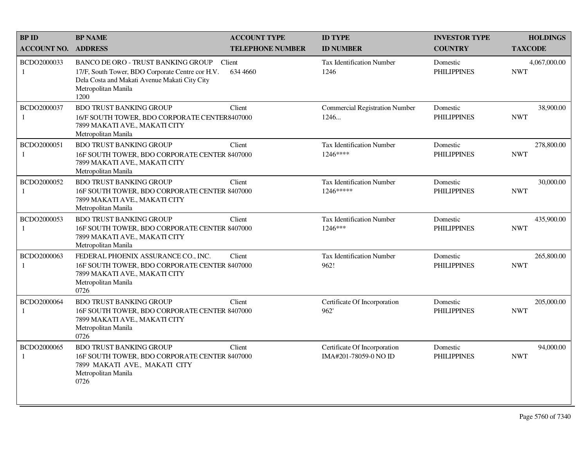| <b>BP ID</b>                | <b>BP NAME</b>                                                                                                                                                         | <b>ACCOUNT TYPE</b>     | <b>ID TYPE</b>                                        | <b>INVESTOR TYPE</b>           | <b>HOLDINGS</b>            |
|-----------------------------|------------------------------------------------------------------------------------------------------------------------------------------------------------------------|-------------------------|-------------------------------------------------------|--------------------------------|----------------------------|
| <b>ACCOUNT NO.</b>          | <b>ADDRESS</b>                                                                                                                                                         | <b>TELEPHONE NUMBER</b> | <b>ID NUMBER</b>                                      | <b>COUNTRY</b>                 | <b>TAXCODE</b>             |
| BCDO2000033<br>1            | BANCO DE ORO - TRUST BANKING GROUP<br>17/F, South Tower, BDO Corporate Centre cor H.V.<br>Dela Costa and Makati Avenue Makati City City<br>Metropolitan Manila<br>1200 | Client<br>634 4660      | <b>Tax Identification Number</b><br>1246              | Domestic<br><b>PHILIPPINES</b> | 4,067,000.00<br><b>NWT</b> |
| BCDO2000037                 | <b>BDO TRUST BANKING GROUP</b><br>16/F SOUTH TOWER, BDO CORPORATE CENTER8407000<br>7899 MAKATI AVE., MAKATI CITY<br>Metropolitan Manila                                | Client                  | <b>Commercial Registration Number</b><br>1246         | Domestic<br><b>PHILIPPINES</b> | 38,900.00<br><b>NWT</b>    |
| BCDO2000051<br>1            | <b>BDO TRUST BANKING GROUP</b><br>16F SOUTH TOWER, BDO CORPORATE CENTER 8407000<br>7899 MAKATI AVE., MAKATI CITY<br>Metropolitan Manila                                | Client                  | <b>Tax Identification Number</b><br>1246****          | Domestic<br><b>PHILIPPINES</b> | 278,800.00<br><b>NWT</b>   |
| BCDO2000052<br>1            | <b>BDO TRUST BANKING GROUP</b><br>16F SOUTH TOWER, BDO CORPORATE CENTER 8407000<br>7899 MAKATI AVE., MAKATI CITY<br>Metropolitan Manila                                | Client                  | <b>Tax Identification Number</b><br>1246*****         | Domestic<br><b>PHILIPPINES</b> | 30,000.00<br><b>NWT</b>    |
| BCDO2000053<br>$\mathbf{1}$ | <b>BDO TRUST BANKING GROUP</b><br>16F SOUTH TOWER, BDO CORPORATE CENTER 8407000<br>7899 MAKATI AVE., MAKATI CITY<br>Metropolitan Manila                                | Client                  | <b>Tax Identification Number</b><br>1246***           | Domestic<br><b>PHILIPPINES</b> | 435,900.00<br><b>NWT</b>   |
| BCDO2000063<br>$\mathbf{1}$ | FEDERAL PHOENIX ASSURANCE CO., INC.<br>16F SOUTH TOWER, BDO CORPORATE CENTER 8407000<br>7899 MAKATI AVE., MAKATI CITY<br>Metropolitan Manila<br>0726                   | Client                  | Tax Identification Number<br>962!                     | Domestic<br><b>PHILIPPINES</b> | 265,800.00<br><b>NWT</b>   |
| BCDO2000064<br>-1           | <b>BDO TRUST BANKING GROUP</b><br>16F SOUTH TOWER, BDO CORPORATE CENTER 8407000<br>7899 MAKATI AVE., MAKATI CITY<br>Metropolitan Manila<br>0726                        | Client                  | Certificate Of Incorporation<br>962'                  | Domestic<br><b>PHILIPPINES</b> | 205,000.00<br><b>NWT</b>   |
| BCDO2000065<br>-1           | <b>BDO TRUST BANKING GROUP</b><br>16F SOUTH TOWER, BDO CORPORATE CENTER 8407000<br>7899 MAKATI AVE., MAKATI CITY<br>Metropolitan Manila<br>0726                        | Client                  | Certificate Of Incorporation<br>IMA#201-78059-0 NO ID | Domestic<br><b>PHILIPPINES</b> | 94,000.00<br><b>NWT</b>    |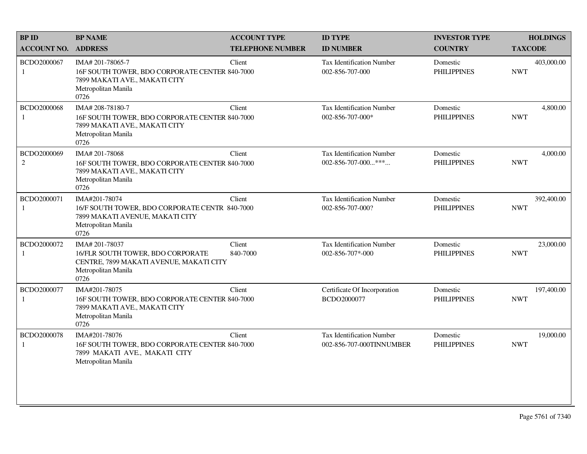| <b>BPID</b>                   | <b>BP NAME</b>                                                                                                                     | <b>ACCOUNT TYPE</b>     | <b>ID TYPE</b>                                                  | <b>INVESTOR TYPE</b>           | <b>HOLDINGS</b>          |
|-------------------------------|------------------------------------------------------------------------------------------------------------------------------------|-------------------------|-----------------------------------------------------------------|--------------------------------|--------------------------|
| <b>ACCOUNT NO. ADDRESS</b>    |                                                                                                                                    | <b>TELEPHONE NUMBER</b> | <b>ID NUMBER</b>                                                | <b>COUNTRY</b>                 | <b>TAXCODE</b>           |
| BCDO2000067<br>1              | IMA# 201-78065-7<br>16F SOUTH TOWER, BDO CORPORATE CENTER 840-7000<br>7899 MAKATI AVE., MAKATI CITY<br>Metropolitan Manila<br>0726 | Client                  | <b>Tax Identification Number</b><br>002-856-707-000             | Domestic<br><b>PHILIPPINES</b> | 403,000.00<br><b>NWT</b> |
| BCDO2000068<br>1              | IMA# 208-78180-7<br>16F SOUTH TOWER, BDO CORPORATE CENTER 840-7000<br>7899 MAKATI AVE., MAKATI CITY<br>Metropolitan Manila<br>0726 | Client                  | Tax Identification Number<br>002-856-707-000*                   | Domestic<br><b>PHILIPPINES</b> | 4,800.00<br><b>NWT</b>   |
| BCDO2000069<br>$\overline{2}$ | IMA# 201-78068<br>16F SOUTH TOWER, BDO CORPORATE CENTER 840-7000<br>7899 MAKATI AVE., MAKATI CITY<br>Metropolitan Manila<br>0726   | Client                  | <b>Tax Identification Number</b><br>$002 - 856 - 707 - 000$ *** | Domestic<br><b>PHILIPPINES</b> | 4,000.00<br><b>NWT</b>   |
| BCDO2000071<br>1              | IMA#201-78074<br>16/F SOUTH TOWER, BDO CORPORATE CENTR 840-7000<br>7899 MAKATI AVENUE, MAKATI CITY<br>Metropolitan Manila<br>0726  | Client                  | Tax Identification Number<br>002-856-707-000?                   | Domestic<br><b>PHILIPPINES</b> | 392,400.00<br><b>NWT</b> |
| BCDO2000072<br>1              | IMA# 201-78037<br>16/FLR SOUTH TOWER, BDO CORPORATE<br>CENTRE, 7899 MAKATI AVENUE, MAKATI CITY<br>Metropolitan Manila<br>0726      | Client<br>840-7000      | <b>Tax Identification Number</b><br>002-856-707*-000            | Domestic<br><b>PHILIPPINES</b> | 23,000.00<br><b>NWT</b>  |
| BCDO2000077<br>$\mathbf{1}$   | IMA#201-78075<br>16F SOUTH TOWER, BDO CORPORATE CENTER 840-7000<br>7899 MAKATI AVE., MAKATI CITY<br>Metropolitan Manila<br>0726    | Client                  | Certificate Of Incorporation<br>BCDO2000077                     | Domestic<br><b>PHILIPPINES</b> | 197,400.00<br><b>NWT</b> |
| BCDO2000078<br>1              | IMA#201-78076<br>16F SOUTH TOWER, BDO CORPORATE CENTER 840-7000<br>7899 MAKATI AVE., MAKATI CITY<br>Metropolitan Manila            | Client                  | <b>Tax Identification Number</b><br>002-856-707-000TINNUMBER    | Domestic<br><b>PHILIPPINES</b> | 19,000.00<br><b>NWT</b>  |
|                               |                                                                                                                                    |                         |                                                                 |                                |                          |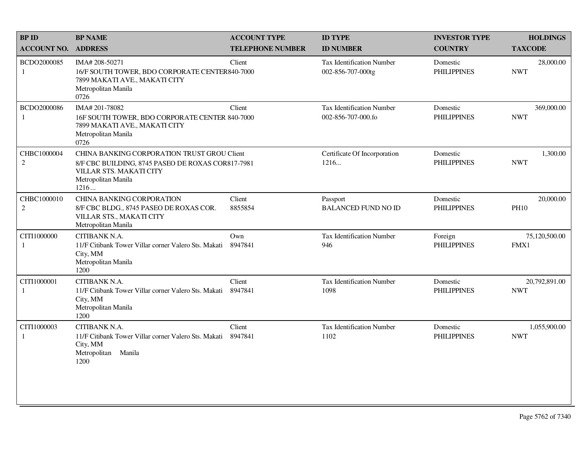| <b>BP NAME</b>                                                                                                                 | <b>ACCOUNT TYPE</b>     | <b>ID TYPE</b>                                                                                                                                                                                       | <b>INVESTOR TYPE</b>           | <b>HOLDINGS</b>             |
|--------------------------------------------------------------------------------------------------------------------------------|-------------------------|------------------------------------------------------------------------------------------------------------------------------------------------------------------------------------------------------|--------------------------------|-----------------------------|
| <b>ACCOUNT NO. ADDRESS</b>                                                                                                     | <b>TELEPHONE NUMBER</b> | <b>ID NUMBER</b>                                                                                                                                                                                     | <b>COUNTRY</b>                 | <b>TAXCODE</b>              |
| IMA# 208-50271<br>7899 MAKATI AVE., MAKATI CITY<br>Metropolitan Manila<br>0726                                                 | Client                  | <b>Tax Identification Number</b><br>002-856-707-000tg                                                                                                                                                | Domestic<br><b>PHILIPPINES</b> | 28,000.00<br><b>NWT</b>     |
| IMA# 201-78082<br>7899 MAKATI AVE., MAKATI CITY<br>Metropolitan Manila<br>0726                                                 | Client                  | <b>Tax Identification Number</b><br>002-856-707-000.fo                                                                                                                                               | Domestic<br><b>PHILIPPINES</b> | 369,000.00<br><b>NWT</b>    |
| VILLAR STS. MAKATI CITY<br>Metropolitan Manila<br>1216                                                                         |                         | Certificate Of Incorporation<br>1216                                                                                                                                                                 | Domestic<br><b>PHILIPPINES</b> | 1,300.00<br><b>NWT</b>      |
| <b>CHINA BANKING CORPORATION</b><br>8/F CBC BLDG., 8745 PASEO DE ROXAS COR.<br>VILLAR STS., MAKATI CITY<br>Metropolitan Manila | Client<br>8855854       | Passport<br><b>BALANCED FUND NO ID</b>                                                                                                                                                               | Domestic<br><b>PHILIPPINES</b> | 20,000.00<br><b>PH10</b>    |
| CITIBANK N.A.<br>11/F Citibank Tower Villar corner Valero Sts. Makati<br>City, MM<br>Metropolitan Manila<br>1200               | Own<br>8947841          | <b>Tax Identification Number</b><br>946                                                                                                                                                              | Foreign<br><b>PHILIPPINES</b>  | 75,120,500.00<br>FMX1       |
| CITIBANK N.A.<br>11/F Citibank Tower Villar corner Valero Sts. Makati<br>City, MM<br>Metropolitan Manila<br>1200               | Client<br>8947841       | <b>Tax Identification Number</b><br>1098                                                                                                                                                             | Domestic<br><b>PHILIPPINES</b> | 20,792,891.00<br><b>NWT</b> |
| CITIBANK N.A.<br>11/F Citibank Tower Villar corner Valero Sts. Makati<br>City, MM<br>Metropolitan<br>Manila<br>1200            | Client<br>8947841       | Tax Identification Number<br>1102                                                                                                                                                                    | Domestic<br><b>PHILIPPINES</b> | 1,055,900.00<br><b>NWT</b>  |
|                                                                                                                                |                         | 16/F SOUTH TOWER, BDO CORPORATE CENTER840-7000<br>16F SOUTH TOWER, BDO CORPORATE CENTER 840-7000<br>CHINA BANKING CORPORATION TRUST GROU Client<br>8/F CBC BUILDING, 8745 PASEO DE ROXAS COR817-7981 |                                |                             |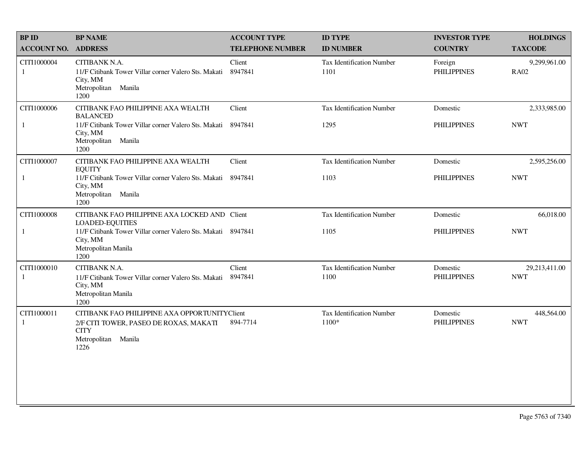| <b>BPID</b>                 | <b>BP NAME</b>                                                                                                                                                                     | <b>ACCOUNT TYPE</b>     | <b>ID TYPE</b>                           | <b>INVESTOR TYPE</b>           | <b>HOLDINGS</b>             |
|-----------------------------|------------------------------------------------------------------------------------------------------------------------------------------------------------------------------------|-------------------------|------------------------------------------|--------------------------------|-----------------------------|
| <b>ACCOUNT NO. ADDRESS</b>  |                                                                                                                                                                                    | <b>TELEPHONE NUMBER</b> | <b>ID NUMBER</b>                         | <b>COUNTRY</b>                 | <b>TAXCODE</b>              |
| CITI1000004<br>1            | CITIBANK N.A.<br>11/F Citibank Tower Villar corner Valero Sts. Makati<br>City, MM<br>Metropolitan Manila<br>1200                                                                   | Client<br>8947841       | <b>Tax Identification Number</b><br>1101 | Foreign<br><b>PHILIPPINES</b>  | 9,299,961.00<br><b>RA02</b> |
| CITI1000006<br>$\mathbf{1}$ | CITIBANK FAO PHILIPPINE AXA WEALTH<br><b>BALANCED</b><br>11/F Citibank Tower Villar corner Valero Sts. Makati<br>City, MM<br>Metropolitan Manila<br>1200                           | Client<br>8947841       | <b>Tax Identification Number</b><br>1295 | Domestic<br><b>PHILIPPINES</b> | 2,333,985.00<br><b>NWT</b>  |
| CITI1000007<br>$\mathbf{1}$ | CITIBANK FAO PHILIPPINE AXA WEALTH<br><b>EQUITY</b><br>11/F Citibank Tower Villar corner Valero Sts. Makati<br>City, MM<br>Metropolitan<br>Manila<br>1200                          | Client<br>8947841       | <b>Tax Identification Number</b><br>1103 | Domestic<br><b>PHILIPPINES</b> | 2,595,256.00<br><b>NWT</b>  |
| CITI1000008<br>$\mathbf{1}$ | CITIBANK FAO PHILIPPINE AXA LOCKED AND Client<br><b>LOADED-EQUITIES</b><br>11/F Citibank Tower Villar corner Valero Sts. Makati 8947841<br>City, MM<br>Metropolitan Manila<br>1200 |                         | <b>Tax Identification Number</b><br>1105 | Domestic<br><b>PHILIPPINES</b> | 66,018.00<br><b>NWT</b>     |
| CITI1000010<br>1            | CITIBANK N.A.<br>11/F Citibank Tower Villar corner Valero Sts. Makati<br>City, MM<br>Metropolitan Manila<br>1200                                                                   | Client<br>8947841       | Tax Identification Number<br>1100        | Domestic<br><b>PHILIPPINES</b> | 29,213,411.00<br><b>NWT</b> |
| CITI1000011<br>$\mathbf{1}$ | CITIBANK FAO PHILIPPINE AXA OPPORTUNITYClient<br>2/F CITI TOWER, PASEO DE ROXAS, MAKATI<br><b>CITY</b><br>Manila<br>Metropolitan<br>1226                                           | 894-7714                | Tax Identification Number<br>1100*       | Domestic<br><b>PHILIPPINES</b> | 448,564.00<br><b>NWT</b>    |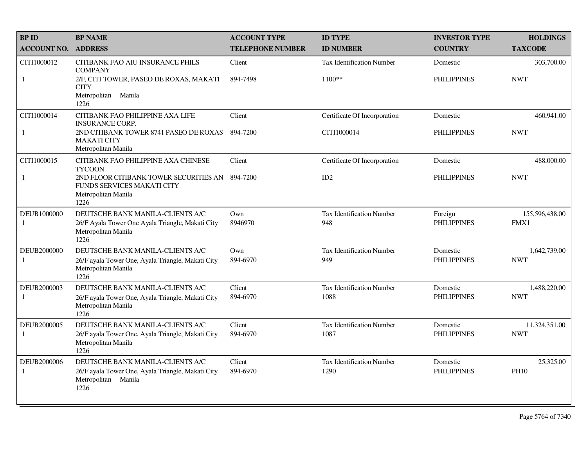| <b>BPID</b>                 | <b>BP NAME</b>                                                                                                       | <b>ACCOUNT TYPE</b>     | <b>ID TYPE</b>                           | <b>INVESTOR TYPE</b>           | <b>HOLDINGS</b>             |
|-----------------------------|----------------------------------------------------------------------------------------------------------------------|-------------------------|------------------------------------------|--------------------------------|-----------------------------|
| <b>ACCOUNT NO.</b>          | <b>ADDRESS</b>                                                                                                       | <b>TELEPHONE NUMBER</b> | <b>ID NUMBER</b>                         | <b>COUNTRY</b>                 | <b>TAXCODE</b>              |
| CITI1000012                 | CITIBANK FAO AIU INSURANCE PHILS<br><b>COMPANY</b>                                                                   | Client                  | <b>Tax Identification Number</b>         | Domestic                       | 303,700.00                  |
| 1                           | 2/F, CITI TOWER, PASEO DE ROXAS, MAKATI<br><b>CITY</b><br>Metropolitan<br>Manila<br>1226                             | 894-7498                | 1100**                                   | <b>PHILIPPINES</b>             | <b>NWT</b>                  |
| CITI1000014                 | CITIBANK FAO PHILIPPINE AXA LIFE<br><b>INSURANCE CORP.</b>                                                           | Client                  | Certificate Of Incorporation             | Domestic                       | 460,941.00                  |
| 1                           | 2ND CITIBANK TOWER 8741 PASEO DE ROXAS<br><b>MAKATI CITY</b><br>Metropolitan Manila                                  | 894-7200                | CITI1000014                              | <b>PHILIPPINES</b>             | <b>NWT</b>                  |
| CITI1000015                 | CITIBANK FAO PHILIPPINE AXA CHINESE<br><b>TYCOON</b>                                                                 | Client                  | Certificate Of Incorporation             | Domestic                       | 488,000.00                  |
| 1                           | 2ND FLOOR CITIBANK TOWER SECURITIES AN 894-7200<br><b>FUNDS SERVICES MAKATI CITY</b><br>Metropolitan Manila<br>1226  |                         | ID2                                      | <b>PHILIPPINES</b>             | <b>NWT</b>                  |
| DEUB1000000<br>$\mathbf{1}$ | DEUTSCHE BANK MANILA-CLIENTS A/C<br>26/F Ayala Tower One Ayala Triangle, Makati City<br>Metropolitan Manila<br>1226  | Own<br>8946970          | <b>Tax Identification Number</b><br>948  | Foreign<br><b>PHILIPPINES</b>  | 155,596,438.00<br>FMX1      |
| DEUB2000000<br>-1           | DEUTSCHE BANK MANILA-CLIENTS A/C<br>26/F ayala Tower One, Ayala Triangle, Makati City<br>Metropolitan Manila<br>1226 | Own<br>894-6970         | <b>Tax Identification Number</b><br>949  | Domestic<br><b>PHILIPPINES</b> | 1,642,739.00<br><b>NWT</b>  |
| DEUB2000003<br>$\mathbf{1}$ | DEUTSCHE BANK MANILA-CLIENTS A/C<br>26/F ayala Tower One, Ayala Triangle, Makati City<br>Metropolitan Manila<br>1226 | Client<br>894-6970      | <b>Tax Identification Number</b><br>1088 | Domestic<br><b>PHILIPPINES</b> | 1,488,220.00<br><b>NWT</b>  |
| DEUB2000005<br>-1           | DEUTSCHE BANK MANILA-CLIENTS A/C<br>26/F ayala Tower One, Ayala Triangle, Makati City<br>Metropolitan Manila<br>1226 | Client<br>894-6970      | <b>Tax Identification Number</b><br>1087 | Domestic<br><b>PHILIPPINES</b> | 11,324,351.00<br><b>NWT</b> |
| DEUB2000006                 | DEUTSCHE BANK MANILA-CLIENTS A/C<br>26/F ayala Tower One, Ayala Triangle, Makati City<br>Metropolitan Manila<br>1226 | Client<br>894-6970      | <b>Tax Identification Number</b><br>1290 | Domestic<br><b>PHILIPPINES</b> | 25,325.00<br><b>PH10</b>    |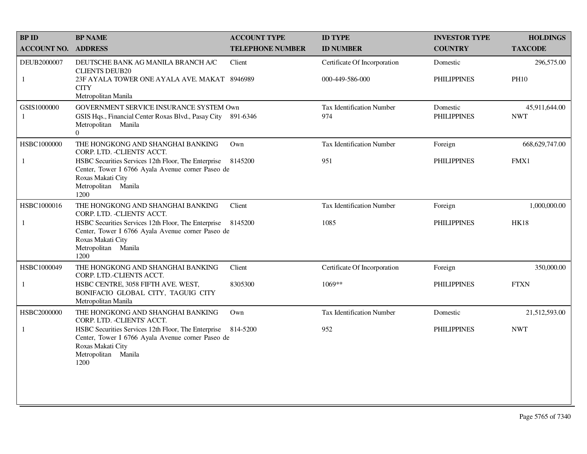| <b>BPID</b>        | <b>BP NAME</b>                                                                                                                                               | <b>ACCOUNT TYPE</b>     | <b>ID TYPE</b>                   | <b>INVESTOR TYPE</b>           | <b>HOLDINGS</b>             |
|--------------------|--------------------------------------------------------------------------------------------------------------------------------------------------------------|-------------------------|----------------------------------|--------------------------------|-----------------------------|
| <b>ACCOUNT NO.</b> | <b>ADDRESS</b>                                                                                                                                               | <b>TELEPHONE NUMBER</b> | <b>ID NUMBER</b>                 | <b>COUNTRY</b>                 | <b>TAXCODE</b>              |
| DEUB2000007        | DEUTSCHE BANK AG MANILA BRANCH A/C<br><b>CLIENTS DEUB20</b>                                                                                                  | Client                  | Certificate Of Incorporation     | Domestic                       | 296,575.00                  |
| $\mathbf{1}$       | 23F AYALA TOWER ONE AYALA AVE. MAKAT 8946989<br><b>CITY</b><br>Metropolitan Manila                                                                           |                         | 000-449-586-000                  | <b>PHILIPPINES</b>             | <b>PH10</b>                 |
| GSIS1000000        | GOVERNMENT SERVICE INSURANCE SYSTEM Own<br>GSIS Hqs., Financial Center Roxas Blvd., Pasay City 891-6346<br>Metropolitan Manila<br>$\Omega$                   |                         | Tax Identification Number<br>974 | Domestic<br><b>PHILIPPINES</b> | 45,911,644.00<br><b>NWT</b> |
| HSBC1000000        | THE HONGKONG AND SHANGHAI BANKING<br>CORP. LTD. - CLIENTS' ACCT.                                                                                             | Own                     | Tax Identification Number        | Foreign                        | 668, 629, 747.00            |
| $\mathbf{1}$       | HSBC Securities Services 12th Floor, The Enterprise<br>Center, Tower I 6766 Ayala Avenue corner Paseo de<br>Roxas Makati City<br>Metropolitan Manila<br>1200 | 8145200                 | 951                              | <b>PHILIPPINES</b>             | FMX1                        |
| HSBC1000016        | THE HONGKONG AND SHANGHAI BANKING<br>CORP. LTD. -CLIENTS' ACCT.                                                                                              | Client                  | Tax Identification Number        | Foreign                        | 1,000,000.00                |
| 1                  | HSBC Securities Services 12th Floor, The Enterprise<br>Center, Tower I 6766 Ayala Avenue corner Paseo de<br>Roxas Makati City<br>Metropolitan Manila<br>1200 | 8145200                 | 1085                             | <b>PHILIPPINES</b>             | <b>HK18</b>                 |
| HSBC1000049        | THE HONGKONG AND SHANGHAI BANKING<br>CORP. LTD.-CLIENTS ACCT.                                                                                                | Client                  | Certificate Of Incorporation     | Foreign                        | 350,000.00                  |
| $\mathbf{1}$       | HSBC CENTRE, 3058 FIFTH AVE. WEST,<br>BONIFACIO GLOBAL CITY, TAGUIG CITY<br>Metropolitan Manila                                                              | 8305300                 | $1069**$                         | <b>PHILIPPINES</b>             | <b>FTXN</b>                 |
| HSBC2000000        | THE HONGKONG AND SHANGHAI BANKING<br>CORP. LTD. - CLIENTS' ACCT.                                                                                             | Own                     | <b>Tax Identification Number</b> | Domestic                       | 21,512,593.00               |
| 1                  | HSBC Securities Services 12th Floor, The Enterprise<br>Center, Tower I 6766 Ayala Avenue corner Paseo de<br>Roxas Makati City<br>Metropolitan Manila<br>1200 | 814-5200                | 952                              | <b>PHILIPPINES</b>             | <b>NWT</b>                  |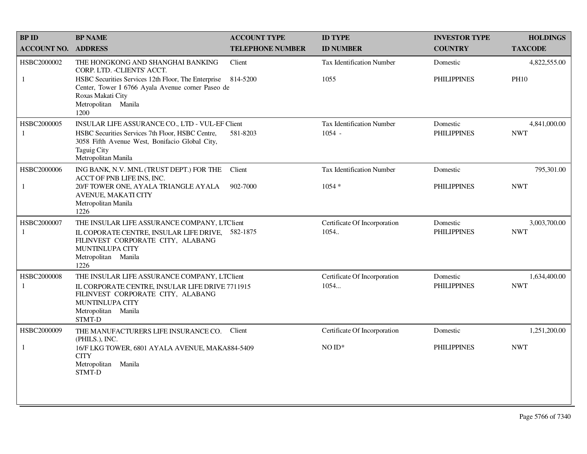| <b>BP ID</b>       | <b>BP NAME</b>                                                                                                                                                                                 | <b>ACCOUNT TYPE</b>     | <b>ID TYPE</b>                       | <b>INVESTOR TYPE</b>           | <b>HOLDINGS</b>            |
|--------------------|------------------------------------------------------------------------------------------------------------------------------------------------------------------------------------------------|-------------------------|--------------------------------------|--------------------------------|----------------------------|
| <b>ACCOUNT NO.</b> | <b>ADDRESS</b>                                                                                                                                                                                 | <b>TELEPHONE NUMBER</b> | <b>ID NUMBER</b>                     | <b>COUNTRY</b>                 | <b>TAXCODE</b>             |
| HSBC2000002        | THE HONGKONG AND SHANGHAI BANKING<br>CORP. LTD. - CLIENTS' ACCT.                                                                                                                               | Client                  | Tax Identification Number            | Domestic                       | 4,822,555.00               |
| -1                 | HSBC Securities Services 12th Floor, The Enterprise 814-5200<br>Center, Tower I 6766 Ayala Avenue corner Paseo de<br>Roxas Makati City<br>Metropolitan Manila<br>1200                          |                         | 1055                                 | <b>PHILIPPINES</b>             | <b>PH10</b>                |
| HSBC2000005        | INSULAR LIFE ASSURANCE CO., LTD - VUL-EF Client                                                                                                                                                |                         | <b>Tax Identification Number</b>     | Domestic                       | 4.841.000.00               |
| 1                  | HSBC Securities Services 7th Floor, HSBC Centre,<br>3058 Fifth Avenue West, Bonifacio Global City,<br><b>Taguig City</b><br>Metropolitan Manila                                                | 581-8203                | $1054 -$                             | <b>PHILIPPINES</b>             | <b>NWT</b>                 |
| HSBC2000006        | ING BANK, N.V. MNL (TRUST DEPT.) FOR THE<br>ACCT OF PNB LIFE INS. INC.                                                                                                                         | Client                  | <b>Tax Identification Number</b>     | Domestic                       | 795,301.00                 |
| 1                  | 20/F TOWER ONE, AYALA TRIANGLE AYALA<br><b>AVENUE, MAKATI CITY</b><br>Metropolitan Manila<br>1226                                                                                              | 902-7000                | $1054*$                              | <b>PHILIPPINES</b>             | <b>NWT</b>                 |
| HSBC2000007<br>1   | THE INSULAR LIFE ASSURANCE COMPANY, LTClient<br>IL COPORATE CENTRE, INSULAR LIFE DRIVE, 582-1875<br>FILINVEST CORPORATE CITY, ALABANG<br><b>MUNTINLUPA CITY</b><br>Metropolitan Manila<br>1226 |                         | Certificate Of Incorporation<br>1054 | Domestic<br><b>PHILIPPINES</b> | 3,003,700.00<br><b>NWT</b> |
| HSBC2000008<br>1   | THE INSULAR LIFE ASSURANCE COMPANY, LTClient<br>IL CORPORATE CENTRE, INSULAR LIFE DRIVE 7711915                                                                                                |                         | Certificate Of Incorporation<br>1054 | Domestic<br><b>PHILIPPINES</b> | 1,634,400.00<br><b>NWT</b> |
|                    | FILINVEST CORPORATE CITY, ALABANG<br><b>MUNTINLUPA CITY</b><br>Metropolitan Manila<br>STMT-D                                                                                                   |                         |                                      |                                |                            |
| HSBC2000009        | THE MANUFACTURERS LIFE INSURANCE CO.<br>(PHILS.), INC.                                                                                                                                         | Client                  | Certificate Of Incorporation         | Domestic                       | 1,251,200.00               |
| 1                  | 16/F LKG TOWER, 6801 AYALA AVENUE, MAKA884-5409<br><b>CITY</b><br>Metropolitan Manila<br>STMT-D                                                                                                |                         | $NOID*$                              | <b>PHILIPPINES</b>             | <b>NWT</b>                 |
|                    |                                                                                                                                                                                                |                         |                                      |                                |                            |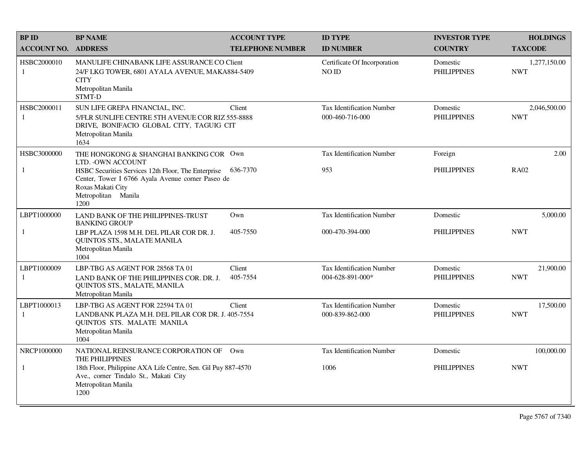| <b>BPID</b>        | <b>BP NAME</b>                                                                                                                                                | <b>ACCOUNT TYPE</b>     | <b>ID TYPE</b>                                | <b>INVESTOR TYPE</b>           | <b>HOLDINGS</b>            |
|--------------------|---------------------------------------------------------------------------------------------------------------------------------------------------------------|-------------------------|-----------------------------------------------|--------------------------------|----------------------------|
| <b>ACCOUNT NO.</b> | <b>ADDRESS</b>                                                                                                                                                | <b>TELEPHONE NUMBER</b> | <b>ID NUMBER</b>                              | <b>COUNTRY</b>                 | <b>TAXCODE</b>             |
| HSBC2000010<br>1   | MANULIFE CHINABANK LIFE ASSURANCE CO Client<br>24/F LKG TOWER, 6801 AYALA AVENUE, MAKA884-5409<br><b>CITY</b><br>Metropolitan Manila<br>STMT-D                |                         | Certificate Of Incorporation<br>NO ID         | Domestic<br><b>PHILIPPINES</b> | 1,277,150.00<br><b>NWT</b> |
| HSBC2000011<br>1   | SUN LIFE GREPA FINANCIAL, INC.<br>5/FLR SUNLIFE CENTRE 5TH AVENUE COR RIZ 555-8888<br>DRIVE, BONIFACIO GLOBAL CITY, TAGUIG CIT<br>Metropolitan Manila<br>1634 | Client                  | Tax Identification Number<br>000-460-716-000  | Domestic<br><b>PHILIPPINES</b> | 2,046,500.00<br><b>NWT</b> |
| HSBC3000000        | THE HONGKONG & SHANGHAI BANKING COR Own<br>LTD. - OWN ACCOUNT                                                                                                 |                         | <b>Tax Identification Number</b>              | Foreign                        | 2.00                       |
| $\mathbf{1}$       | HSBC Securities Services 12th Floor, The Enterprise<br>Center, Tower I 6766 Ayala Avenue corner Paseo de<br>Roxas Makati City<br>Metropolitan Manila<br>1200  | 636-7370                | 953                                           | <b>PHILIPPINES</b>             | <b>RA02</b>                |
| LBPT1000000        | LAND BANK OF THE PHILIPPINES-TRUST<br><b>BANKING GROUP</b>                                                                                                    | Own                     | <b>Tax Identification Number</b>              | Domestic                       | 5,000.00                   |
| 1                  | LBP PLAZA 1598 M.H. DEL PILAR COR DR. J.<br>QUINTOS STS., MALATE MANILA<br>Metropolitan Manila<br>1004                                                        | 405-7550                | 000-470-394-000                               | <b>PHILIPPINES</b>             | <b>NWT</b>                 |
| LBPT1000009<br>-1  | LBP-TBG AS AGENT FOR 28568 TA 01<br>LAND BANK OF THE PHILIPPINES COR. DR. J.<br>QUINTOS STS., MALATE, MANILA<br>Metropolitan Manila                           | Client<br>405-7554      | Tax Identification Number<br>004-628-891-000* | Domestic<br><b>PHILIPPINES</b> | 21,900.00<br><b>NWT</b>    |
| LBPT1000013<br>-1  | LBP-TBG AS AGENT FOR 22594 TA 01<br>LANDBANK PLAZA M.H. DEL PILAR COR DR. J. 405-7554<br>QUINTOS STS. MALATE MANILA<br>Metropolitan Manila<br>1004            | Client                  | Tax Identification Number<br>000-839-862-000  | Domestic<br><b>PHILIPPINES</b> | 17,500.00<br><b>NWT</b>    |
| NRCP1000000        | NATIONAL REINSURANCE CORPORATION OF Own<br>THE PHILIPPINES                                                                                                    |                         | <b>Tax Identification Number</b>              | Domestic                       | 100,000.00                 |
| 1                  | 18th Floor, Philippine AXA Life Centre, Sen. Gil Puy 887-4570<br>Ave., corner Tindalo St., Makati City<br>Metropolitan Manila<br>1200                         |                         | 1006                                          | <b>PHILIPPINES</b>             | <b>NWT</b>                 |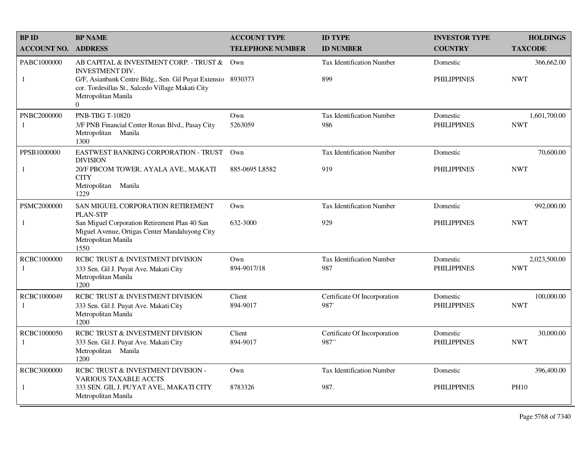| <b>BPID</b>                 | <b>BP NAME</b>                                                                                                                                                                                                            | <b>ACCOUNT TYPE</b>     | <b>ID TYPE</b>                          | <b>INVESTOR TYPE</b>           | <b>HOLDINGS</b>            |
|-----------------------------|---------------------------------------------------------------------------------------------------------------------------------------------------------------------------------------------------------------------------|-------------------------|-----------------------------------------|--------------------------------|----------------------------|
| <b>ACCOUNT NO. ADDRESS</b>  |                                                                                                                                                                                                                           | <b>TELEPHONE NUMBER</b> | <b>ID NUMBER</b>                        | <b>COUNTRY</b>                 | <b>TAXCODE</b>             |
| PABC1000000<br>$\mathbf{1}$ | AB CAPITAL & INVESTMENT CORP. - TRUST &<br><b>INVESTMENT DIV.</b><br>G/F, Asianbank Centre Bldg., Sen. Gil Puyat Extensio 8930373<br>cor. Tordesillas St., Salcedo Village Makati City<br>Metropolitan Manila<br>$\Omega$ | $Qw$ n                  | <b>Tax Identification Number</b><br>899 | Domestic<br><b>PHILIPPINES</b> | 366,662.00<br><b>NWT</b>   |
| PNBC2000000<br>-1           | <b>PNB-TBG T-10820</b><br>3/F PNB Financial Center Roxas Blvd., Pasay City<br>Metropolitan Manila<br>1300                                                                                                                 | Own<br>5263059          | Tax Identification Number<br>986        | Domestic<br><b>PHILIPPINES</b> | 1,601,700.00<br><b>NWT</b> |
| PPSB1000000                 | EASTWEST BANKING CORPORATION - TRUST<br><b>DIVISION</b>                                                                                                                                                                   | $Qw$ n                  | <b>Tax Identification Number</b>        | Domestic                       | 70,600.00                  |
| $\mathbf{1}$                | 20/F PBCOM TOWER, AYALA AVE., MAKATI<br><b>CITY</b><br>Metropolitan Manila<br>1229                                                                                                                                        | 885-0695 L8582          | 919                                     | <b>PHILIPPINES</b>             | <b>NWT</b>                 |
| PSMC2000000                 | SAN MIGUEL CORPORATION RETIREMENT<br><b>PLAN-STP</b>                                                                                                                                                                      | Own                     | Tax Identification Number               | Domestic                       | 992,000.00                 |
| 1                           | San Miguel Corporation Retirement Plan 40 San<br>Miguel Avenue, Ortigas Center Mandaluyong City<br>Metropolitan Manila<br>1550                                                                                            | 632-3000                | 929                                     | <b>PHILIPPINES</b>             | <b>NWT</b>                 |
| RCBC1000000<br>-1           | RCBC TRUST & INVESTMENT DIVISION<br>333 Sen. Gil J. Puyat Ave. Makati City<br>Metropolitan Manila<br>1200                                                                                                                 | Own<br>894-9017/18      | <b>Tax Identification Number</b><br>987 | Domestic<br><b>PHILIPPINES</b> | 2,023,500.00<br><b>NWT</b> |
| RCBC1000049<br>1            | RCBC TRUST & INVESTMENT DIVISION<br>333 Sen. Gil J. Puyat Ave. Makati City<br>Metropolitan Manila<br>1200                                                                                                                 | Client<br>894-9017      | Certificate Of Incorporation<br>987     | Domestic<br><b>PHILIPPINES</b> | 100,000.00<br><b>NWT</b>   |
| RCBC1000050<br>1            | RCBC TRUST & INVESTMENT DIVISION<br>333 Sen. Gil J. Puyat Ave. Makati City<br>Metropolitan Manila<br>1200                                                                                                                 | Client<br>894-9017      | Certificate Of Incorporation<br>987     | Domestic<br><b>PHILIPPINES</b> | 30,000.00<br><b>NWT</b>    |
| RCBC3000000                 | RCBC TRUST & INVESTMENT DIVISION -<br><b>VARIOUS TAXABLE ACCTS</b>                                                                                                                                                        | Own                     | Tax Identification Number               | Domestic                       | 396,400.00                 |
| 1                           | 333 SEN. GIL J. PUYAT AVE., MAKATI CITY<br>Metropolitan Manila                                                                                                                                                            | 8783326                 | 987.                                    | <b>PHILIPPINES</b>             | <b>PH10</b>                |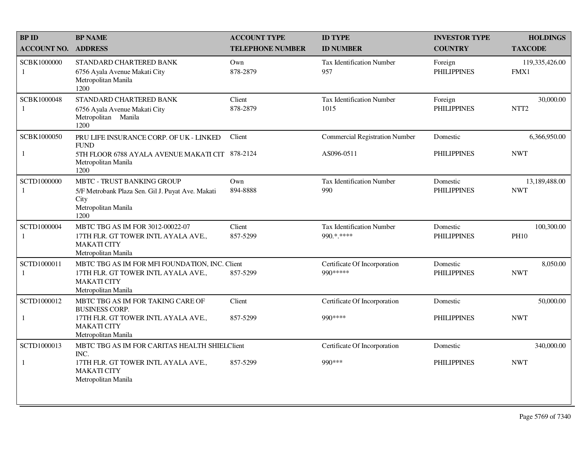| <b>BPID</b>             | <b>BP NAME</b>                                                                                                                     | <b>ACCOUNT TYPE</b>     | <b>ID TYPE</b>                                 | <b>INVESTOR TYPE</b>           | <b>HOLDINGS</b>               |
|-------------------------|------------------------------------------------------------------------------------------------------------------------------------|-------------------------|------------------------------------------------|--------------------------------|-------------------------------|
| <b>ACCOUNT NO.</b>      | <b>ADDRESS</b>                                                                                                                     | <b>TELEPHONE NUMBER</b> | <b>ID NUMBER</b>                               | <b>COUNTRY</b>                 | <b>TAXCODE</b>                |
| SCBK1000000<br>1        | STANDARD CHARTERED BANK<br>6756 Ayala Avenue Makati City<br>Metropolitan Manila<br>1200                                            | Own<br>878-2879         | <b>Tax Identification Number</b><br>957        | Foreign<br><b>PHILIPPINES</b>  | 119,335,426.00<br>FMX1        |
| SCBK1000048<br>1        | STANDARD CHARTERED BANK<br>6756 Ayala Avenue Makati City<br>Metropolitan Manila<br>1200                                            | Client<br>878-2879      | <b>Tax Identification Number</b><br>1015       | Foreign<br><b>PHILIPPINES</b>  | 30,000.00<br>NTT <sub>2</sub> |
| SCBK1000050             | PRU LIFE INSURANCE CORP. OF UK - LINKED<br><b>FUND</b>                                                                             | Client                  | <b>Commercial Registration Number</b>          | Domestic                       | 6,366,950.00                  |
| 1                       | 5TH FLOOR 6788 AYALA AVENUE MAKATI CIT 878-2124<br>Metropolitan Manila<br>1200                                                     |                         | AS096-0511                                     | <b>PHILIPPINES</b>             | <b>NWT</b>                    |
| <b>SCTD1000000</b><br>1 | <b>MBTC - TRUST BANKING GROUP</b><br>5/F Metrobank Plaza Sen. Gil J. Puyat Ave. Makati<br>City<br>Metropolitan Manila<br>1200      | Own<br>894-8888         | <b>Tax Identification Number</b><br>990        | Domestic<br><b>PHILIPPINES</b> | 13,189,488.00<br><b>NWT</b>   |
| SCTD1000004<br>1        | MBTC TBG AS IM FOR 3012-00022-07<br>17TH FLR. GT TOWER INTL AYALA AVE.,<br><b>MAKATI CITY</b><br>Metropolitan Manila               | Client<br>857-5299      | <b>Tax Identification Number</b><br>990.*.**** | Domestic<br><b>PHILIPPINES</b> | 100,300.00<br><b>PH10</b>     |
| SCTD1000011<br>-1       | MBTC TBG AS IM FOR MFI FOUNDATION, INC. Client<br>17TH FLR. GT TOWER INTL AYALA AVE.,<br><b>MAKATI CITY</b><br>Metropolitan Manila | 857-5299                | Certificate Of Incorporation<br>990 *****      | Domestic<br><b>PHILIPPINES</b> | 8,050.00<br><b>NWT</b>        |
| SCTD1000012             | MBTC TBG AS IM FOR TAKING CARE OF<br><b>BUSINESS CORP.</b>                                                                         | Client                  | Certificate Of Incorporation                   | Domestic                       | 50,000.00                     |
| $\mathbf{1}$            | 17TH FLR. GT TOWER INTL AYALA AVE.,<br><b>MAKATI CITY</b><br>Metropolitan Manila                                                   | 857-5299                | 990 ****                                       | <b>PHILIPPINES</b>             | <b>NWT</b>                    |
| SCTD1000013             | MBTC TBG AS IM FOR CARITAS HEALTH SHIELClient<br>INC.                                                                              |                         | Certificate Of Incorporation                   | Domestic                       | 340,000.00                    |
| 1                       | 17TH FLR. GT TOWER INTL AYALA AVE.,<br><b>MAKATI CITY</b><br>Metropolitan Manila                                                   | 857-5299                | 990 ***                                        | <b>PHILIPPINES</b>             | <b>NWT</b>                    |
|                         |                                                                                                                                    |                         |                                                |                                |                               |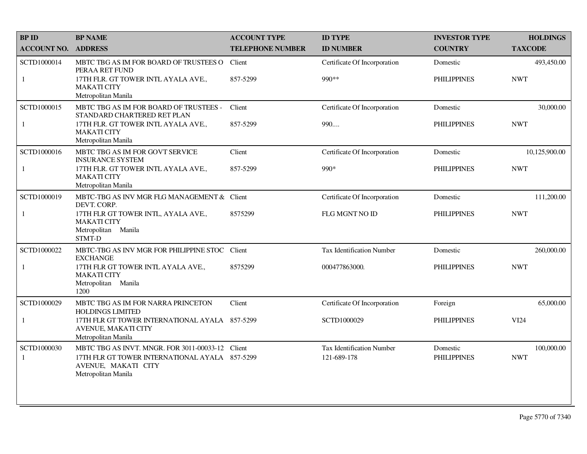| <b>BPID</b>        | <b>BP NAME</b>                                                                                                                                   | <b>ACCOUNT TYPE</b>     | <b>ID TYPE</b>                                  | <b>INVESTOR TYPE</b>           | <b>HOLDINGS</b>          |
|--------------------|--------------------------------------------------------------------------------------------------------------------------------------------------|-------------------------|-------------------------------------------------|--------------------------------|--------------------------|
| <b>ACCOUNT NO.</b> | <b>ADDRESS</b>                                                                                                                                   | <b>TELEPHONE NUMBER</b> | <b>ID NUMBER</b>                                | <b>COUNTRY</b>                 | <b>TAXCODE</b>           |
| SCTD1000014        | MBTC TBG AS IM FOR BOARD OF TRUSTEES O<br>PERAA RET FUND                                                                                         | Client                  | Certificate Of Incorporation                    | Domestic                       | 493,450.00               |
| $\mathbf{1}$       | 17TH FLR. GT TOWER INTL AYALA AVE.,<br><b>MAKATI CITY</b><br>Metropolitan Manila                                                                 | 857-5299                | 990**                                           | <b>PHILIPPINES</b>             | <b>NWT</b>               |
| SCTD1000015        | MBTC TBG AS IM FOR BOARD OF TRUSTEES -<br>STANDARD CHARTERED RET PLAN                                                                            | Client                  | Certificate Of Incorporation                    | Domestic                       | 30,000.00                |
| $\mathbf{1}$       | 17TH FLR. GT TOWER INTL AYALA AVE.,<br><b>MAKATI CITY</b><br>Metropolitan Manila                                                                 | 857-5299                | 990                                             | <b>PHILIPPINES</b>             | <b>NWT</b>               |
| SCTD1000016        | MBTC TBG AS IM FOR GOVT SERVICE<br><b>INSURANCE SYSTEM</b>                                                                                       | Client                  | Certificate Of Incorporation                    | Domestic                       | 10,125,900.00            |
| $\mathbf{1}$       | 17TH FLR. GT TOWER INTL AYALA AVE.,<br><b>MAKATI CITY</b><br>Metropolitan Manila                                                                 | 857-5299                | $990*$                                          | <b>PHILIPPINES</b>             | <b>NWT</b>               |
| SCTD1000019        | MBTC-TBG AS INV MGR FLG MANAGEMENT & Client<br>DEVT. CORP.                                                                                       |                         | Certificate Of Incorporation                    | Domestic                       | 111,200.00               |
| 1                  | 17TH FLR GT TOWER INTL, AYALA AVE.,<br><b>MAKATI CITY</b><br>Metropolitan Manila<br>STMT-D                                                       | 8575299                 | FLG MGNT NO ID                                  | <b>PHILIPPINES</b>             | <b>NWT</b>               |
| SCTD1000022        | MBTC-TBG AS INV MGR FOR PHILIPPINE STOC Client<br><b>EXCHANGE</b>                                                                                |                         | Tax Identification Number                       | Domestic                       | 260,000.00               |
| 1                  | 17TH FLR GT TOWER INTL AYALA AVE.,<br><b>MAKATI CITY</b><br>Metropolitan Manila<br>1200                                                          | 8575299                 | 000477863000.                                   | <b>PHILIPPINES</b>             | <b>NWT</b>               |
| SCTD1000029        | MBTC TBG AS IM FOR NARRA PRINCETON<br><b>HOLDINGS LIMITED</b>                                                                                    | Client                  | Certificate Of Incorporation                    | Foreign                        | 65,000.00                |
| 1                  | 17TH FLR GT TOWER INTERNATIONAL AYALA 857-5299<br><b>AVENUE, MAKATI CITY</b><br>Metropolitan Manila                                              |                         | SCTD1000029                                     | <b>PHILIPPINES</b>             | VI24                     |
| SCTD1000030<br>1   | MBTC TBG AS INVT. MNGR. FOR 3011-00033-12 Client<br>17TH FLR GT TOWER INTERNATIONAL AYALA 857-5299<br>AVENUE, MAKATI CITY<br>Metropolitan Manila |                         | <b>Tax Identification Number</b><br>121-689-178 | Domestic<br><b>PHILIPPINES</b> | 100,000.00<br><b>NWT</b> |